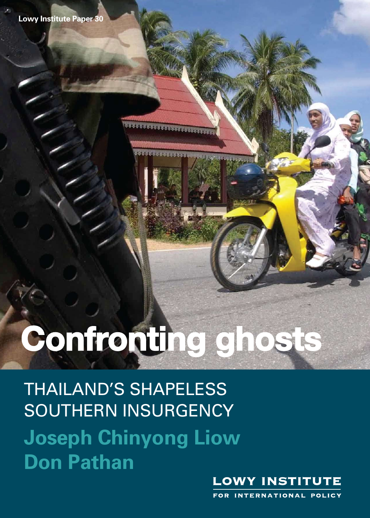Lowy Institute Paper 30

38888888

## THAILAND'S SHAPELESS SHAPELESS SOUTHERN **Confronting ghosts**

**Confronting graduate** 

**Don Pathan**  THAILAND'S SHAPELESS **Joseph Chinyong Liow Don Pathan** SOUTHERN INSURGENCY

**Joseph Chinyong Liow** 



FOR INTERNATIONAL POLICY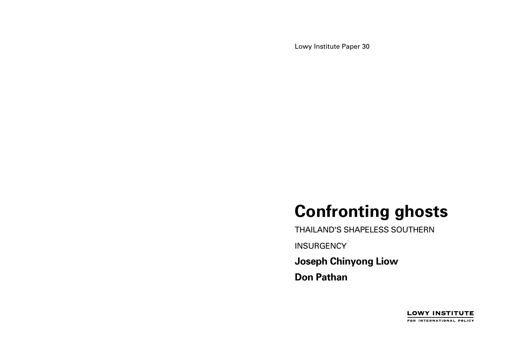Lowy Institute Paper 30

# **Confronting ghosts**

THAILAND'S SHAPELESS SOUTHERN **INSURGENCY Joseph Chinyong Liow Don Pathan** 

> **LOWY INSTITUTE** FOR INTERNATIONAL POLICY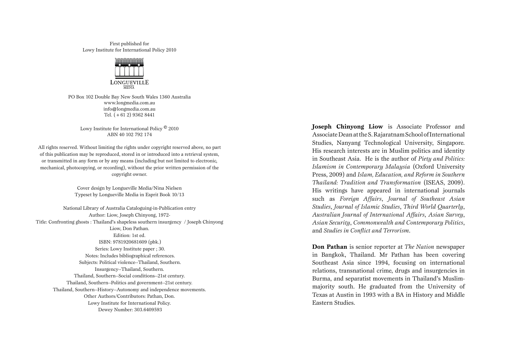First published for Lowy Institute for International Policy 2010



PO Box 102 Double Bay New South Wales 1360 Australia www.longmedia.com.au info@longmedia.com.au Tel. (+61 2) 9362 8441

Lowy Institute for International Policy © 2010 ABN 40 102 792 174

All rights reserved. Without limiting the rights under copyright reserved above, no part of this publication may be reproduced, stored in or introduced into a retrieval system, or transmitted in any form or by any means (including but not limited to electronic, mechanical, photocopying, or recording), without the prior written permission of the copyright owner.

> Cover design by Longueville Media/Nina Nielsen Typeset by Longueville Media in Esprit Book 10/13

National Library of Australia Cataloguing-in-Publication entry Author: Liow, Joseph Chinyong, 1972- Title: Confronting ghosts : Thailand's shapeless southern insurgency / Joseph Chinyong Liow, Don Pathan. Edition: 1st ed. ISBN: 9781920681609 (pbk.) Series: Lowy Institute paper ; 30. Notes: Includes bibliographical references. Subjects: Political violence--Thailand, Southern. Insurgency--Thailand, Southern. Thailand, Southern--Social conditions--21st century. Thailand, Southern--Politics and government--21st century. Thailand, Southern--History--Autonomy and independence movements. Other Authors/Contributors: Pathan, Don. Lowy Institute for International Policy. Dewey Number: 303.6409593

**Joseph Chinyong Liow** is Associate Professor and Associate Dean at the S. Rajaratnam School of International Studies, Nanyang Technological University, Singapore. His research interests are in Muslim politics and identity in Southeast Asia. He is the author of *Piety and Politics: Islamism in Contemporary Malaysia* (Oxford University Press, 2009) and *Islam, Education, and Reform in Southern Thailand: Tradition and Transformation* (ISEAS, 2009). His writings have appeared in international journals such as *Foreign Affairs*, *Journal of Southeast Asian Studies*, *Journal of Islamic Studies*, *Third World Quarterly*, *Australian Journal of International Affairs*, *Asian Survey*, *Asian Security*, *Commonwealth and Contemporary Politics*, and *Studies in Conflict and Terrorism*.

**Don Pathan** is senior reporter at *The Nation* newspaper in Bangkok, Thailand. Mr Pathan has been covering Southeast Asia since 1994, focusing on international relations, transnational crime, drugs and insurgencies in Burma, and separatist movements in Thailand's Muslimmajority south. He graduated from the University of Texas at Austin in 1993 with a BA in History and Middle Eastern Studies.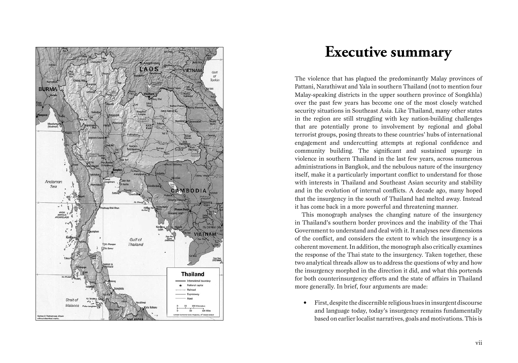

## **Executive summary**

The violence that has plagued the predominantly Malay provinces of Pattani, Narathiwat and Yala in southern Thailand (not to mention four Malay-speaking districts in the upper southern province of Songkhla) over the past few years has become one of the most closely watched security situations in Southeast Asia. Like Thailand, many other states in the region are still struggling with key nation-building challenges that are potentially prone to involvement by regional and global terrorist groups, posing threats to these countries' hubs of international engagement and undercutting attempts at regional confidence and community building. The significant and sustained upsurge in violence in southern Thailand in the last few years, across numerous administrations in Bangkok, and the nebulous nature of the insurgency itself, make it a particularly important conflict to understand for those with interests in Thailand and Southeast Asian security and stability and in the evolution of internal conflicts. A decade ago, many hoped that the insurgency in the south of Thailand had melted away. Instead it has come back in a more powerful and threatening manner.

This monograph analyses the changing nature of the insurgency in Thailand's southern border provinces and the inability of the Thai Government to understand and deal with it. It analyses new dimensions of the conflict, and considers the extent to which the insurgency is a coherent movement. In addition, the monograph also critically examines the response of the Thai state to the insurgency. Taken together, these two analytical threads allow us to address the questions of why and how the insurgency morphed in the direction it did, and what this portends for both counterinsurgency efforts and the state of affairs in Thailand more generally. In brief, four arguments are made:

• First, despite the discernible religious hues in insurgent discourse and language today, today's insurgency remains fundamentally based on earlier localist narratives, goals and motivations. This is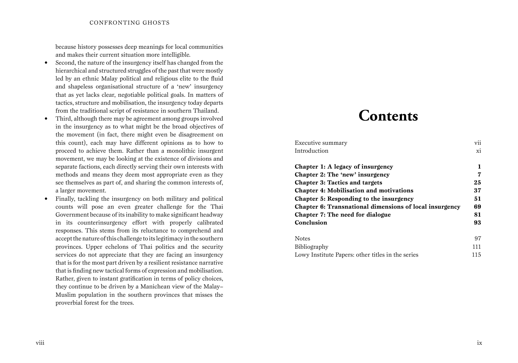because history possesses deep meanings for local communities and makes their current situation more intelligible.

- Second, the nature of the insurgency itself has changed from the hierarchical and structured struggles of the past that were mostly led by an ethnic Malay political and religious elite to the fluid and shapeless organisational structure of a 'new' insurgency that as yet lacks clear, negotiable political goals. In matters of tactics, structure and mobilisation, the insurgency today departs from the traditional script of resistance in southern Thailand.
- Third, although there may be agreement among groups involved in the insurgency as to what might be the broad objectives of the movement (in fact, there might even be disagreement on this count), each may have different opinions as to how to proceed to achieve them. Rather than a monolithic insurgent movement, we may be looking at the existence of divisions and separate factions, each directly serving their own interests with methods and means they deem most appropriate even as they see themselves as part of, and sharing the common interests of, a larger movement.
- Finally, tackling the insurgency on both military and political counts will pose an even greater challenge for the Thai Government because of its inability to make significant headway in its counterinsurgency effort with properly calibrated responses. This stems from its reluctance to comprehend and accept the nature of this challenge to its legitimacy in the southern provinces. Upper echelons of Thai politics and the security services do not appreciate that they are facing an insurgency that is for the most part driven by a resilient resistance narrative that is finding new tactical forms of expression and mobilisation. Rather, given to instant gratification in terms of policy choices, they continue to be driven by a Manichean view of the Malay– Muslim population in the southern provinces that misses the proverbial forest for the trees.

### **Contents**

| Executive summary                                       | vii |
|---------------------------------------------------------|-----|
| Introduction                                            | xi  |
| Chapter 1: A legacy of insurgency                       | 1   |
| Chapter 2: The 'new' insurgency                         | 7   |
| <b>Chapter 3: Tactics and targets</b>                   | 25  |
| <b>Chapter 4: Mobilisation and motivations</b>          | 37  |
| Chapter 5: Responding to the insurgency                 | 51  |
| Chapter 6: Transnational dimensions of local insurgency | 69  |
| Chapter 7: The need for dialogue                        | 81  |
| Conclusion                                              | 93  |
| <b>Notes</b>                                            | 97  |
| <b>Bibliography</b>                                     | 111 |
| Lowy Institute Papers: other titles in the series       | 115 |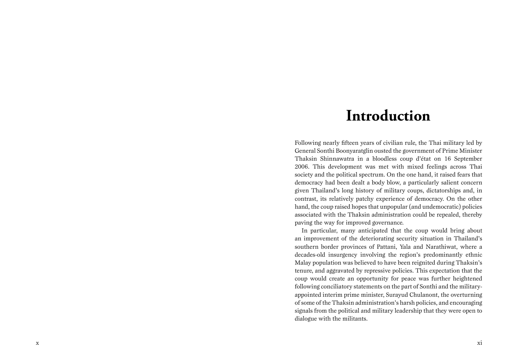## **Introduction**

Following nearly fifteen years of civilian rule, the Thai military led by General Sonthi Boonyaratglin ousted the government of Prime Minister Thaksin Shinnawatra in a bloodless coup d'état on 16 September 2006. This development was met with mixed feelings across Thai society and the political spectrum. On the one hand, it raised fears that democracy had been dealt a body blow, a particularly salient concern given Thailand's long history of military coups, dictatorships and, in contrast, its relatively patchy experience of democracy. On the other hand, the coup raised hopes that unpopular (and undemocratic) policies associated with the Thaksin administration could be repealed, thereby paving the way for improved governance.

In particular, many anticipated that the coup would bring about an improvement of the deteriorating security situation in Thailand's southern border provinces of Pattani, Yala and Narathiwat, where a decades-old insurgency involving the region's predominantly ethnic Malay population was believed to have been reignited during Thaksin's tenure, and aggravated by repressive policies. This expectation that the coup would create an opportunity for peace was further heightened following conciliatory statements on the part of Sonthi and the militaryappointed interim prime minister, Surayud Chulanont, the overturning of some of the Thaksin administration's harsh policies, and encouraging signals from the political and military leadership that they were open to dialogue with the militants.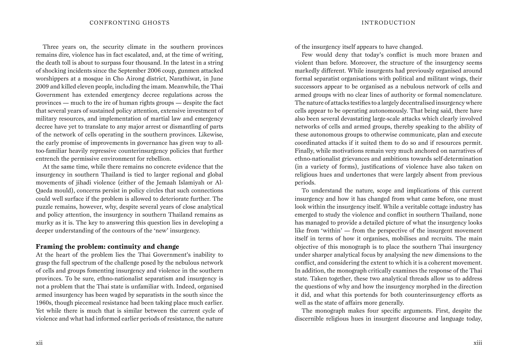Three years on, the security climate in the southern provinces remains dire, violence has in fact escalated, and, at the time of writing, the death toll is about to surpass four thousand. In the latest in a string of shocking incidents since the September 2006 coup, gunmen attacked worshippers at a mosque in Cho Airong district, Narathiwat, in June 2009 and killed eleven people, including the imam. Meanwhile, the Thai Government has extended emergency decree regulations across the provinces — much to the ire of human rights groups — despite the fact that several years of sustained policy attention, extensive investment of military resources, and implementation of martial law and emergency decree have yet to translate to any major arrest or dismantling of parts of the network of cells operating in the southern provinces. Likewise, the early promise of improvements in governance has given way to alltoo-familiar heavily repressive counterinsurgency policies that further entrench the permissive environment for rebellion.

At the same time, while there remains no concrete evidence that the insurgency in southern Thailand is tied to larger regional and global movements of jihadi violence (either of the Jemaah Islamiyah or Al-Qaeda mould), concerns persist in policy circles that such connections could well surface if the problem is allowed to deteriorate further. The puzzle remains, however, why, despite several years of close analytical and policy attention, the insurgency in southern Thailand remains as murky as it is. The key to answering this question lies in developing a deeper understanding of the contours of the 'new' insurgency.

#### **Framing the problem: continuity and change**

At the heart of the problem lies the Thai Government's inability to grasp the full spectrum of the challenge posed by the nebulous network of cells and groups fomenting insurgency and violence in the southern provinces. To be sure, ethno-nationalist separatism and insurgency is not a problem that the Thai state is unfamiliar with. Indeed, organised armed insurgency has been waged by separatists in the south since the 1960s, though piecemeal resistance had been taking place much earlier. Yet while there is much that is similar between the current cycle of violence and what had informed earlier periods of resistance, the nature of the insurgency itself appears to have changed.

Few would deny that today's conflict is much more brazen and violent than before. Moreover, the structure of the insurgency seems markedly different. While insurgents had previously organised around formal separatist organisations with political and militant wings, their successors appear to be organised as a nebulous network of cells and armed groups with no clear lines of authority or formal nomenclature. The nature of attacks testifies to a largely decentralised insurgency where cells appear to be operating autonomously. That being said, there have also been several devastating large-scale attacks which clearly involved networks of cells and armed groups, thereby speaking to the ability of these autonomous groups to otherwise communicate, plan and execute coordinated attacks if it suited them to do so and if resources permit. Finally, while motivations remain very much anchored on narratives of ethno-nationalist grievances and ambitions towards self-determination (in a variety of forms), justifications of violence have also taken on religious hues and undertones that were largely absent from previous periods.

To understand the nature, scope and implications of this current insurgency and how it has changed from what came before, one must look within the insurgency itself. While a veritable cottage industry has emerged to study the violence and conflict in southern Thailand, none has managed to provide a detailed picture of what the insurgency looks like from 'within' — from the perspective of the insurgent movement itself in terms of how it organises, mobilises and recruits. The main objective of this monograph is to place the southern Thai insurgency under sharper analytical focus by analysing the new dimensions to the conflict, and considering the extent to which it is a coherent movement. In addition, the monograph critically examines the response of the Thai state. Taken together, these two analytical threads allow us to address the questions of why and how the insurgency morphed in the direction it did, and what this portends for both counterinsurgency efforts as well as the state of affairs more generally.

The monograph makes four specific arguments. First, despite the discernible religious hues in insurgent discourse and language today,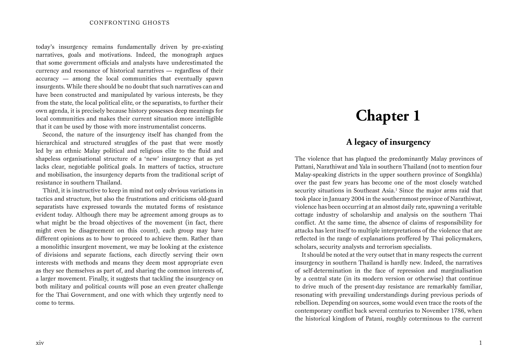today's insurgency remains fundamentally driven by pre-existing narratives, goals and motivations. Indeed, the monograph argues that some government officials and analysts have underestimated the currency and resonance of historical narratives — regardless of their accuracy — among the local communities that eventually spawn insurgents. While there should be no doubt that such narratives can and have been constructed and manipulated by various interests, be they from the state, the local political elite, or the separatists, to further their own agenda, it is precisely because history possesses deep meanings for local communities and makes their current situation more intelligible that it can be used by those with more instrumentalist concerns.

Second, the nature of the insurgency itself has changed from the hierarchical and structured struggles of the past that were mostly led by an ethnic Malay political and religious elite to the fluid and shapeless organisational structure of a 'new' insurgency that as yet lacks clear, negotiable political goals. In matters of tactics, structure and mobilisation, the insurgency departs from the traditional script of resistance in southern Thailand.

Third, it is instructive to keep in mind not only obvious variations in tactics and structure, but also the frustrations and criticisms old-guard separatists have expressed towards the mutated forms of resistance evident today. Although there may be agreement among groups as to what might be the broad objectives of the movement (in fact, there might even be disagreement on this count), each group may have different opinions as to how to proceed to achieve them. Rather than a monolithic insurgent movement, we may be looking at the existence of divisions and separate factions, each directly serving their own interests with methods and means they deem most appropriate even as they see themselves as part of, and sharing the common interests of, a larger movement. Finally, it suggests that tackling the insurgency on both military and political counts will pose an even greater challenge for the Thai Government, and one with which they urgently need to come to terms.

# **Chapter 1**

### **A legacy of insurgency**

The violence that has plagued the predominantly Malay provinces of Pattani, Narathiwat and Yala in southern Thailand (not to mention four Malay-speaking districts in the upper southern province of Songkhla) over the past few years has become one of the most closely watched security situations in Southeast Asia.<sup>1</sup> Since the major arms raid that took place in January 2004 in the southernmost province of Narathiwat, violence has been occurring at an almost daily rate, spawning a veritable cottage industry of scholarship and analysis on the southern Thai conflict. At the same time, the absence of claims of responsibility for attacks has lent itself to multiple interpretations of the violence that are reflected in the range of explanations proffered by Thai policymakers, scholars, security analysts and terrorism specialists.

It should be noted at the very outset that in many respects the current insurgency in southern Thailand is hardly new. Indeed, the narratives of self-determination in the face of repression and marginalisation by a central state (in its modern version or otherwise) that continue to drive much of the present-day resistance are remarkably familiar, resonating with prevailing understandings during previous periods of rebellion. Depending on sources, some would even trace the roots of the contemporary conflict back several centuries to November 1786, when the historical kingdom of Patani, roughly coterminous to the current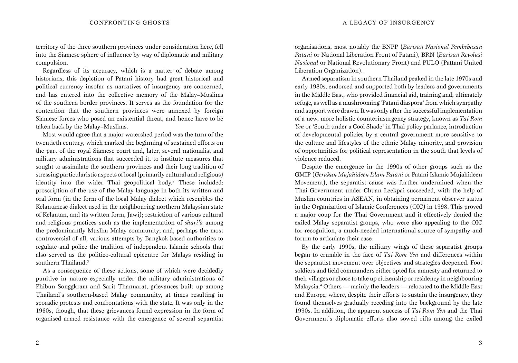territory of the three southern provinces under consideration here, fell into the Siamese sphere of influence by way of diplomatic and military compulsion.

Regardless of its accuracy, which is a matter of debate among historians, this depiction of Patani history had great historical and political currency insofar as narratives of insurgency are concerned, and has entered into the collective memory of the Malay–Muslims of the southern border provinces. It serves as the foundation for the contention that the southern provinces were annexed by foreign Siamese forces who posed an existential threat, and hence have to be taken back by the Malay–Muslims.

Most would agree that a major watershed period was the turn of the twentieth century, which marked the beginning of sustained efforts on the part of the royal Siamese court and, later, several nationalist and military administrations that succeeded it, to institute measures that sought to assimilate the southern provinces and their long tradition of stressing particularistic aspects of local (primarily cultural and religious) identity into the wider Thai geopolitical body.<sup>2</sup> These included: proscription of the use of the Malay language in both its written and oral form (in the form of the local Malay dialect which resembles the Kelantanese dialect used in the neighbouring northern Malaysian state of Kelantan, and its written form, Jawi); restriction of various cultural and religious practices such as the implementation of *shari'a* among the predominantly Muslim Malay community; and, perhaps the most controversial of all, various attempts by Bangkok-based authorities to regulate and police the tradition of independent Islamic schools that also served as the politico-cultural epicentre for Malays residing in southern Thailand.3

As a consequence of these actions, some of which were decidedly punitive in nature especially under the military administrations of Phibun Songgkram and Sarit Thannarat, grievances built up among Thailand's southern-based Malay community, at times resulting in sporadic protests and confrontations with the state. It was only in the 1960s, though, that these grievances found expression in the form of organised armed resistance with the emergence of several separatist organisations, most notably the BNPP (*Barisan Nasional Pembebasan Patani* or National Liberation Front of Patani), BRN (*Barisan Revolusi Nasional* or National Revolutionary Front) and PULO (Pattani United Liberation Organization).

Armed separatism in southern Thailand peaked in the late 1970s and early 1980s, endorsed and supported both by leaders and governments in the Middle East, who provided financial aid, training and, ultimately refuge, as well as a mushrooming 'Patani diaspora' from which sympathy and support were drawn. It was only after the successful implementation of a new, more holistic counterinsurgency strategy, known as *Tai Rom Yen* or 'South under a Cool Shade' in Thai policy parlance, introduction of developmental policies by a central government more sensitive to the culture and lifestyles of the ethnic Malay minority, and provision of opportunities for political representation in the south that levels of violence reduced.

Despite the emergence in the 1990s of other groups such as the GMIP (*Gerakan Mujahideen Islam Patani* or Patani Islamic Mujahideen Movement), the separatist cause was further undermined when the Thai Government under Chuan Leekpai succeeded, with the help of Muslim countries in ASEAN, in obtaining permanent observer status in the Organization of Islamic Conferences (OIC) in 1998. This proved a major coup for the Thai Government and it effectively denied the exiled Malay separatist groups, who were also appealing to the OIC for recognition, a much-needed international source of sympathy and forum to articulate their case.

By the early 1990s, the military wings of these separatist groups began to crumble in the face of *Tai Rom Yen* and differences within the separatist movement over objectives and strategies deepened. Foot soldiers and field commanders either opted for amnesty and returned to their villages or chose to take up citizenship or residency in neighbouring Malaysia.4 Others — mainly the leaders — relocated to the Middle East and Europe, where, despite their efforts to sustain the insurgency, they found themselves gradually receding into the background by the late 1990s. In addition, the apparent success of *Tai Rom Yen* and the Thai Government's diplomatic efforts also sowed rifts among the exiled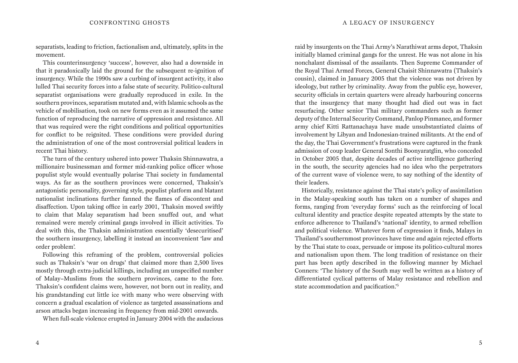separatists, leading to friction, factionalism and, ultimately, splits in the movement.

This counterinsurgency 'success', however, also had a downside in that it paradoxically laid the ground for the subsequent re-ignition of insurgency. While the 1990s saw a curbing of insurgent activity, it also lulled Thai security forces into a false state of security. Politico-cultural separatist organisations were gradually reproduced in exile. In the southern provinces, separatism mutated and, with Islamic schools as the vehicle of mobilisation, took on new forms even as it assumed the same function of reproducing the narrative of oppression and resistance. All that was required were the right conditions and political opportunities for conflict to be reignited. These conditions were provided during the administration of one of the most controversial political leaders in recent Thai history.

The turn of the century ushered into power Thaksin Shinnawatra, a millionaire businessman and former mid-ranking police officer whose populist style would eventually polarise Thai society in fundamental ways. As far as the southern provinces were concerned, Thaksin's antagonistic personality, governing style, populist platform and blatant nationalist inclinations further fanned the flames of discontent and disaffection. Upon taking office in early 2001, Thaksin moved swiftly to claim that Malay separatism had been snuffed out, and what remained were merely criminal gangs involved in illicit activities. To deal with this, the Thaksin administration essentially 'desecuritised' the southern insurgency, labelling it instead an inconvenient 'law and order problem'.

Following this reframing of the problem, controversial policies such as Thaksin's 'war on drugs' that claimed more than 2,500 lives mostly through extra-judicial killings, including an unspecified number of Malay–Muslims from the southern provinces, came to the fore. Thaksin's confident claims were, however, not born out in reality, and his grandstanding cut little ice with many who were observing with concern a gradual escalation of violence as targeted assassinations and arson attacks began increasing in frequency from mid-2001 onwards.

When full-scale violence erupted in January 2004 with the audacious

raid by insurgents on the Thai Army's Narathiwat arms depot, Thaksin initially blamed criminal gangs for the unrest. He was not alone in his nonchalant dismissal of the assailants. Then Supreme Commander of the Royal Thai Armed Forces, General Chaisit Shinnawatra (Thaksin's cousin), claimed in January 2005 that the violence was not driven by ideology, but rather by criminality. Away from the public eye, however, security officials in certain quarters were already harbouring concerns that the insurgency that many thought had died out was in fact resurfacing. Other senior Thai military commanders such as former deputy of the Internal Security Command, Panlop Pinmanee, and former army chief Kitti Rattanachaya have made unsubstantiated claims of involvement by Libyan and Indonesian-trained militants. At the end of the day, the Thai Government's frustrations were captured in the frank admission of coup leader General Sonthi Boonyaratglin, who conceded in October 2005 that, despite decades of active intelligence gathering in the south, the security agencies had no idea who the perpetrators of the current wave of violence were, to say nothing of the identity of their leaders.

Historically, resistance against the Thai state's policy of assimilation in the Malay-speaking south has taken on a number of shapes and forms, ranging from 'everyday forms' such as the reinforcing of local cultural identity and practice despite repeated attempts by the state to enforce adherence to Thailand's 'national' identity, to armed rebellion and political violence. Whatever form of expression it finds, Malays in Thailand's southernmost provinces have time and again rejected efforts by the Thai state to coax, persuade or impose its politico-cultural mores and nationalism upon them. The long tradition of resistance on their part has been aptly described in the following manner by Michael Conners: 'The history of the South may well be written as a history of differentiated cyclical patterns of Malay resistance and rebellion and state accommodation and pacification.'5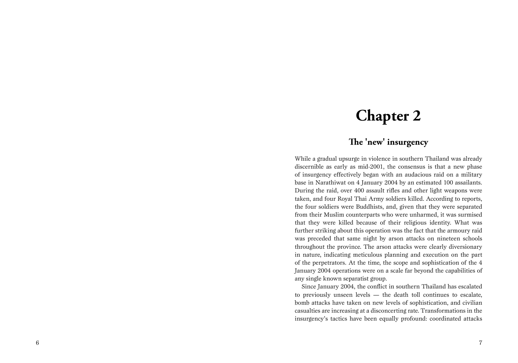## **Chapter 2**

### **The 'new' insurgency**

While a gradual upsurge in violence in southern Thailand was already discernible as early as mid-2001, the consensus is that a new phase of insurgency effectively began with an audacious raid on a military base in Narathiwat on 4 January 2004 by an estimated 100 assailants. During the raid, over 400 assault rifles and other light weapons were taken, and four Royal Thai Army soldiers killed. According to reports, the four soldiers were Buddhists, and, given that they were separated from their Muslim counterparts who were unharmed, it was surmised that they were killed because of their religious identity. What was further striking about this operation was the fact that the armoury raid was preceded that same night by arson attacks on nineteen schools throughout the province. The arson attacks were clearly diversionary in nature, indicating meticulous planning and execution on the part of the perpetrators. At the time, the scope and sophistication of the 4 January 2004 operations were on a scale far beyond the capabilities of any single known separatist group.

Since January 2004, the conflict in southern Thailand has escalated to previously unseen levels — the death toll continues to escalate, bomb attacks have taken on new levels of sophistication, and civilian casualties are increasing at a disconcerting rate. Transformations in the insurgency's tactics have been equally profound: coordinated attacks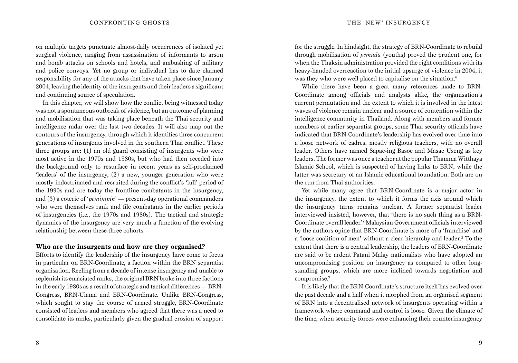on multiple targets punctuate almost-daily occurrences of isolated yet surgical violence, ranging from assassination of informants to arson and bomb attacks on schools and hotels, and ambushing of military and police convoys. Yet no group or individual has to date claimed responsibility for any of the attacks that have taken place since January 2004, leaving the identity of the insurgents and their leaders a significant and continuing source of speculation.

In this chapter, we will show how the conflict being witnessed today was not a spontaneous outbreak of violence, but an outcome of planning and mobilisation that was taking place beneath the Thai security and intelligence radar over the last two decades. It will also map out the contours of the insurgency, through which it identifies three concurrent generations of insurgents involved in the southern Thai conflict. These three groups are: (1) an old guard consisting of insurgents who were most active in the 1970s and 1980s, but who had then receded into the background only to resurface in recent years as self-proclaimed 'leaders' of the insurgency, (2) a new, younger generation who were mostly indoctrinated and recruited during the conflict's 'lull' period of the 1990s and are today the frontline combatants in the insurgency, and (3) a coterie of '*pemimpin*' — present-day operational commanders who were themselves rank and file combatants in the earlier periods of insurgencies (i.e., the 1970s and 1980s). The tactical and strategic dynamics of the insurgency are very much a function of the evolving relationship between these three cohorts.

#### **Who are the insurgents and how are they organised?**

Efforts to identify the leadership of the insurgency have come to focus in particular on BRN-Coordinate, a faction within the BRN separatist organisation. Reeling from a decade of intense insurgency and unable to replenish its emaciated ranks, the original BRN broke into three factions in the early 1980s as a result of strategic and tactical differences — BRN-Congress, BRN-Ulama and BRN-Coordinate. Unlike BRN-Congress, which sought to stay the course of armed struggle, BRN-Coordinate consisted of leaders and members who agreed that there was a need to consolidate its ranks, particularly given the gradual erosion of support

for the struggle. In hindsight, the strategy of BRN-Coordinate to rebuild through mobilisation of *pemuda* (youths) proved the prudent one, for when the Thaksin administration provided the right conditions with its heavy-handed overreaction to the initial upsurge of violence in 2004, it was they who were well placed to capitalise on the situation.<sup>6</sup>

While there have been a great many references made to BRN-Coordinate among officials and analysts alike, the organisation's current permutation and the extent to which it is involved in the latest waves of violence remain unclear and a source of contention within the intelligence community in Thailand. Along with members and former members of earlier separatist groups, some Thai security officials have indicated that BRN-Coordinate's leadership has evolved over time into a loose network of cadres, mostly religious teachers, with no overall leader. Others have named Sapae-ing Basoe and Masae Useng as key leaders. The former was once a teacher at the popular Thamma Witthaya Islamic School, which is suspected of having links to BRN, while the latter was secretary of an Islamic educational foundation. Both are on the run from Thai authorities.

Yet while many agree that BRN-Coordinate is a major actor in the insurgency, the extent to which it forms the axis around which the insurgency turns remains unclear. A former separatist leader interviewed insisted, however, that 'there is no such thing as a BRN-Coordinate overall leader.'7 Malaysian Government officials interviewed by the authors opine that BRN-Coordinate is more of a 'franchise' and a 'loose coalition of men' without a clear hierarchy and leader.<sup>8</sup> To the extent that there is a central leadership, the leaders of BRN-Coordinate are said to be ardent Patani Malay nationalists who have adopted an uncompromising position on insurgency as compared to other longstanding groups, which are more inclined towards negotiation and compromise.<sup>9</sup>

It is likely that the BRN-Coordinate's structure itself has evolved over the past decade and a half when it morphed from an organised segment of BRN into a decentralised network of insurgents operating within a framework where command and control is loose. Given the climate of the time, when security forces were enhancing their counterinsurgency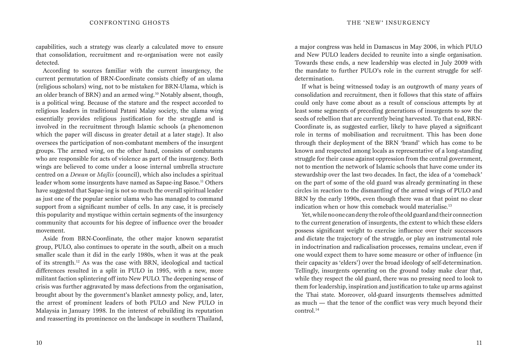capabilities, such a strategy was clearly a calculated move to ensure that consolidation, recruitment and re-organisation were not easily detected.

According to sources familiar with the current insurgency, the current permutation of BRN-Coordinate consists chiefly of an ulama (religious scholars) wing, not to be mistaken for BRN-Ulama, which is an older branch of BRN) and an armed wing.10 Notably absent, though, is a political wing. Because of the stature and the respect accorded to religious leaders in traditional Patani Malay society, the ulama wing essentially provides religious justification for the struggle and is involved in the recruitment through Islamic schools (a phenomenon which the paper will discuss in greater detail at a later stage). It also oversees the participation of non-combatant members of the insurgent groups. The armed wing, on the other hand, consists of combatants who are responsible for acts of violence as part of the insurgency. Both wings are believed to come under a loose internal umbrella structure centred on a *Dewan* or *Majlis* (council), which also includes a spiritual leader whom some insurgents have named as Sapae-ing Basoe.<sup>11</sup> Others have suggested that Sapae-ing is not so much the overall spiritual leader as just one of the popular senior ulama who has managed to command support from a significant number of cells. In any case, it is precisely this popularity and mystique within certain segments of the insurgency community that accounts for his degree of influence over the broader movement.

Aside from BRN-Coordinate, the other major known separatist group, PULO, also continues to operate in the south, albeit on a much smaller scale than it did in the early 1980s, when it was at the peak of its strength.12 As was the case with BRN, ideological and tactical differences resulted in a split in PULO in 1995, with a new, more militant faction splintering off into New PULO. The deepening sense of crisis was further aggravated by mass defections from the organisation, brought about by the government's blanket amnesty policy, and, later, the arrest of prominent leaders of both PULO and New PULO in Malaysia in January 1998. In the interest of rebuilding its reputation and reasserting its prominence on the landscape in southern Thailand,

a major congress was held in Damascus in May 2006, in which PULO and New PULO leaders decided to reunite into a single organisation. Towards these ends, a new leadership was elected in July 2009 with the mandate to further PULO's role in the current struggle for selfdetermination.

If what is being witnessed today is an outgrowth of many years of consolidation and recruitment, then it follows that this state of affairs could only have come about as a result of conscious attempts by at least some segments of preceding generations of insurgents to sow the seeds of rebellion that are currently being harvested. To that end, BRN-Coordinate is, as suggested earlier, likely to have played a significant role in terms of mobilisation and recruitment. This has been done through their deployment of the BRN 'brand' which has come to be known and respected among locals as representative of a long-standing struggle for their cause against oppression from the central government, not to mention the network of Islamic schools that have come under its stewardship over the last two decades. In fact, the idea of a 'comeback' on the part of some of the old guard was already germinating in these circles in reaction to the dismantling of the armed wings of PULO and BRN by the early 1990s, even though there was at that point no clear indication when or how this comeback would materialise.<sup>13</sup>

Yet, while no one can deny the role of the old guard and their connection to the current generation of insurgents, the extent to which these elders possess significant weight to exercise influence over their successors and dictate the trajectory of the struggle, or play an instrumental role in indoctrination and radicalisation processes, remains unclear, even if one would expect them to have some measure or other of influence (in their capacity as 'elders') over the broad ideology of self-determination. Tellingly, insurgents operating on the ground today make clear that, while they respect the old guard, there was no pressing need to look to them for leadership, inspiration and justification to take up arms against the Thai state. Moreover, old-guard insurgents themselves admitted as much — that the tenor of the conflict was very much beyond their control.14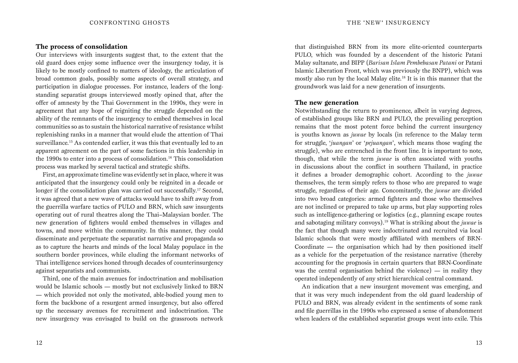#### **The process of consolidation**

Our interviews with insurgents suggest that, to the extent that the old guard does enjoy some influence over the insurgency today, it is likely to be mostly confined to matters of ideology, the articulation of broad common goals, possibly some aspects of overall strategy, and participation in dialogue processes. For instance, leaders of the longstanding separatist groups interviewed mostly opined that, after the offer of amnesty by the Thai Government in the 1990s, they were in agreement that any hope of reigniting the struggle depended on the ability of the remnants of the insurgency to embed themselves in local communities so as to sustain the historical narrative of resistance whilst replenishing ranks in a manner that would elude the attention of Thai surveillance.15 As contended earlier, it was this that eventually led to an apparent agreement on the part of some factions in this leadership in the 1990s to enter into a process of consolidation.<sup>16</sup> This consolidation process was marked by several tactical and strategic shifts.

First, an approximate timeline was evidently set in place, where it was anticipated that the insurgency could only be reignited in a decade or longer if the consolidation plan was carried out successfully.<sup>17</sup> Second, it was agreed that a new wave of attacks would have to shift away from the guerrilla warfare tactics of PULO and BRN, which saw insurgents operating out of rural theatres along the Thai–Malaysian border. The new generation of fighters would embed themselves in villages and towns, and move within the community. In this manner, they could disseminate and perpetuate the separatist narrative and propaganda so as to capture the hearts and minds of the local Malay populace in the southern border provinces, while eluding the informant networks of Thai intelligence services honed through decades of counterinsurgency against separatists and communists.

Third, one of the main avenues for indoctrination and mobilisation would be Islamic schools — mostly but not exclusively linked to BRN — which provided not only the motivated, able-bodied young men to form the backbone of a resurgent armed insurgency, but also offered up the necessary avenues for recruitment and indoctrination. The new insurgency was envisaged to build on the grassroots network

that distinguished BRN from its more elite-oriented counterparts PULO, which was founded by a descendent of the historic Patani Malay sultanate, and BIPP (*Barisan Islam Pembebasan Patani* or Patani Islamic Liberation Front, which was previously the BNPP), which was mostly also run by the local Malay elite.18 It is in this manner that the groundwork was laid for a new generation of insurgents.

#### **The new generation**

Notwithstanding the return to prominence, albeit in varying degrees, of established groups like BRN and PULO, the prevailing perception remains that the most potent force behind the current insurgency is youths known as *juwae* by locals (in reference to the Malay term for struggle, '*juangan*' or '*pejuangan*', which means those waging the struggle), who are entrenched in the front line. It is important to note, though, that while the term *juwae* is often associated with youths in discussions about the conflict in southern Thailand, in practice it defines a broader demographic cohort. According to the *juwae* themselves, the term simply refers to those who are prepared to wage struggle, regardless of their age. Concomitantly, the *juwae* are divided into two broad categories: armed fighters and those who themselves are not inclined or prepared to take up arms, but play supporting roles such as intelligence-gathering or logistics (e.g., planning escape routes and sabotaging military convoys).19 What is striking about the *juwae* is the fact that though many were indoctrinated and recruited via local Islamic schools that were mostly affiliated with members of BRN-Coordinate — the organisation which had by then positioned itself as a vehicle for the perpetuation of the resistance narrative (thereby accounting for the prognosis in certain quarters that BRN-Coordinate was the central organisation behind the violence) — in reality they operated independently of any strict hierarchical central command.

An indication that a new insurgent movement was emerging, and that it was very much independent from the old guard leadership of PULO and BRN, was already evident in the sentiments of some rank and file guerrillas in the 1990s who expressed a sense of abandonment when leaders of the established separatist groups went into exile. This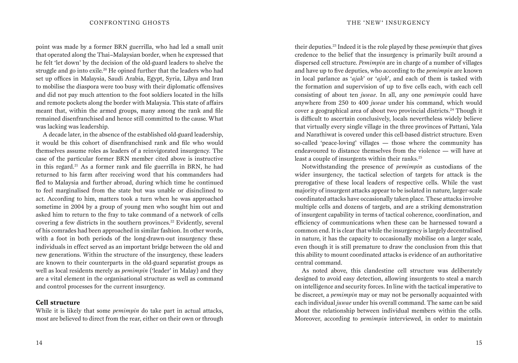point was made by a former BRN guerrilla, who had led a small unit that operated along the Thai–Malaysian border, when he expressed that he felt 'let down' by the decision of the old-guard leaders to shelve the struggle and go into exile.20 He opined further that the leaders who had set up offices in Malaysia, Saudi Arabia, Egypt, Syria, Libya and Iran to mobilise the diaspora were too busy with their diplomatic offensives and did not pay much attention to the foot soldiers located in the hills and remote pockets along the border with Malaysia. This state of affairs meant that, within the armed groups, many among the rank and file remained disenfranchised and hence still committed to the cause. What was lacking was leadership.

A decade later, in the absence of the established old-guard leadership, it would be this cohort of disenfranchised rank and file who would themselves assume roles as leaders of a reinvigorated insurgency. The case of the particular former BRN member cited above is instructive in this regard.21 As a former rank and file guerrilla in BRN, he had returned to his farm after receiving word that his commanders had fled to Malaysia and further abroad, during which time he continued to feel marginalised from the state but was unable or disinclined to act. According to him, matters took a turn when he was approached sometime in 2004 by a group of young men who sought him out and asked him to return to the fray to take command of a network of cells covering a few districts in the southern provinces.<sup>22</sup> Evidently, several of his comrades had been approached in similar fashion. In other words, with a foot in both periods of the long-drawn-out insurgency these individuals in effect served as an important bridge between the old and new generations. Within the structure of the insurgency, these leaders are known to their counterparts in the old-guard separatist groups as well as local residents merely as *pemimpin* ('leader' in Malay) and they are a vital element in the organisational structure as well as command and control processes for the current insurgency.

#### **Cell structure**

While it is likely that some *pemimpin* do take part in actual attacks, most are believed to direct from the rear, either on their own or through

their deputies.23 Indeed it is the role played by these *pemimpin* that gives credence to the belief that the insurgency is primarily built around a dispersed cell structure. *Pemimpin* are in charge of a number of villages and have up to five deputies, who according to the *pemimpin* are known in local parlance as '*ajak*' or '*ajok*', and each of them is tasked with the formation and supervision of up to five cells each, with each cell consisting of about ten *juwae*. In all, any one *pemimpin* could have anywhere from 250 to 400 *juwae* under his command, which would cover a geographical area of about two provincial districts.24 Though it is difficult to ascertain conclusively, locals nevertheless widely believe that virtually every single village in the three provinces of Pattani, Yala and Narathiwat is covered under this cell-based district structure. Even so-called 'peace-loving' villages — those where the community has endeavoured to distance themselves from the violence — will have at least a couple of insurgents within their ranks.<sup>25</sup>

Notwithstanding the presence of *pemimpin* as custodians of the wider insurgency, the tactical selection of targets for attack is the prerogative of these local leaders of respective cells. While the vast majority of insurgent attacks appear to be isolated in nature, larger-scale coordinated attacks have occasionally taken place. These attacks involve multiple cells and dozens of targets, and are a striking demonstration of insurgent capability in terms of tactical coherence, coordination, and efficiency of communications when these can be harnessed toward a common end. It is clear that while the insurgency is largely decentralised in nature, it has the capacity to occasionally mobilise on a larger scale, even though it is still premature to draw the conclusion from this that this ability to mount coordinated attacks is evidence of an authoritative central command.

As noted above, this clandestine cell structure was deliberately designed to avoid easy detection, allowing insurgents to steal a march on intelligence and security forces. In line with the tactical imperative to be discreet, a *pemimpin* may or may not be personally acquainted with each individual *juwae* under his overall command. The same can be said about the relationship between individual members within the cells. Moreover, according to *pemimpin* interviewed, in order to maintain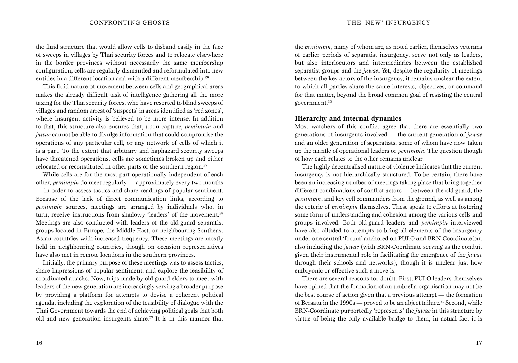the fluid structure that would allow cells to disband easily in the face of sweeps in villages by Thai security forces and to relocate elsewhere in the border provinces without necessarily the same membership configuration, cells are regularly dismantled and reformulated into new entities in a different location and with a different membership.<sup>26</sup>

This fluid nature of movement between cells and geographical areas makes the already difficult task of intelligence gathering all the more taxing for the Thai security forces, who have resorted to blind sweeps of villages and random arrest of 'suspects' in areas identified as 'red zones', where insurgent activity is believed to be more intense. In addition to that, this structure also ensures that, upon capture, *pemimpin* and *juwae* cannot be able to divulge information that could compromise the operations of any particular cell, or any network of cells of which it is a part. To the extent that arbitrary and haphazard security sweeps have threatened operations, cells are sometimes broken up and either relocated or reconstituted in other parts of the southern region.<sup>27</sup>

While cells are for the most part operationally independent of each other, *pemimpin* do meet regularly — approximately every two months — in order to assess tactics and share readings of popular sentiment. Because of the lack of direct communication links, according to *pemimpin* sources, meetings are arranged by individuals who, in turn, receive instructions from shadowy 'leaders' of the movement.<sup>28</sup> Meetings are also conducted with leaders of the old-guard separatist groups located in Europe, the Middle East, or neighbouring Southeast Asian countries with increased frequency. These meetings are mostly held in neighbouring countries, though on occasion representatives have also met in remote locations in the southern provinces.

Initially, the primary purpose of these meetings was to assess tactics, share impressions of popular sentiment, and explore the feasibility of coordinated attacks. Now, trips made by old-guard elders to meet with leaders of the new generation are increasingly serving a broader purpose by providing a platform for attempts to devise a coherent political agenda, including the exploration of the feasibility of dialogue with the Thai Government towards the end of achieving political goals that both old and new generation insurgents share.29 It is in this manner that

the *pemimpin*, many of whom are, as noted earlier, themselves veterans of earlier periods of separatist insurgency, serve not only as leaders, but also interlocutors and intermediaries between the established separatist groups and the *juwae*. Yet, despite the regularity of meetings between the key actors of the insurgency, it remains unclear the extent to which all parties share the same interests, objectives, or command for that matter, beyond the broad common goal of resisting the central government.30

#### **Hierarchy and internal dynamics**

Most watchers of this conflict agree that there are essentially two generations of insurgents involved — the current generation of *juwae* and an older generation of separatists, some of whom have now taken up the mantle of operational leaders or *pemimpin*. The question though of how each relates to the other remains unclear.

The highly decentralised nature of violence indicates that the current insurgency is not hierarchically structured. To be certain, there have been an increasing number of meetings taking place that bring together different combinations of conflict actors — between the old guard, the *pemimpin*, and key cell commanders from the ground, as well as among the coterie of *pemimpin* themselves. These speak to efforts at fostering some form of understanding and cohesion among the various cells and groups involved. Both old-guard leaders and *pemimpin* interviewed have also alluded to attempts to bring all elements of the insurgency under one central 'forum' anchored on PULO and BRN-Coordinate but also including the *juwae* (with BRN-Coordinate serving as the conduit given their instrumental role in facilitating the emergence of the *juwae* through their schools and networks), though it is unclear just how embryonic or effective such a move is.

There are several reasons for doubt. First, PULO leaders themselves have opined that the formation of an umbrella organisation may not be the best course of action given that a previous attempt — the formation of Bersatu in the 1990s — proved to be an abject failure.<sup>31</sup> Second, while BRN-Coordinate purportedly 'represents' the *juwae* in this structure by virtue of being the only available bridge to them, in actual fact it is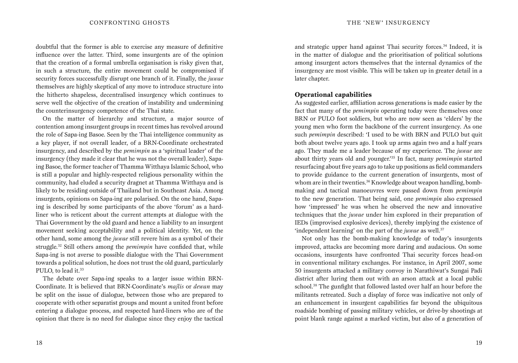doubtful that the former is able to exercise any measure of definitive influence over the latter. Third, some insurgents are of the opinion that the creation of a formal umbrella organisation is risky given that, in such a structure, the entire movement could be compromised if security forces successfully disrupt one branch of it. Finally, the *juwae* themselves are highly skeptical of any move to introduce structure into the hitherto shapeless, decentralised insurgency which continues to serve well the objective of the creation of instability and undermining the counterinsurgency competence of the Thai state.

On the matter of hierarchy and structure, a major source of contention among insurgent groups in recent times has revolved around the role of Sapa-ing Basoe. Seen by the Thai intelligence community as a key player, if not overall leader, of a BRN-Coordinate orchestrated insurgency, and described by the *pemimpin* as a 'spiritual leader' of the insurgency (they made it clear that he was not the overall leader), Sapaing Basoe, the former teacher of Thamma Witthaya Islamic School, who is still a popular and highly-respected religious personality within the community, had eluded a security dragnet at Thamma Witthaya and is likely to be residing outside of Thailand but in Southeast Asia. Among insurgents, opinions on Sapa-ing are polarised. On the one hand, Sapaing is described by some participants of the above 'forum' as a hardliner who is reticent about the current attempts at dialogue with the Thai Government by the old guard and hence a liability to an insurgent movement seeking acceptability and a political identity. Yet, on the other hand, some among the *juwae* still revere him as a symbol of their struggle.32 Still others among the *pemimpin* have confided that, while Sapa-ing is not averse to possible dialogue with the Thai Government towards a political solution, he does not trust the old guard, particularly PULO, to lead it.<sup>33</sup>

The debate over Sapa-ing speaks to a larger issue within BRN-Coordinate. It is believed that BRN-Coordinate's *majlis* or *dewan* may be split on the issue of dialogue, between those who are prepared to cooperate with other separatist groups and mount a united front before entering a dialogue process, and respected hard-liners who are of the opinion that there is no need for dialogue since they enjoy the tactical and strategic upper hand against Thai security forces.34 Indeed, it is in the matter of dialogue and the prioritisation of political solutions among insurgent actors themselves that the internal dynamics of the insurgency are most visible. This will be taken up in greater detail in a later chapter.

#### **Operational capabilities**

As suggested earlier, affiliation across generations is made easier by the fact that many of the *pemimpin* operating today were themselves once BRN or PULO foot soldiers, but who are now seen as 'elders' by the young men who form the backbone of the current insurgency. As one such *pemimpin* described: 'I used to be with BRN and PULO but quit both about twelve years ago. I took up arms again two and a half years ago. They made me a leader because of my experience. The *juwae* are about thirty years old and younger.'35 In fact, many *pemimpin* started resurfacing about five years ago to take up positions as field commanders to provide guidance to the current generation of insurgents, most of whom are in their twenties.<sup>36</sup> Knowledge about weapon handling, bombmaking and tactical manoeuvres were passed down from *pemimpin* to the new generation. That being said, one *pemimpin* also expressed how 'impressed' he was when he observed the new and innovative techniques that the *juwae* under him explored in their preparation of IEDs (improvised explosive devices), thereby implying the existence of 'independent learning' on the part of the *juwae* as well.37

Not only has the bomb-making knowledge of today's insurgents improved, attacks are becoming more daring and audacious. On some occasions, insurgents have confronted Thai security forces head-on in conventional military exchanges. For instance, in April 2007, some 50 insurgents attacked a military convoy in Narathiwat's Sungai Padi district after luring them out with an arson attack at a local public school.38 The gunfight that followed lasted over half an hour before the militants retreated. Such a display of force was indicative not only of an enhancement in insurgent capabilities far beyond the ubiquitous roadside bombing of passing military vehicles, or drive-by shootings at point blank range against a marked victim, but also of a generation of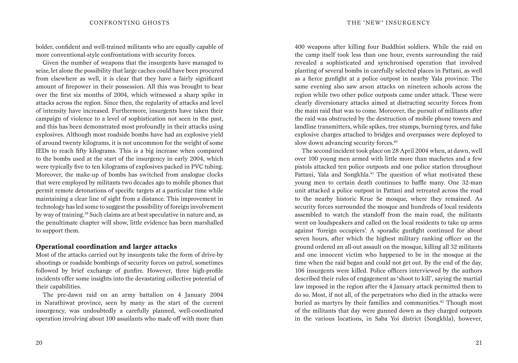bolder, confident and well-trained militants who are equally capable of more conventional-style confrontations with security forces.

Given the number of weapons that the insurgents have managed to seize, let alone the possibility that large caches could have been procured from elsewhere as well, it is clear that they have a fairly significant amount of firepower in their possession. All this was brought to bear over the first six months of 2004, which witnessed a sharp spike in attacks across the region. Since then, the regularity of attacks and level of intensity have increased. Furthermore, insurgents have taken their campaign of violence to a level of sophistication not seen in the past, and this has been demonstrated most profoundly in their attacks using explosives. Although most roadside bombs have had an explosive yield of around twenty kilograms, it is not uncommon for the weight of some IEDs to reach fifty kilograms. This is a big increase when compared to the bombs used at the start of the insurgency in early 2004, which were typically five to ten kilograms of explosives packed in PVC tubing. Moreover, the make-up of bombs has switched from analogue clocks that were employed by militants two decades ago to mobile phones that permit remote detonations of specific targets at a particular time while maintaining a clear line of sight from a distance. This improvement in technology has led some to suggest the possibility of foreign involvement by way of training.39 Such claims are at best speculative in nature and, as the penultimate chapter will show, little evidence has been marshalled to support them.

#### **Operational coordination and larger attacks**

Most of the attacks carried out by insurgents take the form of drive-by shootings or roadside bombings of security forces on patrol, sometimes followed by brief exchange of gunfire. However, three high-profile incidents offer some insights into the devastating collective potential of their capabilities.

The pre-dawn raid on an army battalion on 4 January 2004 in Narathiwat province, seen by many as the start of the current insurgency, was undoubtedly a carefully planned, well-coordinated operation involving about 100 assailants who made off with more than 400 weapons after killing four Buddhist soldiers. While the raid on the camp itself took less than one hour, events surrounding the raid revealed a sophisticated and synchronised operation that involved planting of several bombs in carefully selected places in Pattani, as well as a fierce gunfight at a police outpost in nearby Yala province. The same evening also saw arson attacks on nineteen schools across the region while two other police outposts came under attack. These were clearly diversionary attacks aimed at distracting security forces from the main raid that was to come. Moreover, the pursuit of militants after the raid was obstructed by the destruction of mobile phone towers and landline transmitters, while spikes, tree stumps, burning tyres, and fake explosive charges attached to bridges and overpasses were deployed to slow down advancing security forces.<sup>40</sup>

The second incident took place on 28 April 2004 when, at dawn, well over 100 young men armed with little more than machetes and a few pistols attacked ten police outposts and one police station throughout Pattani, Yala and Songkhla.<sup>41</sup> The question of what motivated these young men to certain death continues to baffle many. One 32-man unit attacked a police outpost in Pattani and retreated across the road to the nearby historic Krue Se mosque, where they remained. As security forces surrounded the mosque and hundreds of local residents assembled to watch the standoff from the main road, the militants went on loudspeakers and called on the local residents to take up arms against 'foreign occupiers'. A sporadic gunfight continued for about seven hours, after which the highest military ranking officer on the ground ordered an all-out assault on the mosque, killing all 32 militants and one innocent victim who happened to be in the mosque at the time when the raid began and could not get out. By the end of the day, 106 insurgents were killed. Police officers interviewed by the authors described their rules of engagement as 'shoot to kill', saying the martial law imposed in the region after the 4 January attack permitted them to do so. Most, if not all, of the perpetrators who died in the attacks were buried as martyrs by their families and communities.<sup>42</sup> Though most of the militants that day were gunned down as they charged outposts in the various locations, in Saba Yoi district (Songkhla), however,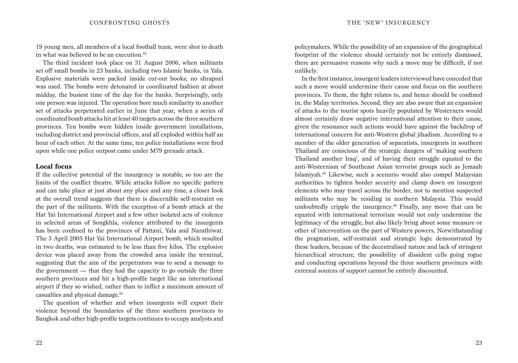19 young men, all members of a local football team, were shot to death in what was believed to be an execution.<sup>43</sup>

The third incident took place on 31 August 2006, when militants set off small bombs in 23 banks, including two Islamic banks, in Yala. Explosive materials were packed inside cut-out books; no shrapnel was used. The bombs were detonated in coordinated fashion at about midday, the busiest time of the day for the banks. Surprisingly, only one person was injured. The operation bore much similarity to another set of attacks perpetrated earlier in June that year, when a series of coordinated bomb attacks hit at least 40 targets across the three southern provinces. Ten bombs were hidden inside government installations, including district and provincial offices, and all exploded within half an hour of each other. At the same time, ten police installations were fired upon while one police outpost came under M79 grenade attack.

#### **Local focus**

If the collective potential of the insurgency is notable, so too are the limits of the conflict theatre. While attacks follow no specific pattern and can take place at just about any place and any time, a closer look at the overall trend suggests that there is discernible self-restraint on the part of the militants. With the exception of a bomb attack at the Hat Yai International Airport and a few other isolated acts of violence in selected areas of Songkhla, violence attributed to the insurgents has been confined to the provinces of Pattani, Yala and Narathiwat. The 3 April 2005 Hat Yai International Airport bomb, which resulted in two deaths, was estimated to be less than five kilos. The explosive device was placed away from the crowded area inside the terminal, suggesting that the aim of the perpetrators was to send a message to the government — that they had the capacity to go outside the three southern provinces and hit a high-profile target like an international airport if they so wished, rather than to inflict a maximum amount of casualties and physical damage.44

The question of whether and when insurgents will export their violence beyond the boundaries of the three southern provinces to Bangkok and other high-profile targets continues to occupy analysts and

policymakers. While the possibility of an expansion of the geographical footprint of the violence should certainly not be entirely dismissed, there are persuasive reasons why such a move may be difficult, if not unlikely.

In the first instance, insurgent leaders interviewed have conceded that such a move would undermine their cause and focus on the southern provinces. To them, the fight relates to, and hence should be confined in, the Malay territories. Second, they are also aware that an expansion of attacks to the tourist spots heavily populated by Westerners would almost certainly draw negative international attention to their cause, given the resonance such actions would have against the backdrop of international concern for anti-Western global jihadism. According to a member of the older generation of separatists, insurgents in southern Thailand are conscious of the strategic dangers of 'making southern Thailand another Iraq', and of having their struggle equated to the anti-Westernism of Southeast Asian terrorist groups such as Jemaah Islamiyah.45 Likewise, such a scenario would also compel Malaysian authorities to tighten border security and clamp down on insurgent elements who may travel across the border, not to mention suspected militants who may be residing in northern Malaysia. This would undoubtedly cripple the insurgency.46 Finally, any move that can be equated with international terrorism would not only undermine the legitimacy of the struggle, but also likely bring about some measure or other of intervention on the part of Western powers. Notwithstanding the pragmatism, self-restraint and strategic logic demonstrated by these leaders, because of the decentralised nature and lack of stringent hierarchical structure, the possibility of dissident cells going rogue and conducting operations beyond the three southern provinces with external sources of support cannot be entirely discounted.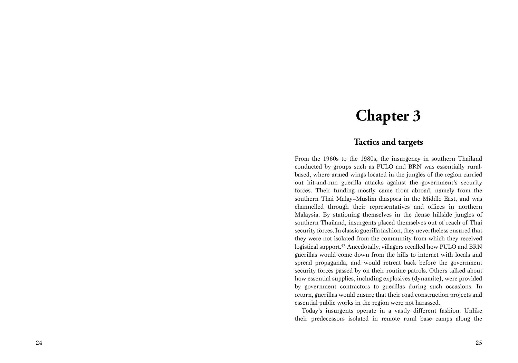## **Chapter 3**

### **Tactics and targets**

From the 1960s to the 1980s, the insurgency in southern Thailand conducted by groups such as PULO and BRN was essentially ruralbased, where armed wings located in the jungles of the region carried out hit-and-run guerilla attacks against the government's security forces. Their funding mostly came from abroad, namely from the southern Thai Malay–Muslim diaspora in the Middle East, and was channelled through their representatives and offices in northern Malaysia. By stationing themselves in the dense hillside jungles of southern Thailand, insurgents placed themselves out of reach of Thai security forces. In classic guerilla fashion, they nevertheless ensured that they were not isolated from the community from which they received logistical support.<sup>47</sup> Anecdotally, villagers recalled how PULO and BRN guerillas would come down from the hills to interact with locals and spread propaganda, and would retreat back before the government security forces passed by on their routine patrols. Others talked about how essential supplies, including explosives (dynamite), were provided by government contractors to guerillas during such occasions. In return, guerillas would ensure that their road construction projects and essential public works in the region were not harassed.

Today's insurgents operate in a vastly different fashion. Unlike their predecessors isolated in remote rural base camps along the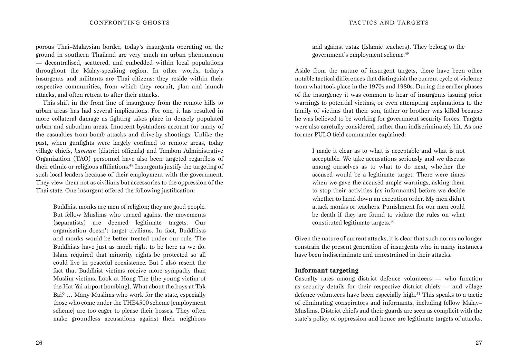porous Thai–Malaysian border, today's insurgents operating on the ground in southern Thailand are very much an urban phenomenon — decentralised, scattered, and embedded within local populations throughout the Malay-speaking region. In other words, today's insurgents and militants are Thai citizens: they reside within their respective communities, from which they recruit, plan and launch attacks, and often retreat to after their attacks.

This shift in the front line of insurgency from the remote hills to urban areas has had several implications. For one, it has resulted in more collateral damage as fighting takes place in densely populated urban and suburban areas. Innocent bystanders account for many of the casualties from bomb attacks and drive-by shootings. Unlike the past, when gunfights were largely confined to remote areas, today village chiefs, *kamnan* (district officials) and Tambon Administrative Organization (TAO) personnel have also been targeted regardless of their ethnic or religious affiliations.48 Insurgents justify the targeting of such local leaders because of their employment with the government. They view them not as civilians but accessories to the oppression of the Thai state. One insurgent offered the following justification:

Buddhist monks are men of religion; they are good people. But fellow Muslims who turned against the movements (separatists) are deemed legitimate targets. Our organisation doesn't target civilians. In fact, Buddhists and monks would be better treated under our rule. The Buddhists have just as much right to be here as we do. Islam required that minority rights be protected so all could live in peaceful coexistence. But I also resent the fact that Buddhist victims receive more sympathy than Muslim victims. Look at Hong The (the young victim of the Hat Yai airport bombing). What about the boys at Tak Bai? … Many Muslims who work for the state, especially those who come under the THB4500 scheme [employment scheme] are too eager to please their bosses. They often make groundless accusations against their neighbors

and against ustaz (Islamic teachers). They belong to the government's employment scheme.49

Aside from the nature of insurgent targets, there have been other notable tactical differences that distinguish the current cycle of violence from what took place in the 1970s and 1980s. During the earlier phases of the insurgency it was common to hear of insurgents issuing prior warnings to potential victims, or even attempting explanations to the family of victims that their son, father or brother was killed because he was believed to be working for government security forces. Targets were also carefully considered, rather than indiscriminately hit. As one former PULO field commander explained:

I made it clear as to what is acceptable and what is not acceptable. We take accusations seriously and we discuss among ourselves as to what to do next, whether the accused would be a legitimate target. There were times when we gave the accused ample warnings, asking them to stop their activities (as informants) before we decide whether to hand down an execution order. My men didn't attack monks or teachers. Punishment for our men could be death if they are found to violate the rules on what constituted legitimate targets.50

Given the nature of current attacks, it is clear that such norms no longer constrain the present generation of insurgents who in many instances have been indiscriminate and unrestrained in their attacks.

#### **Informant targeting**

Casualty rates among district defence volunteers — who function as security details for their respective district chiefs — and village defence volunteers have been especially high.51 This speaks to a tactic of eliminating conspirators and informants, including fellow Malay– Muslims. District chiefs and their guards are seen as complicit with the state's policy of oppression and hence are legitimate targets of attacks.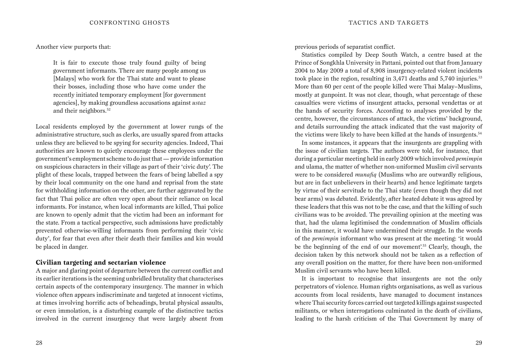#### Another view purports that:

It is fair to execute those truly found guilty of being government informants. There are many people among us [Malays] who work for the Thai state and want to please their bosses, including those who have come under the recently initiated temporary employment [for government agencies], by making groundless accusations against *ustaz* and their neighbors.<sup>52</sup>

Local residents employed by the government at lower rungs of the administrative structure, such as clerks, are usually spared from attacks unless they are believed to be spying for security agencies. Indeed, Thai authorities are known to quietly encourage these employees under the government's employment scheme to do just that — provide information on suspicious characters in their village as part of their 'civic duty'. The plight of these locals, trapped between the fears of being labelled a spy by their local community on the one hand and reprisal from the state for withholding information on the other, are further aggravated by the fact that Thai police are often very open about their reliance on local informants. For instance, when local informants are killed, Thai police are known to openly admit that the victim had been an informant for the state. From a tactical perspective, such admissions have predictably prevented otherwise-willing informants from performing their 'civic duty', for fear that even after their death their families and kin would be placed in danger.

#### **Civilian targeting and sectarian violence**

A major and glaring point of departure between the current conflict and its earlier iterations is the seeming unbridled brutality that characterises certain aspects of the contemporary insurgency. The manner in which violence often appears indiscriminate and targeted at innocent victims, at times involving horrific acts of beheadings, brutal physical assaults, or even immolation, is a disturbing example of the distinctive tactics involved in the current insurgency that were largely absent from

previous periods of separatist conflict.

Statistics compiled by Deep South Watch, a centre based at the Prince of Songkhla University in Pattani, pointed out that from January 2004 to May 2009 a total of 8,908 insurgency-related violent incidents took place in the region, resulting in  $3,471$  deaths and  $5,740$  injuries.<sup>53</sup> More than 60 per cent of the people killed were Thai Malay–Muslims, mostly at gunpoint. It was not clear, though, what percentage of these casualties were victims of insurgent attacks, personal vendettas or at the hands of security forces. According to analyses provided by the centre, however, the circumstances of attack, the victims' background, and details surrounding the attack indicated that the vast majority of the victims were likely to have been killed at the hands of insurgents.54

In some instances, it appears that the insurgents are grappling with the issue of civilian targets. The authors were told, for instance, that during a particular meeting held in early 2009 which involved *pemimpin* and ulama, the matter of whether non-uniformed Muslim civil servants were to be considered *munafiq* (Muslims who are outwardly religious, but are in fact unbelievers in their hearts) and hence legitimate targets by virtue of their servitude to the Thai state (even though they did not bear arms) was debated. Evidently, after heated debate it was agreed by these leaders that this was not to be the case, and that the killing of such civilians was to be avoided. The prevailing opinion at the meeting was that, had the ulama legitimised the condemnation of Muslim officials in this manner, it would have undermined their struggle. In the words of the *pemimpin* informant who was present at the meeting: 'it would be the beginning of the end of our movement'.55 Clearly, though, the decision taken by this network should not be taken as a reflection of any overall position on the matter, for there have been non-uniformed Muslim civil servants who have been killed.

It is important to recognise that insurgents are not the only perpetrators of violence. Human rights organisations, as well as various accounts from local residents, have managed to document instances where Thai security forces carried out targeted killings against suspected militants, or when interrogations culminated in the death of civilians, leading to the harsh criticism of the Thai Government by many of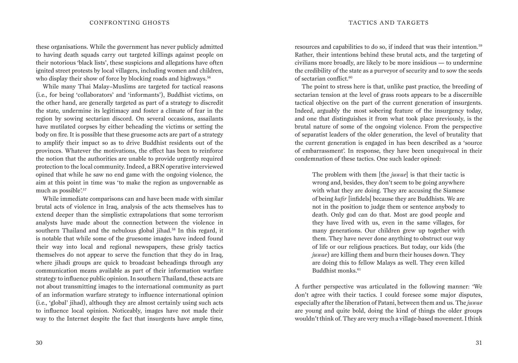these organisations. While the government has never publicly admitted to having death squads carry out targeted killings against people on their notorious 'black lists', these suspicions and allegations have often ignited street protests by local villagers, including women and children, who display their show of force by blocking roads and highways.<sup>56</sup>

While many Thai Malay–Muslims are targeted for tactical reasons (i.e., for being 'collaborators' and 'informants'), Buddhist victims, on the other hand, are generally targeted as part of a strategy to discredit the state, undermine its legitimacy and foster a climate of fear in the region by sowing sectarian discord. On several occasions, assailants have mutilated corpses by either beheading the victims or setting the body on fire. It is possible that these gruesome acts are part of a strategy to amplify their impact so as to drive Buddhist residents out of the provinces. Whatever the motivations, the effect has been to reinforce the notion that the authorities are unable to provide urgently required protection to the local community. Indeed, a BRN operative interviewed opined that while he saw no end game with the ongoing violence, the aim at this point in time was 'to make the region as ungovernable as much as possible'.<sup>57</sup>

While immediate comparisons can and have been made with similar brutal acts of violence in Iraq, analysis of the acts themselves has to extend deeper than the simplistic extrapolations that some terrorism analysts have made about the connection between the violence in southern Thailand and the nebulous global jihad.<sup>58</sup> In this regard, it is notable that while some of the gruesome images have indeed found their way into local and regional newspapers, these grisly tactics themselves do not appear to serve the function that they do in Iraq, where jihadi groups are quick to broadcast beheadings through any communication means available as part of their information warfare strategy to influence public opinion. In southern Thailand, these acts are not about transmitting images to the international community as part of an information warfare strategy to influence international opinion (i.e., 'global' jihad), although they are almost certainly using such acts to influence local opinion. Noticeably, images have not made their way to the Internet despite the fact that insurgents have ample time,

resources and capabilities to do so, if indeed that was their intention.59 Rather, their intentions behind these brutal acts, and the targeting of civilians more broadly, are likely to be more insidious — to undermine the credibility of the state as a purveyor of security and to sow the seeds of sectarian conflict.<sup>60</sup>

The point to stress here is that, unlike past practice, the breeding of sectarian tension at the level of grass roots appears to be a discernible tactical objective on the part of the current generation of insurgents. Indeed, arguably the most sobering feature of the insurgency today, and one that distinguishes it from what took place previously, is the brutal nature of some of the ongoing violence. From the perspective of separatist leaders of the older generation, the level of brutality that the current generation is engaged in has been described as a 'source of embarrassment'. In response, they have been unequivocal in their condemnation of these tactics. One such leader opined:

The problem with them [the *juwae*] is that their tactic is wrong and, besides, they don't seem to be going anywhere with what they are doing. They are accusing the Siamese of being *kafir* [infidels] because they are Buddhists. We are not in the position to judge them or sentence anybody to death. Only god can do that. Most are good people and they have lived with us, even in the same villages, for many generations. Our children grew up together with them. They have never done anything to obstruct our way of life or our religious practices. But today, our kids (the *juwae*) are killing them and burn their houses down. They are doing this to fellow Malays as well. They even killed Buddhist monks.<sup>61</sup>

A further perspective was articulated in the following manner: 'We don't agree with their tactics. I could foresee some major disputes, especially after the liberation of Patani, between them and us. The *juwae* are young and quite bold, doing the kind of things the older groups wouldn't think of. They are very much a village-based movement. I think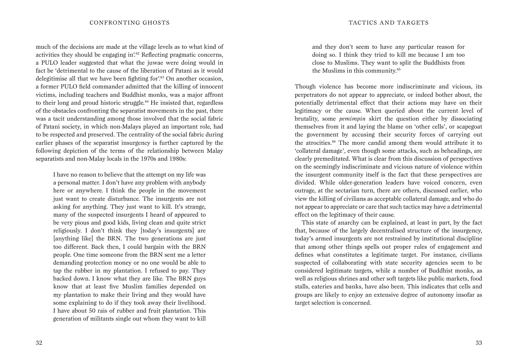much of the decisions are made at the village levels as to what kind of activities they should be engaging in.<sup>62</sup> Reflecting pragmatic concerns, a PULO leader suggested that what the juwae were doing would in fact be 'detrimental to the cause of the liberation of Patani as it would delegitimise all that we have been fighting for'.<sup>63</sup> On another occasion, a former PULO field commander admitted that the killing of innocent victims, including teachers and Buddhist monks, was a major affront to their long and proud historic struggle. $64$  He insisted that, regardless of the obstacles confronting the separatist movements in the past, there was a tacit understanding among those involved that the social fabric of Patani society, in which non-Malays played an important role, had to be respected and preserved. The centrality of the social fabric during earlier phases of the separatist insurgency is further captured by the following depiction of the terms of the relationship between Malay separatists and non-Malay locals in the 1970s and 1980s:

I have no reason to believe that the attempt on my life was a personal matter. I don't have any problem with anybody here or anywhere. I think the people in the movement just want to create disturbance. The insurgents are not asking for anything. They just want to kill. It's strange, many of the suspected insurgents I heard of appeared to be very pious and good kids, living clean and quite strict religiously. I don't think they [today's insurgents] are [anything like] the BRN. The two generations are just too different. Back then, I could bargain with the BRN people. One time someone from the BRN sent me a letter demanding protection money or no one would be able to tap the rubber in my plantation. I refused to pay. They backed down. I know what they are like. The BRN guys know that at least five Muslim families depended on my plantation to make their living and they would have some explaining to do if they took away their livelihood. I have about 50 rais of rubber and fruit plantation. This generation of militants single out whom they want to kill and they don't seem to have any particular reason for doing so. I think they tried to kill me because I am too close to Muslims. They want to split the Buddhists from the Muslims in this community.65

Though violence has become more indiscriminate and vicious, its perpetrators do not appear to appreciate, or indeed bother about, the potentially detrimental effect that their actions may have on their legitimacy or the cause. When queried about the current level of brutality, some *pemimpin* skirt the question either by dissociating themselves from it and laying the blame on 'other cells', or scapegoat the government by accusing their security forces of carrying out the atrocities.66 The more candid among them would attribute it to 'collateral damage', even though some attacks, such as beheadings, are clearly premeditated. What is clear from this discussion of perspectives on the seemingly indiscriminate and vicious nature of violence within the insurgent community itself is the fact that these perspectives are divided. While older-generation leaders have voiced concern, even outrage, at the sectarian turn, there are others, discussed earlier, who view the killing of civilians as acceptable collateral damage, and who do not appear to appreciate or care that such tactics may have a detrimental effect on the legitimacy of their cause.

This state of anarchy can be explained, at least in part, by the fact that, because of the largely decentralised structure of the insurgency, today's armed insurgents are not restrained by institutional discipline that among other things spells out proper rules of engagement and defines what constitutes a legitimate target. For instance, civilians suspected of collaborating with state security agencies seem to be considered legitimate targets, while a number of Buddhist monks, as well as religious shrines and other soft targets like public markets, food stalls, eateries and banks, have also been. This indicates that cells and groups are likely to enjoy an extensive degree of autonomy insofar as target selection is concerned.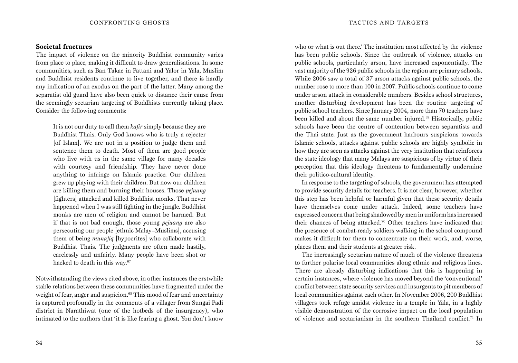#### **Societal fractures**

The impact of violence on the minority Buddhist community varies from place to place, making it difficult to draw generalisations. In some communities, such as Ban Takae in Pattani and Yalor in Yala, Muslim and Buddhist residents continue to live together, and there is hardly any indication of an exodus on the part of the latter. Many among the separatist old guard have also been quick to distance their cause from the seemingly sectarian targeting of Buddhists currently taking place. Consider the following comments:

It is not our duty to call them *kafir* simply because they are Buddhist Thais. Only God knows who is truly a rejecter [of Islam]. We are not in a position to judge them and sentence them to death. Most of them are good people who live with us in the same village for many decades with courtesy and friendship. They have never done anything to infringe on Islamic practice. Our children grew up playing with their children. But now our children are killing them and burning their houses. Those *pejuang* [fighters] attacked and killed Buddhist monks. That never happened when I was still fighting in the jungle. Buddhist monks are men of religion and cannot be harmed. But if that is not bad enough, those young *pejuang* are also persecuting our people [ethnic Malay–Muslims], accusing them of being *munafiq* [hypocrites] who collaborate with Buddhist Thais. The judgments are often made hastily, carelessly and unfairly. Many people have been shot or hacked to death in this way.<sup>67</sup>

Notwithstanding the views cited above, in other instances the erstwhile stable relations between these communities have fragmented under the weight of fear, anger and suspicion.<sup>68</sup> This mood of fear and uncertainty is captured profoundly in the comments of a villager from Sungai Padi district in Narathiwat (one of the hotbeds of the insurgency), who intimated to the authors that 'it is like fearing a ghost. You don't know

who or what is out there.' The institution most affected by the violence has been public schools. Since the outbreak of violence, attacks on public schools, particularly arson, have increased exponentially. The vast majority of the 926 public schools in the region are primary schools. While 2006 saw a total of 37 arson attacks against public schools, the number rose to more than 100 in 2007. Public schools continue to come under arson attack in considerable numbers. Besides school structures, another disturbing development has been the routine targeting of public school teachers. Since January 2004, more than 70 teachers have been killed and about the same number injured.<sup>69</sup> Historically, public schools have been the centre of contention between separatists and the Thai state. Just as the government harbours suspicions towards Islamic schools, attacks against public schools are highly symbolic in how they are seen as attacks against the very institution that reinforces the state ideology that many Malays are suspicious of by virtue of their perception that this ideology threatens to fundamentally undermine their politico-cultural identity.

In response to the targeting of schools, the government has attempted to provide security details for teachers. It is not clear, however, whether this step has been helpful or harmful given that these security details have themselves come under attack. Indeed, some teachers have expressed concern that being shadowed by men in uniform has increased their chances of being attacked.70 Other teachers have indicated that the presence of combat-ready soldiers walking in the school compound makes it difficult for them to concentrate on their work, and, worse, places them and their students at greater risk.

The increasingly sectarian nature of much of the violence threatens to further polarise local communities along ethnic and religious lines. There are already disturbing indications that this is happening in certain instances, where violence has moved beyond the 'conventional' conflict between state security services and insurgents to pit members of local communities against each other. In November 2006, 200 Buddhist villagers took refuge amidst violence in a temple in Yala, in a highly visible demonstration of the corrosive impact on the local population of violence and sectarianism in the southern Thailand conflict.<sup>71</sup> In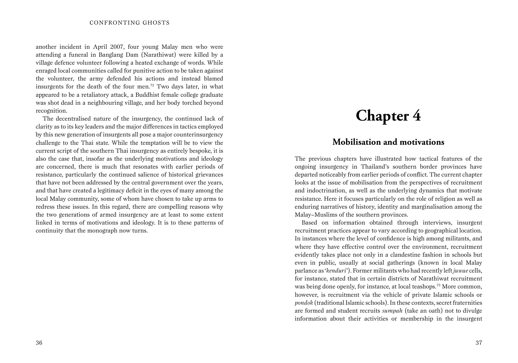another incident in April 2007, four young Malay men who were attending a funeral in Banglang Dam (Narathiwat) were killed by a village defence volunteer following a heated exchange of words. While enraged local communities called for punitive action to be taken against the volunteer, the army defended his actions and instead blamed insurgents for the death of the four men.72 Two days later, in what appeared to be a retaliatory attack, a Buddhist female college graduate was shot dead in a neighbouring village, and her body torched beyond recognition.

The decentralised nature of the insurgency, the continued lack of clarity as to its key leaders and the major differences in tactics employed by this new generation of insurgents all pose a major counterinsurgency challenge to the Thai state. While the temptation will be to view the current script of the southern Thai insurgency as entirely bespoke, it is also the case that, insofar as the underlying motivations and ideology are concerned, there is much that resonates with earlier periods of resistance, particularly the continued salience of historical grievances that have not been addressed by the central government over the years, and that have created a legitimacy deficit in the eyes of many among the local Malay community, some of whom have chosen to take up arms to redress these issues. In this regard, there are compelling reasons why the two generations of armed insurgency are at least to some extent linked in terms of motivations and ideology. It is to these patterns of continuity that the monograph now turns.

# **Chapter 4**

### **Mobilisation and motivations**

The previous chapters have illustrated how tactical features of the ongoing insurgency in Thailand's southern border provinces have departed noticeably from earlier periods of conflict. The current chapter looks at the issue of mobilisation from the perspectives of recruitment and indoctrination, as well as the underlying dynamics that motivate resistance. Here it focuses particularly on the role of religion as well as enduring narratives of history, identity and marginalisation among the Malay–Muslims of the southern provinces.

Based on information obtained through interviews, insurgent recruitment practices appear to vary according to geographical location. In instances where the level of confidence is high among militants, and where they have effective control over the environment, recruitment evidently takes place not only in a clandestine fashion in schools but even in public, usually at social gatherings (known in local Malay parlance as '*kenduri*'). Former militants who had recently left *juwae* cells, for instance, stated that in certain districts of Narathiwat recruitment was being done openly, for instance, at local teashops.<sup>73</sup> More common, however, is recruitment via the vehicle of private Islamic schools or *pondok* (traditional Islamic schools). In these contexts, secret fraternities are formed and student recruits *sumpah* (take an oath) not to divulge information about their activities or membership in the insurgent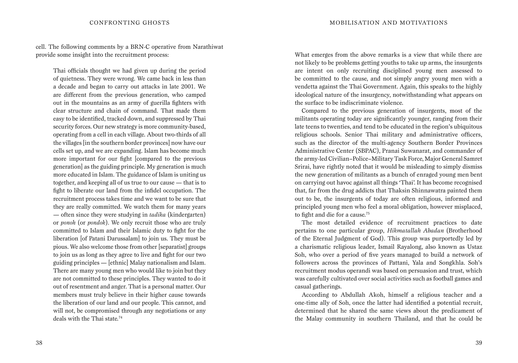cell. The following comments by a BRN-C operative from Narathiwat provide some insight into the recruitment process:

Thai officials thought we had given up during the period of quietness. They were wrong. We came back in less than a decade and began to carry out attacks in late 2001. We are different from the previous generation, who camped out in the mountains as an army of guerilla fighters with clear structure and chain of command. That made them easy to be identified, tracked down, and suppressed by Thai security forces. Our new strategy is more community-based, operating from a cell in each village. About two-thirds of all the villages [in the southern border provinces] now have our cells set up, and we are expanding. Islam has become much more important for our fight [compared to the previous generation] as the guiding principle. My generation is much more educated in Islam. The guidance of Islam is uniting us together, and keeping all of us true to our cause — that is to fight to liberate our land from the infidel occupation. The recruitment process takes time and we want to be sure that they are really committed. We watch them for many years — often since they were studying in *tadika* (kindergarten) or *ponoh* (or *pondok*). We only recruit those who are truly committed to Islam and their Islamic duty to fight for the liberation [of Patani Darussalam] to join us. They must be pious. We also welcome those from other [separatist] groups to join us as long as they agree to live and fight for our two guiding principles — [ethnic] Malay nationalism and Islam. There are many young men who would like to join but they are not committed to these principles. They wanted to do it out of resentment and anger. That is a personal matter. Our members must truly believe in their higher cause towards the liberation of our land and our people. This cannot, and will not, be compromised through any negotiations or any deals with the Thai state.74

What emerges from the above remarks is a view that while there are not likely to be problems getting youths to take up arms, the insurgents are intent on only recruiting disciplined young men assessed to be committed to the cause, and not simply angry young men with a vendetta against the Thai Government. Again, this speaks to the highly ideological nature of the insurgency, notwithstanding what appears on the surface to be indiscriminate violence.

Compared to the previous generation of insurgents, most of the militants operating today are significantly younger, ranging from their late teens to twenties, and tend to be educated in the region's ubiquitous religious schools. Senior Thai military and administrative officers, such as the director of the multi-agency Southern Border Provinces Administrative Center (SBPAC), Pranai Suwanarat, and commander of the army-led Civilian–Police–Military Task Force, Major General Samret Srirai, have rightly noted that it would be misleading to simply dismiss the new generation of militants as a bunch of enraged young men bent on carrying out havoc against all things 'Thai'. It has become recognised that, far from the drug addicts that Thaksin Shinnawatra painted them out to be, the insurgents of today are often religious, informed and principled young men who feel a moral obligation, however misplaced, to fight and die for a cause.<sup>75</sup>

The most detailed evidence of recruitment practices to date pertains to one particular group, *Hikmatallah Abadan* (Brotherhood of the Eternal Judgment of God). This group was purportedly led by a charismatic religious leader, Ismail Rayalong, also known as Ustaz Soh, who over a period of five years managed to build a network of followers across the provinces of Pattani, Yala and Songkhla. Soh's recruitment modus operandi was based on persuasion and trust, which was carefully cultivated over social activities such as football games and casual gatherings.

According to Abdullah Akoh, himself a religious teacher and a one-time ally of Soh, once the latter had identified a potential recruit, determined that he shared the same views about the predicament of the Malay community in southern Thailand, and that he could be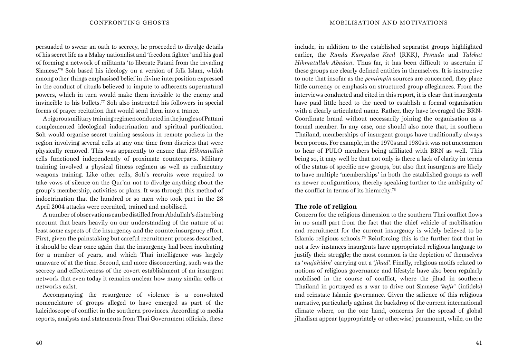persuaded to swear an oath to secrecy, he proceeded to divulge details of his secret life as a Malay nationalist and 'freedom fighter' and his goal of forming a network of militants 'to liberate Patani from the invading Siamese.'76 Soh based his ideology on a version of folk Islam, which among other things emphasised belief in divine interposition expressed in the conduct of rituals believed to impute to adherents supernatural powers, which in turn would make them invisible to the enemy and invincible to his bullets.77 Soh also instructed his followers in special forms of prayer recitation that would send them into a trance.

A rigorous military training regimen conducted in the jungles of Pattani complemented ideological indoctrination and spiritual purification. Soh would organise secret training sessions in remote pockets in the region involving several cells at any one time from districts that were physically removed. This was apparently to ensure that *Hikmatullah* cells functioned independently of proximate counterparts. Military training involved a physical fitness regimen as well as rudimentary weapons training. Like other cells, Soh's recruits were required to take vows of silence on the Qur'an not to divulge anything about the group's membership, activities or plans. It was through this method of indoctrination that the hundred or so men who took part in the 28 April 2004 attacks were recruited, trained and mobilised.

A number of observations can be distilled from Abdullah's disturbing account that bears heavily on our understanding of the nature of at least some aspects of the insurgency and the counterinsurgency effort. First, given the painstaking but careful recruitment process described, it should be clear once again that the insurgency had been incubating for a number of years, and which Thai intelligence was largely unaware of at the time. Second, and more disconcerting, such was the secrecy and effectiveness of the covert establishment of an insurgent network that even today it remains unclear how many similar cells or networks exist.

Accompanying the resurgence of violence is a convoluted nomenclature of groups alleged to have emerged as part of the kaleidoscope of conflict in the southern provinces. According to media reports, analysts and statements from Thai Government officials, these

include, in addition to the established separatist groups highlighted earlier, the *Runda Kumpulan Kecil* (RKK), *Pemuda* and *Talekat Hikmatullah Abadan*. Thus far, it has been difficult to ascertain if these groups are clearly defined entities in themselves. It is instructive to note that insofar as the *pemimpin* sources are concerned, they place little currency or emphasis on structured group allegiances. From the interviews conducted and cited in this report, it is clear that insurgents have paid little heed to the need to establish a formal organisation with a clearly articulated name. Rather, they have leveraged the BRN-Coordinate brand without necessarily joining the organisation as a formal member. In any case, one should also note that, in southern Thailand, memberships of insurgent groups have traditionally always been porous. For example, in the 1970s and 1980s it was not uncommon to hear of PULO members being affiliated with BRN as well. This being so, it may well be that not only is there a lack of clarity in terms of the status of specific new groups, but also that insurgents are likely to have multiple 'memberships' in both the established groups as well as newer configurations, thereby speaking further to the ambiguity of the conflict in terms of its hierarchy.<sup>78</sup>

#### **The role of religion**

Concern for the religious dimension to the southern Thai conflict flows in no small part from the fact that the chief vehicle of mobilisation and recruitment for the current insurgency is widely believed to be Islamic religious schools.79 Reinforcing this is the further fact that in not a few instances insurgents have appropriated religious language to justify their struggle; the most common is the depiction of themselves as '*mujahidin*' carrying out a '*jihad*'. Finally, religious motifs related to notions of religious governance and lifestyle have also been regularly mobilised in the course of conflict, where the jihad in southern Thailand in portrayed as a war to drive out Siamese '*kafir*' (infidels) and reinstate Islamic governance. Given the salience of this religious narrative, particularly against the backdrop of the current international climate where, on the one hand, concerns for the spread of global jihadism appear (appropriately or otherwise) paramount, while, on the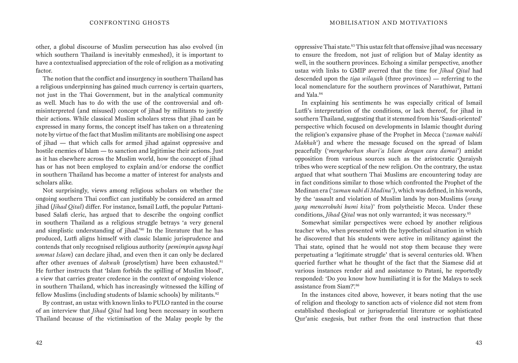other, a global discourse of Muslim persecution has also evolved (in which southern Thailand is inevitably enmeshed), it is important to have a contextualised appreciation of the role of religion as a motivating factor.

The notion that the conflict and insurgency in southern Thailand has a religious underpinning has gained much currency is certain quarters, not just in the Thai Government, but in the analytical community as well. Much has to do with the use of the controversial and oftmisinterpreted (and misused) concept of jihad by militants to justify their actions. While classical Muslim scholars stress that jihad can be expressed in many forms, the concept itself has taken on a threatening note by virtue of the fact that Muslim militants are mobilising one aspect of jihad — that which calls for armed jihad against oppressive and hostile enemies of Islam — to sanction and legitimise their actions. Just as it has elsewhere across the Muslim world, how the concept of jihad has or has not been employed to explain and/or endorse the conflict in southern Thailand has become a matter of interest for analysts and scholars alike.

Not surprisingly, views among religious scholars on whether the ongoing southern Thai conflict can justifiably be considered an armed jihad (*Jihad Qital*) differ. For instance, Ismail Lutfi, the popular Pattanibased Salafi cleric, has argued that to describe the ongoing conflict in southern Thailand as a religious struggle betrays 'a very general and simplistic understanding of jihad.'80 In the literature that he has produced, Lutfi aligns himself with classic Islamic jurisprudence and contends that only recognised religious authority (*pemimpin agung bagi ummat Islam*) can declare jihad, and even then it can only be declared after other avenues of *dakwah* (proselytism) have been exhausted.<sup>81</sup> He further instructs that 'Islam forbids the spilling of Muslim blood', a view that carries greater credence in the context of ongoing violence in southern Thailand, which has increasingly witnessed the killing of fellow Muslims (including students of Islamic schools) by militants.<sup>82</sup>

By contrast, an ustaz with known links to PULO ranted in the course of an interview that *Jihad Qital* had long been necessary in southern Thailand because of the victimisation of the Malay people by the oppressive Thai state.83 This ustaz felt that offensive jihad was necessary to ensure the freedom, not just of religion but of Malay identity as well, in the southern provinces. Echoing a similar perspective, another ustaz with links to GMIP averred that the time for *Jihad Qital* had descended upon the *tiga wilayah* (three provinces) — referring to the local nomenclature for the southern provinces of Narathiwat, Pattani and Yala.84

In explaining his sentiments he was especially critical of Ismail Lutfi's interpretation of the conditions, or lack thereof, for jihad in southern Thailand, suggesting that it stemmed from his 'Saudi-oriented' perspective which focused on developments in Islamic thought during the religion's expansive phase of the Prophet in Mecca ('*zaman nabidi Makkah*') and where the message focused on the spread of Islam peacefully ('*menyebarkan shari'a Islam dengan cara damai*') amidst opposition from various sources such as the aristocratic Quraiysh tribes who were sceptical of the new religion. On the contrary, the ustaz argued that what southern Thai Muslims are encountering today are in fact conditions similar to those which confronted the Prophet of the Medinan era ('*zaman nabi di Madina*'), which was defined, in his words, by the 'assault and violation of Muslim lands by non-Muslims (*orang yang mencerobuhi bumi kita*)' from polytheistic Mecca. Under these conditions, *Jihad Oital* was not only warranted; it was necessary.<sup>85</sup>

Somewhat similar perspectives were echoed by another religious teacher who, when presented with the hypothetical situation in which he discovered that his students were active in militancy against the Thai state, opined that he would not stop them because they were perpetuating a 'legitimate struggle' that is several centuries old. When queried further what he thought of the fact that the Siamese did at various instances render aid and assistance to Patani, he reportedly responded: 'Do you know how humiliating it is for the Malays to seek assistance from Siam?'.86

In the instances cited above, however, it bears noting that the use of religion and theology to sanction acts of violence did not stem from established theological or jurisprudential literature or sophisticated Qur'anic exegesis, but rather from the oral instruction that these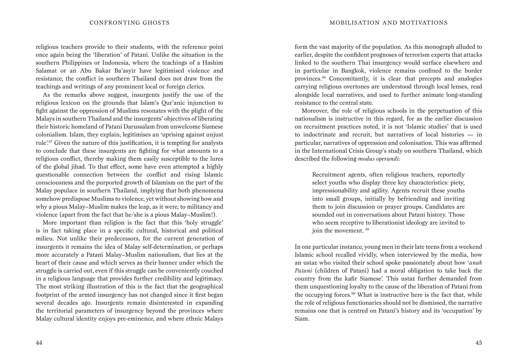religious teachers provide to their students, with the reference point once again being the 'liberation' of Patani. Unlike the situation in the southern Philippines or Indonesia, where the teachings of a Hashim Salamat or an Abu Bakar Ba'asyir have legitimised violence and resistance, the conflict in southern Thailand does not draw from the teachings and writings of any prominent local or foreign clerics.

As the remarks above suggest, insurgents justify the use of the religious lexicon on the grounds that Islam's Qur'anic injunction to fight against the oppression of Muslims resonates with the plight of the Malays in southern Thailand and the insurgents' objectives of liberating their historic homeland of Patani Darussalam from unwelcome Siamese colonialism. Islam, they explain, legitimises an 'uprising against unjust rule'.87 Given the nature of this justification, it is tempting for analysts to conclude that these insurgents are fighting for what amounts to a religious conflict, thereby making them easily susceptible to the lures of the global jihad. To that effect, some have even attempted a highly questionable connection between the conflict and rising Islamic consciousness and the purported growth of Islamism on the part of the Malay populace in southern Thailand, implying that both phenomena somehow predispose Muslims to violence, yet without showing how and why a pious Malay–Muslim makes the leap, as it were, to militancy and violence (apart from the fact that he/she is a pious Malay–Muslim!).

More important than religion is the fact that this 'holy struggle' is in fact taking place in a specific cultural, historical and political milieu. Not unlike their predecessors, for the current generation of insurgents it remains the idea of Malay self-determination, or perhaps more accurately a Patani Malay–Muslim nationalism, that lies at the heart of their cause and which serves as their banner under which the struggle is carried out, even if this struggle can be conveniently couched in a religious language that provides further credibility and legitimacy. The most striking illustration of this is the fact that the geographical footprint of the armed insurgency has not changed since it first began several decades ago. Insurgents remain disinterested in expanding the territorial parameters of insurgency beyond the provinces where Malay cultural identity enjoys pre-eminence, and where ethnic Malays

form the vast majority of the population. As this monograph alluded to earlier, despite the confident prognoses of terrorism experts that attacks linked to the southern Thai insurgency would surface elsewhere and in particular in Bangkok, violence remains confined to the border provinces.88 Concomitantly, it is clear that precepts and analogies carrying religious overtones are understood through local lenses, read alongside local narratives, and used to further animate long-standing resistance to the central state.

Moreover, the role of religious schools in the perpetuation of this nationalism is instructive in this regard, for as the earlier discussion on recruitment practices noted, it is not 'Islamic studies' that is used to indoctrinate and recruit, but narratives of local histories — in particular, narratives of oppression and colonisation. This was affirmed in the International Crisis Group's study on southern Thailand, which described the following *modus operandi*:

Recruitment agents, often religious teachers, reportedly select youths who display three key characteristics: piety, impressionability and agility. Agents recruit these youths into small groups, initially by befriending and inviting them to join discussion or prayer groups. Candidates are sounded out in conversations about Patani history. Those who seem receptive to liberationist ideology are invited to join the movement. <sup>89</sup>

In one particular instance, young men in their late teens from a weekend Islamic school recalled vividly, when interviewed by the media, how an ustaz who visited their school spoke passionately about how '*anak Patani* (children of Patani) had a moral obligation to take back the country from the kafir Siamese'. This ustaz further demanded from them unquestioning loyalty to the cause of the liberation of Patani from the occupying forces.90 What is instructive here is the fact that, while the role of religious functionaries should not be dismissed, the narrative remains one that is centred on Patani's history and its 'occupation' by Siam.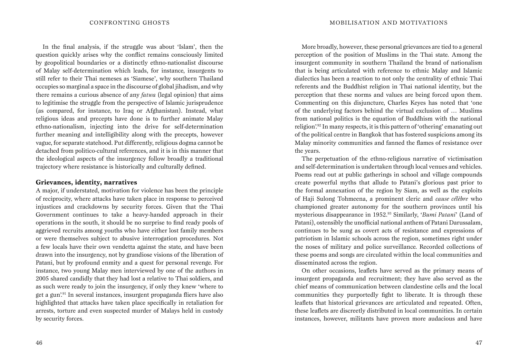In the final analysis, if the struggle was about 'Islam', then the question quickly arises why the conflict remains consciously limited by geopolitical boundaries or a distinctly ethno-nationalist discourse of Malay self-determination which leads, for instance, insurgents to still refer to their Thai nemeses as 'Siamese', why southern Thailand occupies so marginal a space in the discourse of global jihadism, and why there remains a curious absence of any *fatwa* (legal opinion) that aims to legitimise the struggle from the perspective of Islamic jurisprudence (as compared, for instance, to Iraq or Afghanistan). Instead, what religious ideas and precepts have done is to further animate Malay ethno-nationalism, injecting into the drive for self-determination further meaning and intelligibility along with the precepts, however vague, for separate statehood. Put differently, religious dogma cannot be detached from politico-cultural references, and it is in this manner that the ideological aspects of the insurgency follow broadly a traditional trajectory where resistance is historically and culturally defined.

#### **Grievances, identity, narratives**

A major, if understated, motivation for violence has been the principle of reciprocity, where attacks have taken place in response to perceived injustices and crackdowns by security forces. Given that the Thai Government continues to take a heavy-handed approach in their operations in the south, it should be no surprise to find ready pools of aggrieved recruits among youths who have either lost family members or were themselves subject to abusive interrogation procedures. Not a few locals have their own vendetta against the state, and have been drawn into the insurgency, not by grandiose visions of the liberation of Patani, but by profound enmity and a quest for personal revenge. For instance, two young Malay men interviewed by one of the authors in 2005 shared candidly that they had lost a relative to Thai soldiers, and as such were ready to join the insurgency, if only they knew 'where to get a gun'.91 In several instances, insurgent propaganda fliers have also highlighted that attacks have taken place specifically in retaliation for arrests, torture and even suspected murder of Malays held in custody by security forces.

More broadly, however, these personal grievances are tied to a general perception of the position of Muslims in the Thai state. Among the insurgent community in southern Thailand the brand of nationalism that is being articulated with reference to ethnic Malay and Islamic dialectics has been a reaction to not only the centrality of ethnic Thai referents and the Buddhist religion in Thai national identity, but the perception that these norms and values are being forced upon them. Commenting on this disjuncture, Charles Keyes has noted that 'one of the underlying factors behind the virtual exclusion of … Muslims from national politics is the equation of Buddhism with the national religion'.92 In many respects, it is this pattern of 'othering' emanating out of the political centre in Bangkok that has fostered suspicions among its Malay minority communities and fanned the flames of resistance over the years.

The perpetuation of the ethno-religious narrative of victimisation and self-determination is undertaken through local venues and vehicles. Poems read out at public gatherings in school and village compounds create powerful myths that allude to Patani's glorious past prior to the formal annexation of the region by Siam, as well as the exploits of Haji Sulong Tohmeena, a prominent cleric and *cause célèbre* who championed greater autonomy for the southern provinces until his mysterious disappearance in 1952.93 Similarly, '*Bumi Patani*' (Land of Patani), ostensibly the unofficial national anthem of Patani Darussalam, continues to be sung as covert acts of resistance and expressions of patriotism in Islamic schools across the region, sometimes right under the noses of military and police surveillance. Recorded collections of these poems and songs are circulated within the local communities and disseminated across the region.

On other occasions, leaflets have served as the primary means of insurgent propaganda and recruitment; they have also served as the chief means of communication between clandestine cells and the local communities they purportedly fight to liberate. It is through these leaflets that historical grievances are articulated and repeated. Often, these leaflets are discreetly distributed in local communities. In certain instances, however, militants have proven more audacious and have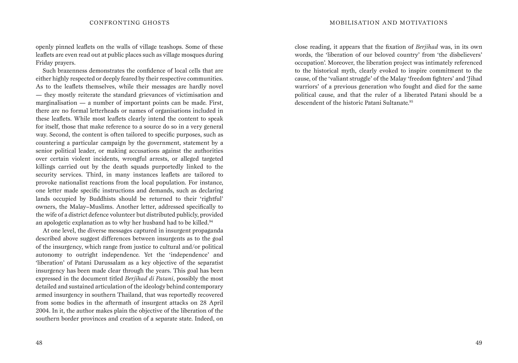openly pinned leaflets on the walls of village teashops. Some of these leaflets are even read out at public places such as village mosques during Friday prayers.

Such brazenness demonstrates the confidence of local cells that are either highly respected or deeply feared by their respective communities. As to the leaflets themselves, while their messages are hardly novel — they mostly reiterate the standard grievances of victimisation and marginalisation — a number of important points can be made. First, there are no formal letterheads or names of organisations included in these leaflets. While most leaflets clearly intend the content to speak for itself, those that make reference to a source do so in a very general way. Second, the content is often tailored to specific purposes, such as countering a particular campaign by the government, statement by a senior political leader, or making accusations against the authorities over certain violent incidents, wrongful arrests, or alleged targeted killings carried out by the death squads purportedly linked to the security services. Third, in many instances leaflets are tailored to provoke nationalist reactions from the local population. For instance, one letter made specific instructions and demands, such as declaring lands occupied by Buddhists should be returned to their 'rightful' owners, the Malay–Muslims. Another letter, addressed specifically to the wife of a district defence volunteer but distributed publicly, provided an apologetic explanation as to why her husband had to be killed.<sup>94</sup>

At one level, the diverse messages captured in insurgent propaganda described above suggest differences between insurgents as to the goal of the insurgency, which range from justice to cultural and/or political autonomy to outright independence. Yet the 'independence' and 'liberation' of Patani Darussalam as a key objective of the separatist insurgency has been made clear through the years. This goal has been expressed in the document titled *Berjihad di Patani*, possibly the most detailed and sustained articulation of the ideology behind contemporary armed insurgency in southern Thailand, that was reportedly recovered from some bodies in the aftermath of insurgent attacks on 28 April 2004. In it, the author makes plain the objective of the liberation of the southern border provinces and creation of a separate state. Indeed, on close reading, it appears that the fixation of *Berjihad* was, in its own words, the 'liberation of our beloved country' from 'the disbelievers' occupation'. Moreover, the liberation project was intimately referenced to the historical myth, clearly evoked to inspire commitment to the cause, of the 'valiant struggle' of the Malay 'freedom fighters' and 'Jihad warriors' of a previous generation who fought and died for the same political cause, and that the ruler of a liberated Patani should be a descendent of the historic Patani Sultanate.95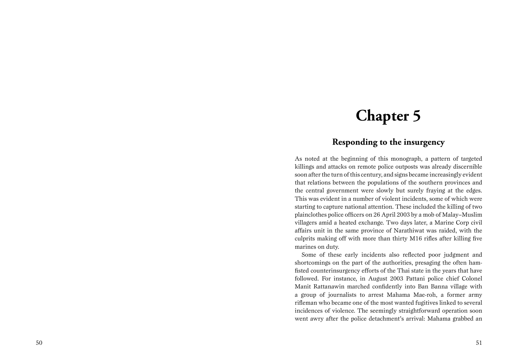## **Chapter 5**

### **Responding to the insurgency**

As noted at the beginning of this monograph, a pattern of targeted killings and attacks on remote police outposts was already discernible soon after the turn of this century, and signs became increasingly evident that relations between the populations of the southern provinces and the central government were slowly but surely fraying at the edges. This was evident in a number of violent incidents, some of which were starting to capture national attention. These included the killing of two plainclothes police officers on 26 April 2003 by a mob of Malay–Muslim villagers amid a heated exchange. Two days later, a Marine Corp civil affairs unit in the same province of Narathiwat was raided, with the culprits making off with more than thirty M16 rifles after killing five marines on duty.

Some of these early incidents also reflected poor judgment and shortcomings on the part of the authorities, presaging the often hamfisted counterinsurgency efforts of the Thai state in the years that have followed. For instance, in August 2003 Pattani police chief Colonel Manit Rattanawin marched confidently into Ban Banna village with a group of journalists to arrest Mahama Mae-roh, a former army rifleman who became one of the most wanted fugitives linked to several incidences of violence. The seemingly straightforward operation soon went awry after the police detachment's arrival: Mahama grabbed an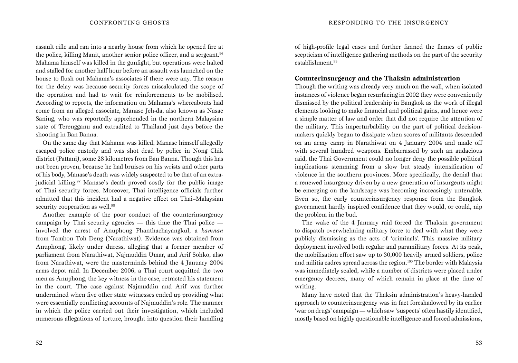assault rifle and ran into a nearby house from which he opened fire at the police, killing Manit, another senior police officer, and a sergeant.<sup>96</sup> Mahama himself was killed in the gunfight, but operations were halted and stalled for another half hour before an assault was launched on the house to flush out Mahama's associates if there were any. The reason for the delay was because security forces miscalculated the scope of the operation and had to wait for reinforcements to be mobilised. According to reports, the information on Mahama's whereabouts had come from an alleged associate, Manase Jeh-da, also known as Nasae Saning, who was reportedly apprehended in the northern Malaysian state of Terengganu and extradited to Thailand just days before the shooting in Ban Banna.

On the same day that Mahama was killed, Manase himself allegedly escaped police custody and was shot dead by police in Nong Chik district (Pattani), some 28 kilometres from Ban Banna. Though this has not been proven, because he had bruises on his wrists and other parts of his body, Manase's death was widely suspected to be that of an extrajudicial killing.<sup>97</sup> Manase's death proved costly for the public image of Thai security forces. Moreover, Thai intelligence officials further admitted that this incident had a negative effect on Thai–Malaysian security cooperation as well.<sup>98</sup>

Another example of the poor conduct of the counterinsurgency campaign by Thai security agencies — this time the Thai police involved the arrest of Anuphong Phanthachayangkul, a *kamnan* from Tambon Toh Deng (Narathiwat). Evidence was obtained from Anuphong, likely under duress, alleging that a former member of parliament from Narathiwat, Najmuddin Umar, and Arif Sohko, also from Narathiwat, were the masterminds behind the 4 January 2004 arms depot raid. In December 2006, a Thai court acquitted the two men as Anuphong, the key witness in the case, retracted his statement in the court. The case against Najmuddin and Arif was further undermined when five other state witnesses ended up providing what were essentially conflicting accounts of Najmuddin's role. The manner in which the police carried out their investigation, which included numerous allegations of torture, brought into question their handling of high-profile legal cases and further fanned the flames of public scepticism of intelligence gathering methods on the part of the security establishment.99

#### **Counterinsurgency and the Thaksin administration**

Though the writing was already very much on the wall, when isolated instances of violence began resurfacing in 2002 they were conveniently dismissed by the political leadership in Bangkok as the work of illegal elements looking to make financial and political gains, and hence were a simple matter of law and order that did not require the attention of the military. This imperturbability on the part of political decisionmakers quickly began to dissipate when scores of militants descended on an army camp in Narathiwat on 4 January 2004 and made off with several hundred weapons. Embarrassed by such an audacious raid, the Thai Government could no longer deny the possible political implications stemming from a slow but steady intensification of violence in the southern provinces. More specifically, the denial that a renewed insurgency driven by a new generation of insurgents might be emerging on the landscape was becoming increasingly untenable. Even so, the early counterinsurgency response from the Bangkok government hardly inspired confidence that they would, or could, nip the problem in the bud.

The wake of the 4 January raid forced the Thaksin government to dispatch overwhelming military force to deal with what they were publicly dismissing as the acts of 'criminals'. This massive military deployment involved both regular and paramilitary forces. At its peak, the mobilisation effort saw up to 30,000 heavily armed soldiers, police and militia cadres spread across the region.<sup>100</sup> The border with Malaysia was immediately sealed, while a number of districts were placed under emergency decrees, many of which remain in place at the time of writing.

Many have noted that the Thaksin administration's heavy-handed approach to counterinsurgency was in fact foreshadowed by its earlier 'war on drugs' campaign — which saw 'suspects' often hastily identified, mostly based on highly questionable intelligence and forced admissions,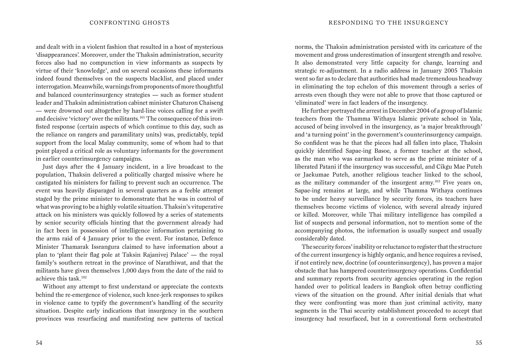and dealt with in a violent fashion that resulted in a host of mysterious 'disappearances'. Moreover, under the Thaksin administration, security forces also had no compunction in view informants as suspects by virtue of their 'knowledge', and on several occasions these informants indeed found themselves on the suspects blacklist, and placed under interrogation. Meanwhile, warnings from proponents of more thoughtful and balanced counterinsurgency strategies — such as former student leader and Thaksin administration cabinet minister Chaturon Chaiseng — were drowned out altogether by hard-line voices calling for a swift and decisive 'victory' over the militants.<sup>101</sup> The consequence of this ironfisted response (certain aspects of which continue to this day, such as the reliance on rangers and paramilitary units) was, predictably, tepid support from the local Malay community, some of whom had to that point played a critical role as voluntary informants for the government in earlier counterinsurgency campaigns.

Just days after the 4 January incident, in a live broadcast to the population, Thaksin delivered a politically charged missive where he castigated his ministers for failing to prevent such an occurrence. The event was heavily disparaged in several quarters as a feeble attempt staged by the prime minister to demonstrate that he was in control of what was proving to be a highly volatile situation. Thaksin's vituperative attack on his ministers was quickly followed by a series of statements by senior security officials hinting that the government already had in fact been in possession of intelligence information pertaining to the arms raid of 4 January prior to the event. For instance, Defence Minister Thamarak Issrangura claimed to have information about a plan to 'plant their flag pole at Taksin Rajanivej Palace' — the royal family's southern retreat in the province of Narathiwat, and that the militants have given themselves 1,000 days from the date of the raid to achieve this task.102

Without any attempt to first understand or appreciate the contexts behind the re-emergence of violence, such knee-jerk responses to spikes in violence came to typify the government's handling of the security situation. Despite early indications that insurgency in the southern provinces was resurfacing and manifesting new patterns of tactical norms, the Thaksin administration persisted with its caricature of the movement and gross underestimation of insurgent strength and resolve. It also demonstrated very little capacity for change, learning and strategic re-adjustment. In a radio address in January 2005 Thaksin went so far as to declare that authorities had made tremendous headway in eliminating the top echelon of this movement through a series of arrests even though they were not able to prove that those captured or 'eliminated' were in fact leaders of the insurgency.

He further portrayed the arrest in December 2004 of a group of Islamic teachers from the Thamma Withaya Islamic private school in Yala, accused of being involved in the insurgency, as 'a major breakthrough' and 'a turning point' in the government's counterinsurgency campaign. So confident was he that the pieces had all fallen into place, Thaksin quickly identified Sapae-ing Basoe, a former teacher at the school, as the man who was earmarked to serve as the prime minister of a liberated Patani if the insurgency was successful, and Cikgu Mae Puteh or Jaekumae Puteh, another religious teacher linked to the school, as the military commander of the insurgent army.103 Five years on, Sapae-ing remains at large, and while Thamma Withaya continues to be under heavy surveillance by security forces, its teachers have themselves become victims of violence, with several already injured or killed. Moreover, while Thai military intelligence has compiled a list of suspects and personal information, not to mention some of the accompanying photos, the information is usually suspect and usually considerably dated.

The security forces' inability or reluctance to register that the structure of the current insurgency is highly organic, and hence requires a revised, if not entirely new, doctrine (of counterinsurgency), has proven a major obstacle that has hampered counterinsurgency operations. Confidential and summary reports from security agencies operating in the region handed over to political leaders in Bangkok often betray conflicting views of the situation on the ground. After initial denials that what they were confronting was more than just criminal activity, many segments in the Thai security establishment proceeded to accept that insurgency had resurfaced, but in a conventional form orchestrated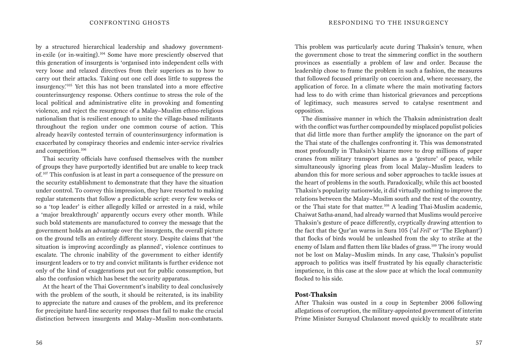by a structured hierarchical leadership and shadowy governmentin-exile (or in-waiting).104 Some have more presciently observed that this generation of insurgents is 'organised into independent cells with very loose and relaxed directives from their superiors as to how to carry out their attacks. Taking out one cell does little to suppress the insurgency.'105 Yet this has not been translated into a more effective counterinsurgency response. Others continue to stress the role of the local political and administrative elite in provoking and fomenting violence, and reject the resurgence of a Malay–Muslim ethno-religious nationalism that is resilient enough to unite the village-based militants throughout the region under one common course of action. This already heavily contested terrain of counterinsurgency information is exacerbated by conspiracy theories and endemic inter-service rivalries and competition.106

Thai security officials have confused themselves with the number of groups they have purportedly identified but are unable to keep track of.107 This confusion is at least in part a consequence of the pressure on the security establishment to demonstrate that they have the situation under control. To convey this impression, they have resorted to making regular statements that follow a predictable script: every few weeks or so a 'top leader' is either allegedly killed or arrested in a raid, while a 'major breakthrough' apparently occurs every other month. While such bold statements are manufactured to convey the message that the government holds an advantage over the insurgents, the overall picture on the ground tells an entirely different story. Despite claims that 'the situation is improving accordingly as planned', violence continues to escalate. The chronic inability of the government to either identify insurgent leaders or to try and convict militants is further evidence not only of the kind of exaggerations put out for public consumption, but also the confusion which has beset the security apparatus.

At the heart of the Thai Government's inability to deal conclusively with the problem of the south, it should be reiterated, is its inability to appreciate the nature and causes of the problem, and its preference for precipitate hard-line security responses that fail to make the crucial distinction between insurgents and Malay–Muslim non-combatants.

This problem was particularly acute during Thaksin's tenure, when the government chose to treat the simmering conflict in the southern provinces as essentially a problem of law and order. Because the leadership chose to frame the problem in such a fashion, the measures that followed focused primarily on coercion and, where necessary, the application of force. In a climate where the main motivating factors had less to do with crime than historical grievances and perceptions of legitimacy, such measures served to catalyse resentment and opposition.

The dismissive manner in which the Thaksin administration dealt with the conflict was further compounded by misplaced populist policies that did little more than further amplify the ignorance on the part of the Thai state of the challenges confronting it. This was demonstrated most profoundly in Thaksin's bizarre move to drop millions of paper cranes from military transport planes as a 'gesture' of peace, while simultaneously ignoring pleas from local Malay–Muslim leaders to abandon this for more serious and sober approaches to tackle issues at the heart of problems in the south. Paradoxically, while this act boosted Thaksin's popularity nationwide, it did virtually nothing to improve the relations between the Malay–Muslim south and the rest of the country, or the Thai state for that matter.108 A leading Thai-Muslim academic, Chaiwat Satha-anand, had already warned that Muslims would perceive Thaksin's gesture of peace differently, cryptically drawing attention to the fact that the Qur'an warns in Sura 105 ('*al Feil*' or 'The Elephant') that flocks of birds would be unleashed from the sky to strike at the enemy of Islam and flatten them like blades of grass.109 The irony would not be lost on Malay–Muslim minds. In any case, Thaksin's populist approach to politics was itself frustrated by his equally characteristic impatience, in this case at the slow pace at which the local community flocked to his side.

#### **Post-Thaksin**

After Thaksin was ousted in a coup in September 2006 following allegations of corruption, the military-appointed government of interim Prime Minister Surayud Chulanont moved quickly to recalibrate state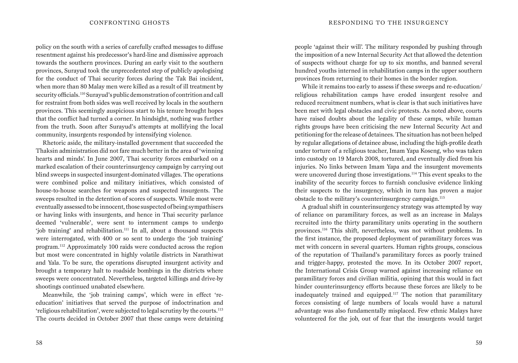policy on the south with a series of carefully crafted messages to diffuse resentment against his predecessor's hard-line and dismissive approach towards the southern provinces. During an early visit to the southern provinces, Surayud took the unprecedented step of publicly apologising for the conduct of Thai security forces during the Tak Bai incident, when more than 80 Malay men were killed as a result of ill treatment by security officials.110 Surayud's public demonstration of contrition and call for restraint from both sides was well received by locals in the southern provinces. This seemingly auspicious start to his tenure brought hopes that the conflict had turned a corner. In hindsight, nothing was further from the truth. Soon after Surayud's attempts at mollifying the local community, insurgents responded by intensifying violence.

Rhetoric aside, the military-installed government that succeeded the Thaksin administration did not fare much better in the area of 'winning hearts and minds'. In June 2007, Thai security forces embarked on a marked escalation of their counterinsurgency campaign by carrying out blind sweeps in suspected insurgent-dominated villages. The operations were combined police and military initiatives, which consisted of house-to-house searches for weapons and suspected insurgents. The sweeps resulted in the detention of scores of suspects. While most were eventually assessed to be innocent, those suspected of being sympathisers or having links with insurgents, and hence in Thai security parlance deemed 'vulnerable', were sent to internment camps to undergo 'job training' and rehabilitation.111 In all, about a thousand suspects were interrogated, with 400 or so sent to undergo the 'job training' program.112 Approximately 100 raids were conducted across the region but most were concentrated in highly volatile districts in Narathiwat and Yala. To be sure, the operations disrupted insurgent activity and brought a temporary halt to roadside bombings in the districts where sweeps were concentrated. Nevertheless, targeted killings and drive-by shootings continued unabated elsewhere.

Meanwhile, the 'job training camps', which were in effect 'reeducation' initiatives that served the purpose of indoctrination and 'religious rehabilitation', were subjected to legal scrutiny by the courts.113 The courts decided in October 2007 that these camps were detaining people 'against their will'. The military responded by pushing through the imposition of a new Internal Security Act that allowed the detention of suspects without charge for up to six months, and banned several hundred youths interned in rehabilitation camps in the upper southern provinces from returning to their homes in the border region.

While it remains too early to assess if these sweeps and re-education/ religious rehabilitation camps have eroded insurgent resolve and reduced recruitment numbers, what is clear is that such initiatives have been met with legal obstacles and civic protests. As noted above, courts have raised doubts about the legality of these camps, while human rights groups have been criticising the new Internal Security Act and petitioning for the release of detainees. The situation has not been helped by regular allegations of detainee abuse, including the high-profile death under torture of a religious teacher, Imam Yapa Koseng, who was taken into custody on 19 March 2008, tortured, and eventually died from his injuries. No links between Imam Yapa and the insurgent movements were uncovered during those investigations.<sup>114</sup> This event speaks to the inability of the security forces to furnish conclusive evidence linking their suspects to the insurgency, which in turn has proven a major obstacle to the military's counterinsurgency campaign.<sup>115</sup>

A gradual shift in counterinsurgency strategy was attempted by way of reliance on paramilitary forces, as well as an increase in Malays recruited into the thirty paramilitary units operating in the southern provinces.116 This shift, nevertheless, was not without problems. In the first instance, the proposed deployment of paramilitary forces was met with concern in several quarters. Human rights groups, conscious of the reputation of Thailand's paramilitary forces as poorly trained and trigger-happy, protested the move. In its October 2007 report, the International Crisis Group warned against increasing reliance on paramilitary forces and civilian militia, opining that this would in fact hinder counterinsurgency efforts because these forces are likely to be inadequately trained and equipped.117 The notion that paramilitary forces consisting of large numbers of locals would have a natural advantage was also fundamentally misplaced. Few ethnic Malays have volunteered for the job, out of fear that the insurgents would target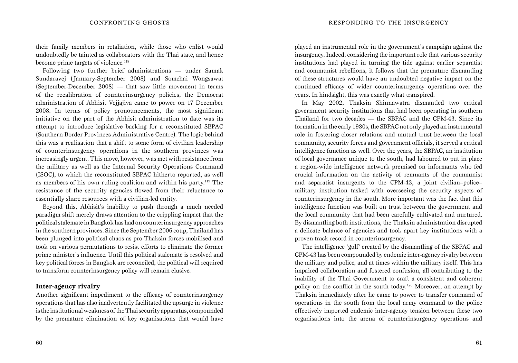their family members in retaliation, while those who enlist would undoubtedly be tainted as collaborators with the Thai state, and hence become prime targets of violence.<sup>118</sup>

Following two further brief administrations — under Samak Sundaravej (January-September 2008) and Somchai Wongsawat (September-December 2008) — that saw little movement in terms of the recalibration of counterinsurgency policies, the Democrat administration of Abhisit Vejjajiva came to power on 17 December 2008. In terms of policy pronouncements, the most significant initiative on the part of the Abhisit administration to date was its attempt to introduce legislative backing for a reconstituted SBPAC (Southern Border Provinces Administrative Centre). The logic behind this was a realisation that a shift to some form of civilian leadership of counterinsurgency operations in the southern provinces was increasingly urgent. This move, however, was met with resistance from the military as well as the Internal Security Operations Command (ISOC), to which the reconstituted SBPAC hitherto reported, as well as members of his own ruling coalition and within his party.119 The resistance of the security agencies flowed from their reluctance to essentially share resources with a civilian-led entity.

Beyond this, Abhisit's inability to push through a much needed paradigm shift merely draws attention to the crippling impact that the political stalemate in Bangkok has had on counterinsurgency approaches in the southern provinces. Since the September 2006 coup, Thailand has been plunged into political chaos as pro-Thaksin forces mobilised and took on various permutations to resist efforts to eliminate the former prime minister's influence. Until this political stalemate is resolved and key political forces in Bangkok are reconciled, the political will required to transform counterinsurgency policy will remain elusive.

#### **Inter-agency rivalry**

Another significant impediment to the efficacy of counterinsurgency operations that has also inadvertently facilitated the upsurge in violence is the institutional weakness of the Thai security apparatus, compounded by the premature elimination of key organisations that would have

played an instrumental role in the government's campaign against the insurgency. Indeed, considering the important role that various security institutions had played in turning the tide against earlier separatist and communist rebellions, it follows that the premature dismantling of these structures would have an undoubted negative impact on the continued efficacy of wider counterinsurgency operations over the years. In hindsight, this was exactly what transpired.

In May 2002, Thaksin Shinnawatra dismantled two critical government security institutions that had been operating in southern Thailand for two decades — the SBPAC and the CPM-43. Since its formation in the early 1980s, the SBPAC not only played an instrumental role in fostering closer relations and mutual trust between the local community, security forces and government officials, it served a critical intelligence function as well. Over the years, the SBPAC, an institution of local governance unique to the south, had laboured to put in place a region-wide intelligence network premised on informants who fed crucial information on the activity of remnants of the communist and separatist insurgents to the CPM-43, a joint civilian–police– military institution tasked with overseeing the security aspects of counterinsurgency in the south. More important was the fact that this intelligence function was built on trust between the government and the local community that had been carefully cultivated and nurtured. By dismantling both institutions, the Thaksin administration disrupted a delicate balance of agencies and took apart key institutions with a proven track record in counterinsurgency.

The intelligence 'gulf' created by the dismantling of the SBPAC and CPM-43 has been compounded by endemic inter-agency rivalry between the military and police, and at times within the military itself. This has impaired collaboration and fostered confusion, all contributing to the inability of the Thai Government to craft a consistent and coherent policy on the conflict in the south today.120 Moreover, an attempt by Thaksin immediately after he came to power to transfer command of operations in the south from the local army command to the police effectively imported endemic inter-agency tension between these two organisations into the arena of counterinsurgency operations and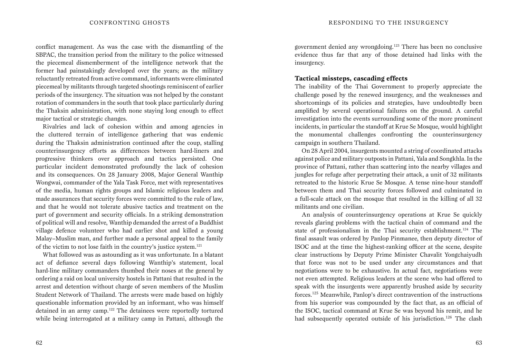conflict management. As was the case with the dismantling of the SBPAC, the transition period from the military to the police witnessed the piecemeal dismemberment of the intelligence network that the former had painstakingly developed over the years; as the military reluctantly retreated from active command, informants were eliminated piecemeal by militants through targeted shootings reminiscent of earlier periods of the insurgency. The situation was not helped by the constant rotation of commanders in the south that took place particularly during the Thaksin administration, with none staying long enough to effect major tactical or strategic changes.

Rivalries and lack of cohesion within and among agencies in the cluttered terrain of intelligence gathering that was endemic during the Thaksin administration continued after the coup, stalling counterinsurgency efforts as differences between hard-liners and progressive thinkers over approach and tactics persisted. One particular incident demonstrated profoundly the lack of cohesion and its consequences. On 28 January 2008, Major General Wanthip Wongwai, commander of the Yala Task Force, met with representatives of the media, human rights groups and Islamic religious leaders and made assurances that security forces were committed to the rule of law, and that he would not tolerate abusive tactics and treatment on the part of government and security officials. In a striking demonstration of political will and resolve, Wanthip demanded the arrest of a Buddhist village defence volunteer who had earlier shot and killed a young Malay–Muslim man, and further made a personal appeal to the family of the victim to not lose faith in the country's justice system.121

What followed was as astounding as it was unfortunate. In a blatant act of defiance several days following Wanthip's statement, local hard-line military commanders thumbed their noses at the general by ordering a raid on local university hostels in Pattani that resulted in the arrest and detention without charge of seven members of the Muslim Student Network of Thailand. The arrests were made based on highly questionable information provided by an informant, who was himself detained in an army camp.<sup>122</sup> The detainees were reportedly tortured while being interrogated at a military camp in Pattani, although the government denied any wrongdoing.123 There has been no conclusive evidence thus far that any of those detained had links with the insurgency.

#### **Tactical missteps, cascading effects**

The inability of the Thai Government to properly appreciate the challenge posed by the renewed insurgency, and the weaknesses and shortcomings of its policies and strategies, have undoubtedly been amplified by several operational failures on the ground. A careful investigation into the events surrounding some of the more prominent incidents, in particular the standoff at Krue Se Mosque, would highlight the monumental challenges confronting the counterinsurgency campaign in southern Thailand.

On 28 April 2004, insurgents mounted a string of coordinated attacks against police and military outposts in Pattani, Yala and Songkhla. In the province of Pattani, rather than scattering into the nearby villages and jungles for refuge after perpetrating their attack, a unit of 32 militants retreated to the historic Krue Se Mosque. A tense nine-hour standoff between them and Thai security forces followed and culminated in a full-scale attack on the mosque that resulted in the killing of all 32 militants and one civilian.

An analysis of counterinsurgency operations at Krue Se quickly reveals glaring problems with the tactical chain of command and the state of professionalism in the Thai security establishment.124 The final assault was ordered by Panlop Pinmanee, then deputy director of ISOC and at the time the highest-ranking officer at the scene, despite clear instructions by Deputy Prime Minister Chavalit Yongchaiyudh that force was not to be used under any circumstances and that negotiations were to be exhaustive. In actual fact, negotiations were not even attempted. Religious leaders at the scene who had offered to speak with the insurgents were apparently brushed aside by security forces.125 Meanwhile, Panlop's direct contravention of the instructions from his superior was compounded by the fact that, as an official of the ISOC, tactical command at Krue Se was beyond his remit, and he had subsequently operated outside of his jurisdiction.<sup>126</sup> The clash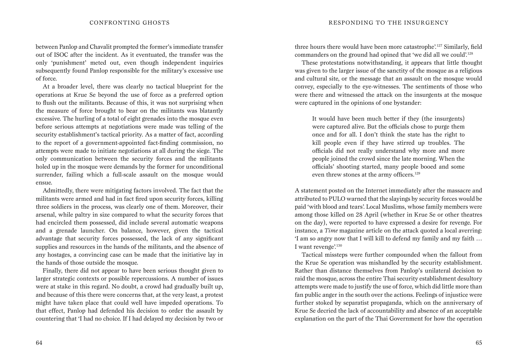between Panlop and Chavalit prompted the former's immediate transfer out of ISOC after the incident. As it eventuated, the transfer was the only 'punishment' meted out, even though independent inquiries subsequently found Panlop responsible for the military's excessive use of force.

At a broader level, there was clearly no tactical blueprint for the operations at Krue Se beyond the use of force as a preferred option to flush out the militants. Because of this, it was not surprising when the measure of force brought to bear on the militants was blatantly excessive. The hurling of a total of eight grenades into the mosque even before serious attempts at negotiations were made was telling of the security establishment's tactical priority. As a matter of fact, according to the report of a government-appointed fact-finding commission, no attempts were made to initiate negotiations at all during the siege. The only communication between the security forces and the militants holed up in the mosque were demands by the former for unconditional surrender, failing which a full-scale assault on the mosque would ensue.

Admittedly, there were mitigating factors involved. The fact that the militants were armed and had in fact fired upon security forces, killing three soldiers in the process, was clearly one of them. Moreover, their arsenal, while paltry in size compared to what the security forces that had encircled them possessed, did include several automatic weapons and a grenade launcher. On balance, however, given the tactical advantage that security forces possessed, the lack of any significant supplies and resources in the hands of the militants, and the absence of any hostages, a convincing case can be made that the initiative lay in the hands of those outside the mosque.

Finally, there did not appear to have been serious thought given to larger strategic contexts or possible repercussions. A number of issues were at stake in this regard. No doubt, a crowd had gradually built up, and because of this there were concerns that, at the very least, a protest might have taken place that could well have impeded operations. To that effect, Panlop had defended his decision to order the assault by countering that 'I had no choice. If I had delayed my decision by two or

three hours there would have been more catastrophe'.127 Similarly, field commanders on the ground had opined that 'we did all we could'.128

These protestations notwithstanding, it appears that little thought was given to the larger issue of the sanctity of the mosque as a religious and cultural site, or the message that an assault on the mosque would convey, especially to the eye-witnesses. The sentiments of those who were there and witnessed the attack on the insurgents at the mosque were captured in the opinions of one bystander:

It would have been much better if they (the insurgents) were captured alive. But the officials chose to purge them once and for all. I don't think the state has the right to kill people even if they have stirred up troubles. The officials did not really understand why more and more people joined the crowd since the late morning. When the officials' shooting started, many people booed and some even threw stones at the army officers.<sup>129</sup>

A statement posted on the Internet immediately after the massacre and attributed to PULO warned that the slayings by security forces would be paid 'with blood and tears'. Local Muslims, whose family members were among those killed on 28 April (whether in Krue Se or other theatres on the day), were reported to have expressed a desire for revenge. For instance, a *Time* magazine article on the attack quoted a local averring: 'I am so angry now that I will kill to defend my family and my faith … I want revenge'.130

Tactical missteps were further compounded when the fallout from the Krue Se operation was mishandled by the security establishment. Rather than distance themselves from Panlop's unilateral decision to raid the mosque, across the entire Thai security establishment desultory attempts were made to justify the use of force, which did little more than fan public anger in the south over the actions. Feelings of injustice were further stoked by separatist propaganda, which on the anniversary of Krue Se decried the lack of accountability and absence of an acceptable explanation on the part of the Thai Government for how the operation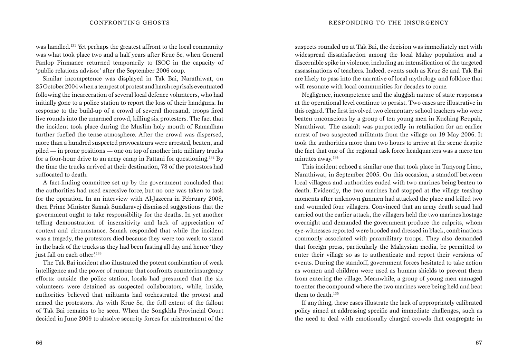was handled.131 Yet perhaps the greatest affront to the local community was what took place two and a half years after Krue Se, when General Panlop Pinmanee returned temporarily to ISOC in the capacity of 'public relations advisor' after the September 2006 coup.

Similar incompetence was displayed in Tak Bai, Narathiwat, on 25 October 2004 when a tempest of protest and harsh reprisals eventuated following the incarceration of several local defence volunteers, who had initially gone to a police station to report the loss of their handguns. In response to the build-up of a crowd of several thousand, troops fired live rounds into the unarmed crowd, killing six protesters. The fact that the incident took place during the Muslim holy month of Ramadhan further fuelled the tense atmosphere. After the crowd was dispersed, more than a hundred suspected provocateurs were arrested, beaten, and piled — in prone positions — one on top of another into military trucks for a four-hour drive to an army camp in Pattani for questioning.132 By the time the trucks arrived at their destination, 78 of the protestors had suffocated to death.

A fact-finding committee set up by the government concluded that the authorities had used excessive force, but no one was taken to task for the operation. In an interview with Al-Jazeera in February 2008, then Prime Minister Samak Sundaravej dismissed suggestions that the government ought to take responsibility for the deaths. In yet another telling demonstration of insensitivity and lack of appreciation of context and circumstance, Samak responded that while the incident was a tragedy, the protestors died because they were too weak to stand in the back of the trucks as they had been fasting all day and hence 'they just fall on each other'.<sup>133</sup>

The Tak Bai incident also illustrated the potent combination of weak intelligence and the power of rumour that confronts counterinsurgency efforts: outside the police station, locals had presumed that the six volunteers were detained as suspected collaborators, while, inside, authorities believed that militants had orchestrated the protest and armed the protestors. As with Krue Se, the full extent of the fallout of Tak Bai remains to be seen. When the Songkhla Provincial Court decided in June 2009 to absolve security forces for mistreatment of the suspects rounded up at Tak Bai, the decision was immediately met with widespread dissatisfaction among the local Malay population and a discernible spike in violence, including an intensification of the targeted assassinations of teachers. Indeed, events such as Krue Se and Tak Bai are likely to pass into the narrative of local mythology and folklore that will resonate with local communities for decades to come.

Negligence, incompetence and the sluggish nature of state responses at the operational level continue to persist. Two cases are illustrative in this regard. The first involved two elementary school teachers who were beaten unconscious by a group of ten young men in Kuching Reupah, Narathiwat. The assault was purportedly in retaliation for an earlier arrest of two suspected militants from the village on 19 May 2006. It took the authorities more than two hours to arrive at the scene despite the fact that one of the regional task force headquarters was a mere ten minutes away.<sup>134</sup>

This incident echoed a similar one that took place in Tanyong Limo, Narathiwat, in September 2005. On this occasion, a standoff between local villagers and authorities ended with two marines being beaten to death. Evidently, the two marines had stopped at the village teashop moments after unknown gunmen had attacked the place and killed two and wounded four villagers. Convinced that an army death squad had carried out the earlier attack, the villagers held the two marines hostage overnight and demanded the government produce the culprits, whom eye-witnesses reported were hooded and dressed in black, combinations commonly associated with paramilitary troops. They also demanded that foreign press, particularly the Malaysian media, be permitted to enter their village so as to authenticate and report their versions of events. During the standoff, government forces hesitated to take action as women and children were used as human shields to prevent them from entering the village. Meanwhile, a group of young men managed to enter the compound where the two marines were being held and beat them to death.<sup>135</sup>

If anything, these cases illustrate the lack of appropriately calibrated policy aimed at addressing specific and immediate challenges, such as the need to deal with emotionally charged crowds that congregate in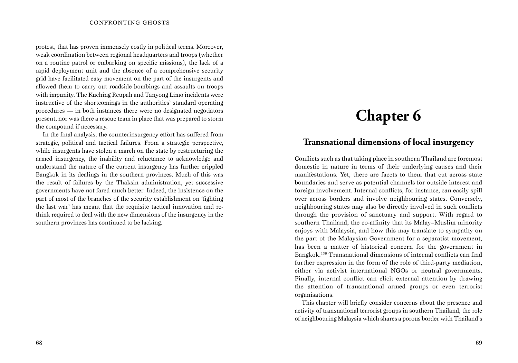protest, that has proven immensely costly in political terms. Moreover, weak coordination between regional headquarters and troops (whether on a routine patrol or embarking on specific missions), the lack of a rapid deployment unit and the absence of a comprehensive security grid have facilitated easy movement on the part of the insurgents and allowed them to carry out roadside bombings and assaults on troops with impunity. The Kuching Reupah and Tanyong Limo incidents were instructive of the shortcomings in the authorities' standard operating procedures — in both instances there were no designated negotiators present, nor was there a rescue team in place that was prepared to storm the compound if necessary.

In the final analysis, the counterinsurgency effort has suffered from strategic, political and tactical failures. From a strategic perspective, while insurgents have stolen a march on the state by restructuring the armed insurgency, the inability and reluctance to acknowledge and understand the nature of the current insurgency has further crippled Bangkok in its dealings in the southern provinces. Much of this was the result of failures by the Thaksin administration, yet successive governments have not fared much better. Indeed, the insistence on the part of most of the branches of the security establishment on 'fighting the last war' has meant that the requisite tactical innovation and rethink required to deal with the new dimensions of the insurgency in the southern provinces has continued to be lacking.

# **Chapter 6**

### **Transnational dimensions of local insurgency**

Conflicts such as that taking place in southern Thailand are foremost domestic in nature in terms of their underlying causes and their manifestations. Yet, there are facets to them that cut across state boundaries and serve as potential channels for outside interest and foreign involvement. Internal conflicts, for instance, can easily spill over across borders and involve neighbouring states. Conversely, neighbouring states may also be directly involved in such conflicts through the provision of sanctuary and support. With regard to southern Thailand, the co-affinity that its Malay–Muslim minority enjoys with Malaysia, and how this may translate to sympathy on the part of the Malaysian Government for a separatist movement, has been a matter of historical concern for the government in Bangkok.136 Transnational dimensions of internal conflicts can find further expression in the form of the role of third-party mediation, either via activist international NGOs or neutral governments. Finally, internal conflict can elicit external attention by drawing the attention of transnational armed groups or even terrorist organisations.

This chapter will briefly consider concerns about the presence and activity of transnational terrorist groups in southern Thailand, the role of neighbouring Malaysia which shares a porous border with Thailand's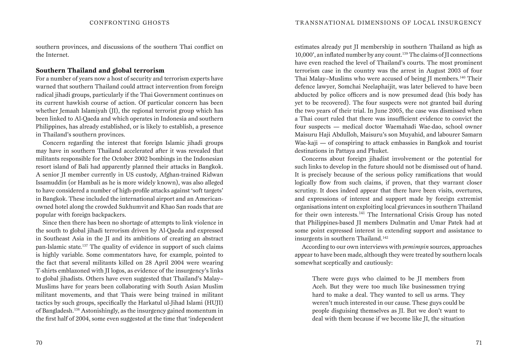southern provinces, and discussions of the southern Thai conflict on the Internet.

#### **Southern Thailand and global terrorism**

For a number of years now a host of security and terrorism experts have warned that southern Thailand could attract intervention from foreign radical jihadi groups, particularly if the Thai Government continues on its current hawkish course of action. Of particular concern has been whether Jemaah Islamiyah (JI), the regional terrorist group which has been linked to Al-Qaeda and which operates in Indonesia and southern Philippines, has already established, or is likely to establish, a presence in Thailand's southern provinces.

Concern regarding the interest that foreign Islamic jihadi groups may have in southern Thailand accelerated after it was revealed that militants responsible for the October 2002 bombings in the Indonesian resort island of Bali had apparently planned their attacks in Bangkok. A senior JI member currently in US custody, Afghan-trained Ridwan Issamuddin (or Hambali as he is more widely known), was also alleged to have considered a number of high-profile attacks against 'soft targets' in Bangkok. These included the international airport and an Americanowned hotel along the crowded Sukhumvit and Khao San roads that are popular with foreign backpackers.

Since then there has been no shortage of attempts to link violence in the south to global jihadi terrorism driven by Al-Qaeda and expressed in Southeast Asia in the JI and its ambitions of creating an abstract pan-Islamic state.137 The quality of evidence in support of such claims is highly variable. Some commentators have, for example, pointed to the fact that several militants killed on 28 April 2004 were wearing T-shirts emblazoned with JI logos, as evidence of the insurgency's links to global jihadists. Others have even suggested that Thailand's Malay– Muslims have for years been collaborating with South Asian Muslim militant movements, and that Thais were being trained in militant tactics by such groups, specifically the Harkatul ul-Jihad Islami (HUJI) of Bangladesh.138 Astonishingly, as the insurgency gained momentum in the first half of 2004, some even suggested at the time that 'independent

estimates already put JI membership in southern Thailand as high as 10,000', an inflated number by any count.<sup>139</sup> The claims of JI connections have even reached the level of Thailand's courts. The most prominent terrorism case in the country was the arrest in August 2003 of four Thai Malay–Muslims who were accused of being JI members.140 Their defence lawyer, Somchai Neelaphaijit, was later believed to have been abducted by police officers and is now presumed dead (his body has yet to be recovered). The four suspects were not granted bail during the two years of their trial. In June 2005, the case was dismissed when a Thai court ruled that there was insufficient evidence to convict the four suspects — medical doctor Waemahadi Wae-dao, school owner Maisuru Haji Abdulloh, Maisuru's son Muyahid, and labourer Samarn Wae-kaji — of conspiring to attack embassies in Bangkok and tourist destinations in Pattaya and Phuket.

Concerns about foreign jihadist involvement or the potential for such links to develop in the future should not be dismissed out of hand. It is precisely because of the serious policy ramifications that would logically flow from such claims, if proven, that they warrant closer scrutiny. It does indeed appear that there have been visits, overtures, and expressions of interest and support made by foreign extremist organisations intent on exploiting local grievances in southern Thailand for their own interests.<sup>141</sup> The International Crisis Group has noted that Philippines-based JI members Dulmatin and Umar Patek had at some point expressed interest in extending support and assistance to insurgents in southern Thailand.<sup>142</sup>

According to our own interviews with *pemimpin* sources, approaches appear to have been made, although they were treated by southern locals somewhat sceptically and cautiously:

There were guys who claimed to be JI members from Aceh. But they were too much like businessmen trying hard to make a deal. They wanted to sell us arms. They weren't much interested in our cause. These guys could be people disguising themselves as JI. But we don't want to deal with them because if we become like JI, the situation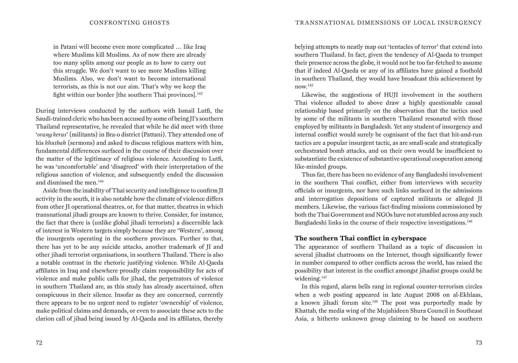in Patani will become even more complicated … like Iraq where Muslims kill Muslims. As of now there are already too many splits among our people as to how to carry out this struggle. We don't want to see more Muslims killing Muslims. Also, we don't want to become international terrorists, as this is not our aim. That's why we keep the fight within our border [the southern Thai provinces].<sup>143</sup>

During interviews conducted by the authors with Ismail Lutfi, the Saudi-trained cleric who has been accused by some of being JI's southern Thailand representative, he revealed that while he did meet with three '*orang keras*' (militants) in Bra-o district (Pattani). They attended one of his *khutbah* (sermons) and asked to discuss religious matters with him, fundamental differences surfaced in the course of their discussion over the matter of the legitimacy of religious violence. According to Lutfi, he was 'uncomfortable' and 'disagreed' with their interpretation of the religious sanction of violence, and subsequently ended the discussion and dismissed the men.144

Aside from the inability of Thai security and intelligence to confirm JI activity in the south, it is also notable how the climate of violence differs from other JI operational theatres, or, for that matter, theatres in which transnational jihadi groups are known to thrive. Consider, for instance, the fact that there is (unlike global jihadi terrorists) a discernible lack of interest in Western targets simply because they are 'Western', among the insurgents operating in the southern provinces. Further to that, there has yet to be any suicide attacks, another trademark of JI and other jihadi terrorist organisations, in southern Thailand. There is also a notable contrast in the rhetoric justifying violence. While Al-Qaeda affiliates in Iraq and elsewhere proudly claim responsibility for acts of violence and make public calls for jihad, the perpetrators of violence in southern Thailand are, as this study has already ascertained, often conspicuous in their silence. Insofar as they are concerned, currently there appears to be no urgent need to register 'ownership' of violence, make political claims and demands, or even to associate these acts to the clarion call of jihad being issued by Al-Qaeda and its affiliates, thereby

belying attempts to neatly map out 'tentacles of terror' that extend into southern Thailand. In fact, given the tendency of Al-Qaeda to trumpet their presence across the globe, it would not be too far-fetched to assume that if indeed Al-Qaeda or any of its affiliates have gained a foothold in southern Thailand, they would have broadcast this achievement by now.145

Likewise, the suggestions of HUJI involvement in the southern Thai violence alluded to above draw a highly questionable causal relationship based primarily on the observation that the tactics used by some of the militants in southern Thailand resonated with those employed by militants in Bangladesh. Yet any student of insurgency and internal conflict would surely be cognisant of the fact that hit-and-run tactics are a popular insurgent tactic, as are small-scale and strategically orchestrated bomb attacks, and on their own would be insufficient to substantiate the existence of substantive operational cooperation among like-minded groups.

Thus far, there has been no evidence of any Bangladeshi involvement in the southern Thai conflict, either from interviews with security officials or insurgents, nor have such links surfaced in the admissions and interrogation depositions of captured militants or alleged JI members. Likewise, the various fact-finding missions commissioned by both the Thai Government and NGOs have not stumbled across any such Bangladeshi links in the course of their respective investigations.<sup>146</sup>

#### **The southern Thai conflict in cyberspace**

The appearance of southern Thailand as a topic of discussion in several jihadist chatrooms on the Internet, though significantly fewer in number compared to other conflicts across the world, has raised the possibility that interest in the conflict amongst jihadist groups could be widening.147

In this regard, alarm bells rang in regional counter-terrorism circles when a web posting appeared in late August 2008 on al-Ekhlaas, a known jihadi forum site.<sup>148</sup> The post was purportedly made by Khattab, the media wing of the Mujahideen Shura Council in Southeast Asia, a hitherto unknown group claiming to be based on southern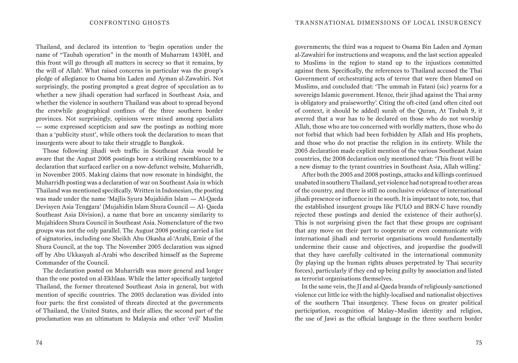Thailand, and declared its intention to 'begin operation under the name of "Taubah operation" in the month of Muharram 1430H, and this front will go through all matters in secrecy so that it remains, by the will of Allah'. What raised concerns in particular was the group's pledge of allegiance to Osama bin Laden and Ayman al-Zawahiri. Not surprisingly, the posting prompted a great degree of speculation as to whether a new jihadi operation had surfaced in Southeast Asia, and whether the violence in southern Thailand was about to spread beyond the erstwhile geographical confines of the three southern border provinces. Not surprisingly, opinions were mixed among specialists — some expressed scepticism and saw the postings as nothing more than a 'publicity stunt', while others took the declaration to mean that insurgents were about to take their struggle to Bangkok.

Those following jihadi web traffic in Southeast Asia would be aware that the August 2008 postings bore a striking resemblance to a declaration that surfaced earlier on a now-defunct website, Muharridh, in November 2005. Making claims that now resonate in hindsight, the Muharridh posting was a declaration of war on Southeast Asia in which Thailand was mentioned specifically. Written in Indonesian, the posting was made under the name 'Majlis Syura Mujahidin Islam — Al-Qaeda Devisyen Asia Tenggara' (Mujahidin Islam Shura Council — Al- Qaeda Southeast Asia Division), a name that bore an uncanny similarity to Mujahideen Shura Council in Southeast Asia. Nomenclature of the two groups was not the only parallel. The August 2008 posting carried a list of signatories, including one Sheikh Abu Okasha al-'Arabi, Emir of the Shura Council, at the top. The November 2005 declaration was signed off by Abu Ukkasyah al-Arabi who described himself as the Supreme Commander of the Council.

The declaration posted on Muharridh was more general and longer than the one posted on al-Ekhlaas. While the latter specifically targeted Thailand, the former threatened Southeast Asia in general, but with mention of specific countries. The 2005 declaration was divided into four parts: the first consisted of threats directed at the governments of Thailand, the United States, and their allies; the second part of the proclamation was an ultimatum to Malaysia and other 'evil' Muslim

governments; the third was a request to Osama Bin Laden and Ayman al-Zawahiri for instructions and weapons; and the last section appealed to Muslims in the region to stand up to the injustices committed against them. Specifically, the references to Thailand accused the Thai Government of orchestrating acts of terror that were then blamed on Muslims, and concluded that: 'The ummah in Fatani (sic) yearns for a sovereign Islamic government. Hence, their jihad against the Thai army is obligatory and praiseworthy'. Citing the oft-cited (and often cited out of context, it should be added) surah of the Quran, At Taubah 9, it averred that a war has to be declared on those who do not worship Allah, those who are too concerned with worldly matters, those who do not forbid that which had been forbidden by Allah and His prophets, and those who do not practise the religion in its entirety. While the 2005 declaration made explicit mention of the various Southeast Asian countries, the 2008 declaration only mentioned that: 'This front will be a new dismay to the tyrant countries in Southeast Asia, Allah willing.'

After both the 2005 and 2008 postings, attacks and killings continued unabated in southern Thailand, yet violence had not spread to other areas of the country, and there is still no conclusive evidence of international jihadi presence or influence in the south. It is important to note, too, that the established insurgent groups like PULO and BRN-C have roundly rejected these postings and denied the existence of their author(s). This is not surprising given the fact that these groups are cognisant that any move on their part to cooperate or even communicate with international jihadi and terrorist organisations would fundamentally undermine their cause and objectives, and jeopardise the goodwill that they have carefully cultivated in the international community (by playing up the human rights abuses perpetrated by Thai security forces), particularly if they end up being guilty by association and listed as terrorist organisations themselves.

In the same vein, the JI and al-Qaeda brands of religiously-sanctioned violence cut little ice with the highly-localised and nationalist objectives of the southern Thai insurgency. These focus on greater political participation, recognition of Malay–Muslim identity and religion, the use of Jawi as the official language in the three southern border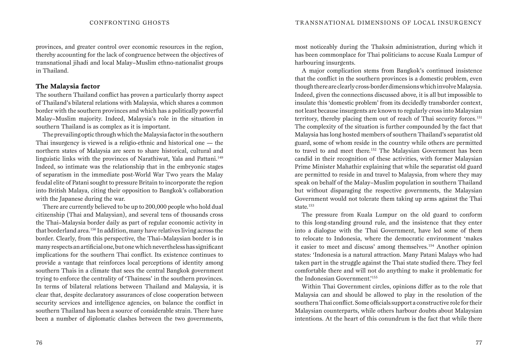provinces, and greater control over economic resources in the region, thereby accounting for the lack of congruence between the objectives of transnational jihadi and local Malay–Muslim ethno-nationalist groups in Thailand.

#### **The Malaysia factor**

The southern Thailand conflict has proven a particularly thorny aspect of Thailand's bilateral relations with Malaysia, which shares a common border with the southern provinces and which has a politically powerful Malay–Muslim majority. Indeed, Malaysia's role in the situation in southern Thailand is as complex as it is important.

The prevailing optic through which the Malaysia factor in the southern Thai insurgency is viewed is a religio-ethnic and historical one — the northern states of Malaysia are seen to share historical, cultural and linguistic links with the provinces of Narathiwat, Yala and Pattani.<sup>149</sup> Indeed, so intimate was the relationship that in the embryonic stages of separatism in the immediate post-World War Two years the Malay feudal elite of Patani sought to pressure Britain to incorporate the region into British Malaya, citing their opposition to Bangkok's collaboration with the Japanese during the war.

There are currently believed to be up to 200,000 people who hold dual citizenship (Thai and Malaysian), and several tens of thousands cross the Thai–Malaysia border daily as part of regular economic activity in that borderland area.150 In addition, many have relatives living across the border. Clearly, from this perspective, the Thai–Malaysian border is in many respects an artificial one, but one which nevertheless has significant implications for the southern Thai conflict. Its existence continues to provide a vantage that reinforces local perceptions of identity among southern Thais in a climate that sees the central Bangkok government trying to enforce the centrality of 'Thainess' in the southern provinces. In terms of bilateral relations between Thailand and Malaysia, it is clear that, despite declaratory assurances of close cooperation between security services and intelligence agencies, on balance the conflict in southern Thailand has been a source of considerable strain. There have been a number of diplomatic clashes between the two governments,

most noticeably during the Thaksin administration, during which it has been commonplace for Thai politicians to accuse Kuala Lumpur of harbouring insurgents.

A major complication stems from Bangkok's continued insistence that the conflict in the southern provinces is a domestic problem, even though there are clearly cross-border dimensions which involve Malaysia. Indeed, given the connections discussed above, it is all but impossible to insulate this 'domestic problem' from its decidedly transborder context, not least because insurgents are known to regularly cross into Malaysian territory, thereby placing them out of reach of Thai security forces.<sup>151</sup> The complexity of the situation is further compounded by the fact that Malaysia has long hosted members of southern Thailand's separatist old guard, some of whom reside in the country while others are permitted to travel to and meet there.152 The Malaysian Government has been candid in their recognition of these activities, with former Malaysian Prime Minister Mahathir explaining that while the separatist old guard are permitted to reside in and travel to Malaysia, from where they may speak on behalf of the Malay–Muslim population in southern Thailand but without disparaging the respective governments, the Malaysian Government would not tolerate them taking up arms against the Thai state.153

The pressure from Kuala Lumpur on the old guard to conform to this long-standing ground rule, and the insistence that they enter into a dialogue with the Thai Government, have led some of them to relocate to Indonesia, where the democratic environment 'makes it easier to meet and discuss' among themselves.154 Another opinion states: 'Indonesia is a natural attraction. Many Patani Malays who had taken part in the struggle against the Thai state studied there. They feel comfortable there and will not do anything to make it problematic for the Indonesian Government.'155

Within Thai Government circles, opinions differ as to the role that Malaysia can and should be allowed to play in the resolution of the southern Thai conflict. Some officials support a constructive role for their Malaysian counterparts, while others harbour doubts about Malaysian intentions. At the heart of this conundrum is the fact that while there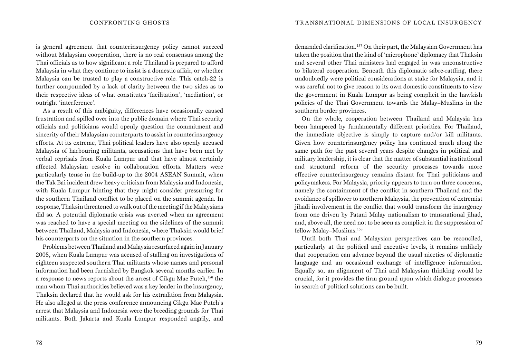is general agreement that counterinsurgency policy cannot succeed without Malaysian cooperation, there is no real consensus among the Thai officials as to how significant a role Thailand is prepared to afford Malaysia in what they continue to insist is a domestic affair, or whether Malaysia can be trusted to play a constructive role. This catch-22 is further compounded by a lack of clarity between the two sides as to their respective ideas of what constitutes 'facilitation', 'mediation', or outright 'interference'.

As a result of this ambiguity, differences have occasionally caused frustration and spilled over into the public domain where Thai security officials and politicians would openly question the commitment and sincerity of their Malaysian counterparts to assist in counterinsurgency efforts. At its extreme, Thai political leaders have also openly accused Malaysia of harbouring militants, accusations that have been met by verbal reprisals from Kuala Lumpur and that have almost certainly affected Malaysian resolve in collaboration efforts. Matters were particularly tense in the build-up to the 2004 ASEAN Summit, when the Tak Bai incident drew heavy criticism from Malaysia and Indonesia, with Kuala Lumpur hinting that they might consider pressuring for the southern Thailand conflict to be placed on the summit agenda. In response, Thaksin threatened to walk out of the meeting if the Malaysians did so. A potential diplomatic crisis was averted when an agreement was reached to have a special meeting on the sidelines of the summit between Thailand, Malaysia and Indonesia, where Thaksin would brief his counterparts on the situation in the southern provinces.

Problems between Thailand and Malaysia resurfaced again in January 2005, when Kuala Lumpur was accused of stalling on investigations of eighteen suspected southern Thai militants whose names and personal information had been furnished by Bangkok several months earlier. In a response to news reports about the arrest of Cikgu Mae Puteh,<sup>156</sup> the man whom Thai authorities believed was a key leader in the insurgency, Thaksin declared that he would ask for his extradition from Malaysia. He also alleged at the press conference announcing Cikgu Mae Puteh's arrest that Malaysia and Indonesia were the breeding grounds for Thai militants. Both Jakarta and Kuala Lumpur responded angrily, and

demanded clarification.157 On their part, the Malaysian Government has taken the position that the kind of 'microphone' diplomacy that Thaksin and several other Thai ministers had engaged in was unconstructive to bilateral cooperation. Beneath this diplomatic sabre-rattling, there undoubtedly were political considerations at stake for Malaysia, and it was careful not to give reason to its own domestic constituents to view the government in Kuala Lumpur as being complicit in the hawkish policies of the Thai Government towards the Malay–Muslims in the southern border provinces.

On the whole, cooperation between Thailand and Malaysia has been hampered by fundamentally different priorities. For Thailand, the immediate objective is simply to capture and/or kill militants. Given how counterinsurgency policy has continued much along the same path for the past several years despite changes in political and military leadership, it is clear that the matter of substantial institutional and structural reform of the security processes towards more effective counterinsurgency remains distant for Thai politicians and policymakers. For Malaysia, priority appears to turn on three concerns, namely the containment of the conflict in southern Thailand and the avoidance of spillover to northern Malaysia, the prevention of extremist jihadi involvement in the conflict that would transform the insurgency from one driven by Patani Malay nationalism to transnational jihad, and, above all, the need not to be seen as complicit in the suppression of fellow Malay–Muslims.158

Until both Thai and Malaysian perspectives can be reconciled, particularly at the political and executive levels, it remains unlikely that cooperation can advance beyond the usual niceties of diplomatic language and an occasional exchange of intelligence information. Equally so, an alignment of Thai and Malaysian thinking would be crucial, for it provides the firm ground upon which dialogue processes in search of political solutions can be built.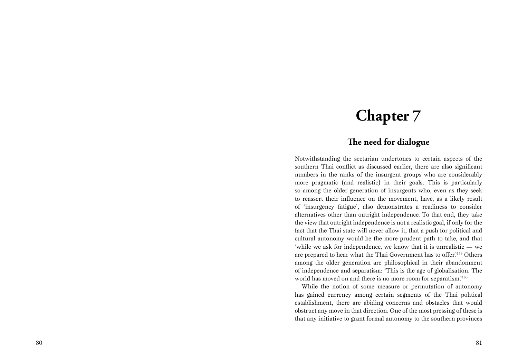## **Chapter 7**

### **The need for dialogue**

Notwithstanding the sectarian undertones to certain aspects of the southern Thai conflict as discussed earlier, there are also significant numbers in the ranks of the insurgent groups who are considerably more pragmatic (and realistic) in their goals. This is particularly so among the older generation of insurgents who, even as they seek to reassert their influence on the movement, have, as a likely result of 'insurgency fatigue', also demonstrates a readiness to consider alternatives other than outright independence. To that end, they take the view that outright independence is not a realistic goal, if only for the fact that the Thai state will never allow it, that a push for political and cultural autonomy would be the more prudent path to take, and that 'while we ask for independence, we know that it is unrealistic — we are prepared to hear what the Thai Government has to offer.'159 Others among the older generation are philosophical in their abandonment of independence and separatism: 'This is the age of globalisation. The world has moved on and there is no more room for separatism.'<sup>160</sup>

While the notion of some measure or permutation of autonomy has gained currency among certain segments of the Thai political establishment, there are abiding concerns and obstacles that would obstruct any move in that direction. One of the most pressing of these is that any initiative to grant formal autonomy to the southern provinces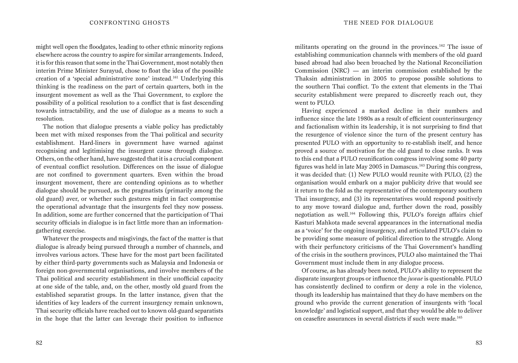might well open the floodgates, leading to other ethnic minority regions elsewhere across the country to aspire for similar arrangements. Indeed, it is for this reason that some in the Thai Government, most notably then interim Prime Minister Surayud, chose to float the idea of the possible creation of a 'special administrative zone' instead.161 Underlying this thinking is the readiness on the part of certain quarters, both in the insurgent movement as well as the Thai Government, to explore the possibility of a political resolution to a conflict that is fast descending towards intractability, and the use of dialogue as a means to such a resolution.

The notion that dialogue presents a viable policy has predictably been met with mixed responses from the Thai political and security establishment. Hard-liners in government have warned against recognising and legitimising the insurgent cause through dialogue. Others, on the other hand, have suggested that it is a crucial component of eventual conflict resolution. Differences on the issue of dialogue are not confined to government quarters. Even within the broad insurgent movement, there are contending opinions as to whether dialogue should be pursued, as the pragmatists (primarily among the old guard) aver, or whether such gestures might in fact compromise the operational advantage that the insurgents feel they now possess. In addition, some are further concerned that the participation of Thai security officials in dialogue is in fact little more than an informationgathering exercise.

Whatever the prospects and misgivings, the fact of the matter is that dialogue is already being pursued through a number of channels, and involves various actors. These have for the most part been facilitated by either third-party governments such as Malaysia and Indonesia or foreign non-governmental organisations, and involve members of the Thai political and security establishment in their unofficial capacity at one side of the table, and, on the other, mostly old guard from the established separatist groups. In the latter instance, given that the identities of key leaders of the current insurgency remain unknown, Thai security officials have reached out to known old-guard separatists in the hope that the latter can leverage their position to influence

militants operating on the ground in the provinces.<sup>162</sup> The issue of establishing communication channels with members of the old guard based abroad had also been broached by the National Reconciliation Commission  $(NRC)$  — an interim commission established by the Thaksin administration in 2005 to propose possible solutions to the southern Thai conflict. To the extent that elements in the Thai security establishment were prepared to discreetly reach out, they went to PULO.

Having experienced a marked decline in their numbers and influence since the late 1980s as a result of efficient counterinsurgency and factionalism within its leadership, it is not surprising to find that the resurgence of violence since the turn of the present century has presented PULO with an opportunity to re-establish itself, and hence proved a source of motivation for the old guard to close ranks. It was to this end that a PULO reunification congress involving some 40 party figures was held in late May 2005 in Damascus.163 During this congress, it was decided that: (1) New PULO would reunite with PULO, (2) the organisation would embark on a major publicity drive that would see it return to the fold as the representative of the contemporary southern Thai insurgency, and (3) its representatives would respond positively to any move toward dialogue and, further down the road, possibly negotiation as well.164 Following this, PULO's foreign affairs chief Kasturi Mahkota made several appearances in the international media as a 'voice' for the ongoing insurgency, and articulated PULO's claim to be providing some measure of political direction to the struggle. Along with their perfunctory criticisms of the Thai Government's handling of the crisis in the southern provinces, PULO also maintained the Thai Government must include them in any dialogue process.

Of course, as has already been noted, PULO's ability to represent the disparate insurgent groups or influence the *juwae* is questionable. PULO has consistently declined to confirm or deny a role in the violence, though its leadership has maintained that they do have members on the ground who provide the current generation of insurgents with 'local knowledge' and logistical support, and that they would be able to deliver on ceasefire assurances in several districts if such were made.165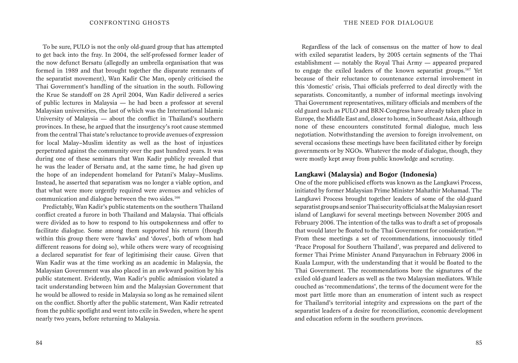To be sure, PULO is not the only old-guard group that has attempted to get back into the fray. In 2004, the self-professed former leader of the now defunct Bersatu (allegedly an umbrella organisation that was formed in 1989 and that brought together the disparate remnants of the separatist movement), Wan Kadir Che Man, openly criticised the Thai Government's handling of the situation in the south. Following the Krue Se standoff on 28 April 2004, Wan Kadir delivered a series of public lectures in Malaysia — he had been a professor at several Malaysian universities, the last of which was the International Islamic University of Malaysia — about the conflict in Thailand's southern provinces. In these, he argued that the insurgency's root cause stemmed from the central Thai state's reluctance to provide avenues of expression for local Malay–Muslim identity as well as the host of injustices perpetrated against the community over the past hundred years. It was during one of these seminars that Wan Kadir publicly revealed that he was the leader of Bersatu and, at the same time, he had given up the hope of an independent homeland for Patani's Malay–Muslims. Instead, he asserted that separatism was no longer a viable option, and that what were more urgently required were avenues and vehicles of communication and dialogue between the two sides.<sup>166</sup>

Predictably, Wan Kadir's public statements on the southern Thailand conflict created a furore in both Thailand and Malaysia. Thai officials were divided as to how to respond to his outspokenness and offer to facilitate dialogue. Some among them supported his return (though within this group there were 'hawks' and 'doves', both of whom had different reasons for doing so), while others were wary of recognising a declared separatist for fear of legitimising their cause. Given that Wan Kadir was at the time working as an academic in Malaysia, the Malaysian Government was also placed in an awkward position by his public statement. Evidently, Wan Kadir's public admission violated a tacit understanding between him and the Malaysian Government that he would be allowed to reside in Malaysia so long as he remained silent on the conflict. Shortly after the public statement, Wan Kadir retreated from the public spotlight and went into exile in Sweden, where he spent nearly two years, before returning to Malaysia.

Regardless of the lack of consensus on the matter of how to deal with exiled separatist leaders, by 2005 certain segments of the Thai establishment — notably the Royal Thai Army — appeared prepared to engage the exiled leaders of the known separatist groups.167 Yet because of their reluctance to countenance external involvement in this 'domestic' crisis, Thai officials preferred to deal directly with the separatists. Concomitantly, a number of informal meetings involving Thai Government representatives, military officials and members of the old guard such as PULO and BRN-Congress have already taken place in Europe, the Middle East and, closer to home, in Southeast Asia, although none of these encounters constituted formal dialogue, much less negotiation. Notwithstanding the aversion to foreign involvement, on several occasions these meetings have been facilitated either by foreign governments or by NGOs. Whatever the mode of dialogue, though, they were mostly kept away from public knowledge and scrutiny.

#### **Langkawi (Malaysia) and Bogor (Indonesia)**

One of the more publicised efforts was known as the Langkawi Process, initiated by former Malaysian Prime Minister Mahathir Mohamad. The Langkawi Process brought together leaders of some of the old-guard separatist groups and senior Thai security officials at the Malaysian resort island of Langkawi for several meetings between November 2005 and February 2006. The intention of the talks was to draft a set of proposals that would later be floated to the Thai Government for consideration.<sup>168</sup> From these meetings a set of recommendations, innocuously titled 'Peace Proposal for Southern Thailand', was prepared and delivered to former Thai Prime Minister Anand Panyarachun in February 2006 in Kuala Lumpur, with the understanding that it would be floated to the Thai Government. The recommendations bore the signatures of the exiled old-guard leaders as well as the two Malaysian mediators. While couched as 'recommendations', the terms of the document were for the most part little more than an enumeration of intent such as respect for Thailand's territorial integrity and expressions on the part of the separatist leaders of a desire for reconciliation, economic development and education reform in the southern provinces.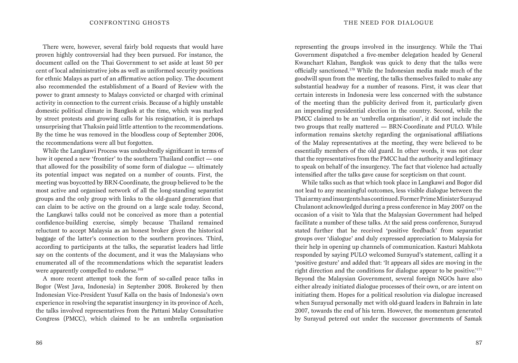There were, however, several fairly bold requests that would have proven highly controversial had they been pursued. For instance, the document called on the Thai Government to set aside at least 50 per cent of local administrative jobs as well as uniformed security positions for ethnic Malays as part of an affirmative action policy. The document also recommended the establishment of a Board of Review with the power to grant amnesty to Malays convicted or charged with criminal activity in connection to the current crisis. Because of a highly unstable domestic political climate in Bangkok at the time, which was marked by street protests and growing calls for his resignation, it is perhaps unsurprising that Thaksin paid little attention to the recommendations. By the time he was removed in the bloodless coup of September 2006, the recommendations were all but forgotten.

While the Langkawi Process was undoubtedly significant in terms of how it opened a new 'frontier' to the southern Thailand conflict — one that allowed for the possibility of some form of dialogue — ultimately its potential impact was negated on a number of counts. First, the meeting was boycotted by BRN-Coordinate, the group believed to be the most active and organised network of all the long-standing separatist groups and the only group with links to the old-guard generation that can claim to be active on the ground on a large scale today. Second, the Langkawi talks could not be conceived as more than a potential confidence-building exercise, simply because Thailand remained reluctant to accept Malaysia as an honest broker given the historical baggage of the latter's connection to the southern provinces. Third, according to participants at the talks, the separatist leaders had little say on the contents of the document, and it was the Malaysians who enumerated all of the recommendations which the separatist leaders were apparently compelled to endorse.<sup>169</sup>

A more recent attempt took the form of so-called peace talks in Bogor (West Java, Indonesia) in September 2008. Brokered by then Indonesian Vice-President Yusuf Kalla on the basis of Indonesia's own experience in resolving the separatist insurgency in its province of Aceh, the talks involved representatives from the Pattani Malay Consultative Congress (PMCC), which claimed to be an umbrella organisation representing the groups involved in the insurgency. While the Thai Government dispatched a five-member delegation headed by General Kwanchart Klahan, Bangkok was quick to deny that the talks were officially sanctioned.170 While the Indonesian media made much of the goodwill spun from the meeting, the talks themselves failed to make any substantial headway for a number of reasons. First, it was clear that certain interests in Indonesia were less concerned with the substance of the meeting than the publicity derived from it, particularly given an impending presidential election in the country. Second, while the PMCC claimed to be an 'umbrella organisation', it did not include the two groups that really mattered — BRN-Coordinate and PULO. While information remains sketchy regarding the organisational affiliations of the Malay representatives at the meeting, they were believed to be essentially members of the old guard. In other words, it was not clear that the representatives from the PMCC had the authority and legitimacy to speak on behalf of the insurgency. The fact that violence had actually intensified after the talks gave cause for scepticism on that count.

While talks such as that which took place in Langkawi and Bogor did not lead to any meaningful outcomes, less visible dialogue between the Thai army and insurgents has continued. Former Prime Minister Surayud Chulanont acknowledged during a press conference in May 2007 on the occasion of a visit to Yala that the Malaysian Government had helped facilitate a number of these talks. At the said press conference, Surayud stated further that he received 'positive feedback' from separatist groups over 'dialogue' and duly expressed appreciation to Malaysia for their help in opening up channels of communication. Kasturi Mahkota responded by saying PULO welcomed Surayud's statement, calling it a 'positive gesture' and added that: 'It appears all sides are moving in the right direction and the conditions for dialogue appear to be positive.'<sup>171</sup> Beyond the Malaysian Government, several foreign NGOs have also either already initiated dialogue processes of their own, or are intent on initiating them. Hopes for a political resolution via dialogue increased when Surayud personally met with old-guard leaders in Bahrain in late 2007, towards the end of his term. However, the momentum generated by Surayud petered out under the successor governments of Samak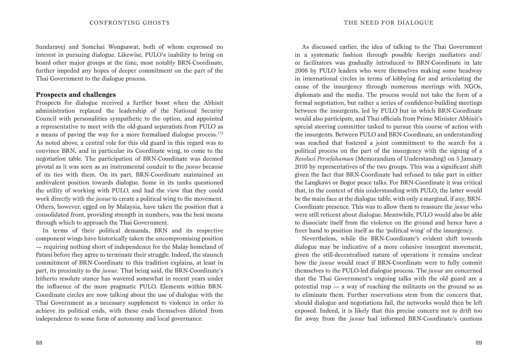Sundaravej and Somchai Wongsawat, both of whom expressed no interest in pursuing dialogue. Likewise, PULO's inability to bring on board other major groups at the time, most notably BRN-Coordinate, further impeded any hopes of deeper commitment on the part of the Thai Government to the dialogue process.

#### **Prospects and challenges**

Prospects for dialogue received a further boost when the Abhisit administration replaced the leadership of the National Security Council with personalities sympathetic to the option, and appointed a representative to meet with the old-guard separatists from PULO as a means of paving the way for a more formalised dialogue process. $172$ As noted above, a central role for this old guard in this regard was to convince BRN, and in particular its Coordinate wing, to come to the negotiation table. The participation of BRN-Coordinate was deemed pivotal as it was seen as an instrumental conduit to the *juwae* because of its ties with them. On its part, BRN-Coordinate maintained an ambivalent position towards dialogue. Some in its ranks questioned the utility of working with PULO, and had the view that they could work directly with the *juwae* to create a political wing to the movement. Others, however, egged on by Malaysia, have taken the position that a consolidated front, providing strength in numbers, was the best means through which to approach the Thai Government.

In terms of their political demands, BRN and its respective component wings have historically taken the uncompromising position — requiring nothing short of independence for the Malay homeland of Patani before they agree to terminate their struggle. Indeed, the staunch commitment of BRN-Coordinate to this tradition explains, at least in part, its proximity to the *juwae*. That being said, the BRN-Coordinate's hitherto resolute stance has wavered somewhat in recent years under the influence of the more pragmatic PULO. Elements within BRN-Coordinate circles are now talking about the use of dialogue with the Thai Government as a necessary supplement to violence in order to achieve its political ends, with these ends themselves diluted from independence to some form of autonomy and local governance.

As discussed earlier, the idea of talking to the Thai Government in a systematic fashion through possible foreign mediators and/ or facilitators was gradually introduced to BRN-Coordinate in late 2008 by PULO leaders who were themselves making some headway in international circles in terms of lobbying for and articulating the cause of the insurgency through numerous meetings with NGOs, diplomats and the media. The process would not take the form of a formal negotiation, but rather a series of confidence-building meetings between the insurgents, led by PULO but in which BRN-Coordinate would also participate, and Thai officials from Prime Minister Abhisit's special steering committee tasked to pursue this course of action with the insurgents. Between PULO and BRN-Coordinate, an understanding was reached that fostered a joint commitment to the search for a political process on the part of the insurgency with the signing of a *Resolusi Persefahaman* (Memorandum of Understanding) on 5 January 2010 by representatives of the two groups. This was a significant shift given the fact that BRN-Coordinate had refused to take part in either the Langkawi or Bogor peace talks. For BRN-Coordinate it was critical that, in the context of this understanding with PULO, the latter would be the main face at the dialogue table, with only a marginal, if any, BRN-Coordinate presence. This was to allow them to reassure the *juwae* who were still reticent about dialogue. Meanwhile, PULO would also be able to dissociate itself from the violence on the ground and hence have a freer hand to position itself as the 'political wing' of the insurgency.

Nevertheless, while the BRN-Coordinate's evident shift towards dialogue may be indicative of a more cohesive insurgent movement, given the still-decentralised nature of operations it remains unclear how the *juwae* would react if BRN-Coordinate were to fully commit themselves to the PULO-led dialogue process. The *juwae* are concerned that the Thai Government's ongoing talks with the old guard are a potential trap — a way of reaching the militants on the ground so as to eliminate them. Further reservations stem from the concern that, should dialogue and negotiations fail, the networks would then be left exposed. Indeed, it is likely that this precise concern not to drift too far away from the *juwae* had informed BRN-Coordinate's cautious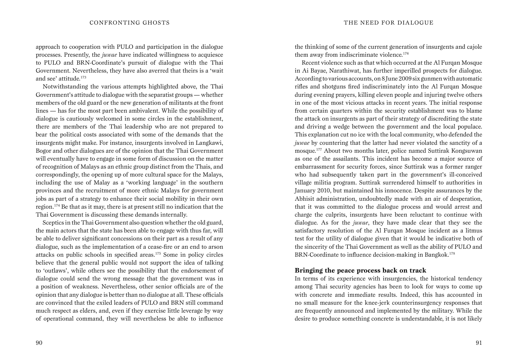approach to cooperation with PULO and participation in the dialogue processes. Presently, the *juwae* have indicated willingness to acquiesce to PULO and BRN-Coordinate's pursuit of dialogue with the Thai Government. Nevertheless, they have also averred that theirs is a 'wait and see' attitude.173

Notwithstanding the various attempts highlighted above, the Thai Government's attitude to dialogue with the separatist groups — whether members of the old guard or the new generation of militants at the front lines — has for the most part been ambivalent. While the possibility of dialogue is cautiously welcomed in some circles in the establishment, there are members of the Thai leadership who are not prepared to bear the political costs associated with some of the demands that the insurgents might make. For instance, insurgents involved in Langkawi, Bogor and other dialogues are of the opinion that the Thai Government will eventually have to engage in some form of discussion on the matter of recognition of Malays as an ethnic group distinct from the Thais, and correspondingly, the opening up of more cultural space for the Malays, including the use of Malay as a 'working language' in the southern provinces and the recruitment of more ethnic Malays for government jobs as part of a strategy to enhance their social mobility in their own region.174 Be that as it may, there is at present still no indication that the Thai Government is discussing these demands internally.

Sceptics in the Thai Government also question whether the old guard, the main actors that the state has been able to engage with thus far, will be able to deliver significant concessions on their part as a result of any dialogue, such as the implementation of a cease-fire or an end to arson attacks on public schools in specified areas.175 Some in policy circles believe that the general public would not support the idea of talking to 'outlaws', while others see the possibility that the endorsement of dialogue could send the wrong message that the government was in a position of weakness. Nevertheless, other senior officials are of the opinion that any dialogue is better than no dialogue at all. These officials are convinced that the exiled leaders of PULO and BRN still command much respect as elders, and, even if they exercise little leverage by way of operational command, they will nevertheless be able to influence

the thinking of some of the current generation of insurgents and cajole them away from indiscriminate violence.<sup>176</sup>

Recent violence such as that which occurred at the Al Furgan Mosque in Ai Bayae, Narathiwat, has further imperilled prospects for dialogue. According to various accounts, on 8 June 2009 six gunmen with automatic rifles and shotguns fired indiscriminately into the Al Furqan Mosque during evening prayers, killing eleven people and injuring twelve others in one of the most vicious attacks in recent years. The initial response from certain quarters within the security establishment was to blame the attack on insurgents as part of their strategy of discrediting the state and driving a wedge between the government and the local populace. This explanation cut no ice with the local community, who defended the *juwae* by countering that the latter had never violated the sanctity of a mosque.177 About two months later, police named Suttirak Kongsuwan as one of the assailants. This incident has become a major source of embarrassment for security forces, since Suttirak was a former ranger who had subsequently taken part in the government's ill-conceived village militia program. Suttirak surrendered himself to authorities in January 2010, but maintained his innocence. Despite assurances by the Abhisit administration, undoubtedly made with an air of desperation, that it was committed to the dialogue process and would arrest and charge the culprits, insurgents have been reluctant to continue with dialogue. As for the *juwae*, they have made clear that they see the satisfactory resolution of the Al Furqan Mosque incident as a litmus test for the utility of dialogue given that it would be indicative both of the sincerity of the Thai Government as well as the ability of PULO and BRN-Coordinate to influence decision-making in Bangkok.<sup>178</sup>

#### **Bringing the peace process back on track**

In terms of its experience with insurgencies, the historical tendency among Thai security agencies has been to look for ways to come up with concrete and immediate results. Indeed, this has accounted in no small measure for the knee-jerk counterinsurgency responses that are frequently announced and implemented by the military. While the desire to produce something concrete is understandable, it is not likely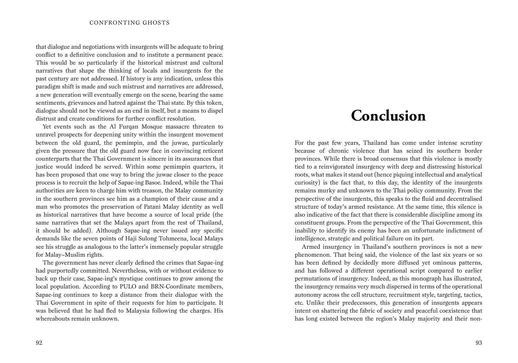that dialogue and negotiations with insurgents will be adequate to bring conflict to a definitive conclusion and to institute a permanent peace. This would be so particularly if the historical mistrust and cultural narratives that shape the thinking of locals and insurgents for the past century are not addressed. If history is any indication, unless this paradigm shift is made and such mistrust and narratives are addressed, a new generation will eventually emerge on the scene, bearing the same sentiments, grievances and hatred against the Thai state. By this token, dialogue should not be viewed as an end in itself, but a means to dispel distrust and create conditions for further conflict resolution.

Yet events such as the Al Furqan Mosque massacre threaten to unravel prospects for deepening unity within the insurgent movement between the old guard, the pemimpin, and the juwae, particularly given the pressure that the old guard now face in convincing reticent counterparts that the Thai Government is sincere in its assurances that justice would indeed be served. Within some pemimpin quarters, it has been proposed that one way to bring the juwae closer to the peace process is to recruit the help of Sapae-ing Basoe. Indeed, while the Thai authorities are keen to charge him with treason, the Malay community in the southern provinces see him as a champion of their cause and a man who promotes the preservation of Patani Malay identity as well as historical narratives that have become a source of local pride (the same narratives that set the Malays apart from the rest of Thailand, it should be added). Although Sapae-ing never issued any specific demands like the seven points of Haji Sulong Tohmeena, local Malays see his struggle as analogous to the latter's immensely popular struggle for Malay–Muslim rights.

The government has never clearly defined the crimes that Sapae-ing had purportedly committed. Nevertheless, with or without evidence to back up their case, Sapae-ing's mystique continues to grow among the local population. According to PULO and BRN-Coordinate members, Sapae-ing continues to keep a distance from their dialogue with the Thai Government in spite of their requests for him to participate. It was believed that he had fled to Malaysia following the charges. His whereabouts remain unknown.

## **Conclusion**

For the past few years, Thailand has come under intense scrutiny because of chronic violence that has seized its southern border provinces. While there is broad consensus that this violence is mostly tied to a reinvigorated insurgency with deep and distressing historical roots, what makes it stand out (hence piquing intellectual and analytical curiosity) is the fact that, to this day, the identity of the insurgents remains murky and unknown to the Thai policy community. From the perspective of the insurgents, this speaks to the fluid and decentralised structure of today's armed resistance. At the same time, this silence is also indicative of the fact that there is considerable discipline among its constituent groups. From the perspective of the Thai Government, this inability to identify its enemy has been an unfortunate indictment of intelligence, strategic and political failure on its part.

Armed insurgency in Thailand's southern provinces is not a new phenomenon. That being said, the violence of the last six years or so has been defined by decidedly more diffused yet ominous patterns, and has followed a different operational script compared to earlier permutations of insurgency. Indeed, as this monograph has illustrated, the insurgency remains very much dispersed in terms of the operational autonomy across the cell structure, recruitment style, targeting, tactics, etc. Unlike their predecessors, this generation of insurgents appears intent on shattering the fabric of society and peaceful coexistence that has long existed between the region's Malay majority and their non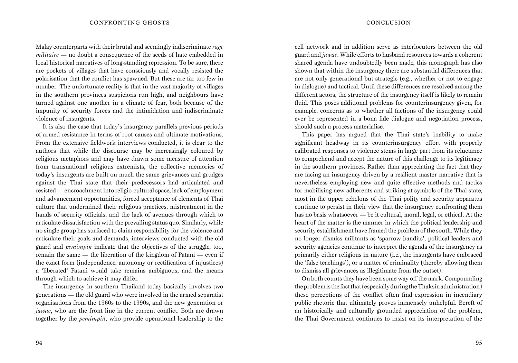Malay counterparts with their brutal and seemingly indiscriminate *rage militaire* — no doubt a consequence of the seeds of hate embedded in local historical narratives of long-standing repression. To be sure, there are pockets of villages that have consciously and vocally resisted the polarisation that the conflict has spawned. But these are far too few in number. The unfortunate reality is that in the vast majority of villages in the southern provinces suspicions run high, and neighbours have turned against one another in a climate of fear, both because of the impunity of security forces and the intimidation and indiscriminate violence of insurgents.

It is also the case that today's insurgency parallels previous periods of armed resistance in terms of root causes and ultimate motivations. From the extensive fieldwork interviews conducted, it is clear to the authors that while the discourse may be increasingly coloured by religious metaphors and may have drawn some measure of attention from transnational religious extremists, the collective memories of today's insurgents are built on much the same grievances and grudges against the Thai state that their predecessors had articulated and resisted — encroachment into religio-cultural space, lack of employment and advancement opportunities, forced acceptance of elements of Thai culture that undermined their religious practices, mistreatment in the hands of security officials, and the lack of avenues through which to articulate dissatisfaction with the prevailing status quo. Similarly, while no single group has surfaced to claim responsibility for the violence and articulate their goals and demands, interviews conducted with the old guard and *pemimpin* indicate that the objectives of the struggle, too, remain the same — the liberation of the kingdom of Patani — even if the exact form (independence, autonomy or rectification of injustices) a 'liberated' Patani would take remains ambiguous, and the means through which to achieve it may differ.

The insurgency in southern Thailand today basically involves two generations — the old guard who were involved in the armed separatist organisations from the 1960s to the 1990s, and the new generation or *juwae*, who are the front line in the current conflict. Both are drawn together by the *pemimpin*, who provide operational leadership to the

cell network and in addition serve as interlocutors between the old guard and *juwae*. While efforts to husband resources towards a coherent shared agenda have undoubtedly been made, this monograph has also shown that within the insurgency there are substantial differences that are not only generational but strategic (e.g., whether or not to engage in dialogue) and tactical. Until these differences are resolved among the different actors, the structure of the insurgency itself is likely to remain fluid. This poses additional problems for counterinsurgency given, for example, concerns as to whether all factions of the insurgency could ever be represented in a bona fide dialogue and negotiation process, should such a process materialise.

This paper has argued that the Thai state's inability to make significant headway in its counterinsurgency effort with properly calibrated responses to violence stems in large part from its reluctance to comprehend and accept the nature of this challenge to its legitimacy in the southern provinces. Rather than appreciating the fact that they are facing an insurgency driven by a resilient master narrative that is nevertheless employing new and quite effective methods and tactics for mobilising new adherents and striking at symbols of the Thai state, most in the upper echelons of the Thai polity and security apparatus continue to persist in their view that the insurgency confronting them has no basis whatsoever — be it cultural, moral, legal, or ethical. At the heart of the matter is the manner in which the political leadership and security establishment have framed the problem of the south. While they no longer dismiss militants as 'sparrow bandits', political leaders and security agencies continue to interpret the agenda of the insurgency as primarily either religious in nature (i.e., the insurgents have embraced the 'false teachings'), or a matter of criminality (thereby allowing them to dismiss all grievances as illegitimate from the outset).

On both counts they have been some way off the mark. Compounding the problem is the fact that (especially during the Thaksin administration) these perceptions of the conflict often find expression in incendiary public rhetoric that ultimately proves immensely unhelpful. Bereft of an historically and culturally grounded appreciation of the problem, the Thai Government continues to insist on its interpretation of the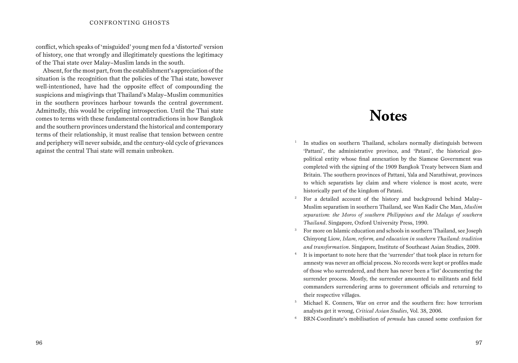#### CONFRONTING GHOSTS

conflict, which speaks of 'misguided' young men fed a 'distorted' version of history, one that wrongly and illegitimately questions the legitimacy of the Thai state over Malay–Muslim lands in the south.

Absent, for the most part, from the establishment's appreciation of the situation is the recognition that the policies of the Thai state, however well-intentioned, have had the opposite effect of compounding the suspicions and misgivings that Thailand's Malay–Muslim communities in the southern provinces harbour towards the central government. Admittedly, this would be crippling introspection. Until the Thai state comes to terms with these fundamental contradictions in how Bangkok and the southern provinces understand the historical and contemporary terms of their relationship, it must realise that tension between centre and periphery will never subside, and the century-old cycle of grievances against the central Thai state will remain unbroken.

## **Notes**

- <sup>1</sup> In studies on southern Thailand, scholars normally distinguish between 'Pattani', the administrative province, and 'Patani', the historical geopolitical entity whose final annexation by the Siamese Government was completed with the signing of the 1909 Bangkok Treaty between Siam and Britain. The southern provinces of Pattani, Yala and Narathiwat, provinces to which separatists lay claim and where violence is most acute, were historically part of the kingdom of Patani.
- <sup>2</sup> For a detailed account of the history and background behind Malay– Muslim separatism in southern Thailand, see Wan Kadir Che Man, *Muslim separatism: the Moros of southern Philippines and the Malays of southern Thailand*. Singapore, Oxford University Press, 1990.
- <sup>3</sup> For more on Islamic education and schools in southern Thailand, see Joseph Chinyong Liow, *Islam, reform, and education in southern Thailand: tradition and transformation*. Singapore, Institute of Southeast Asian Studies, 2009.
- <sup>4</sup> It is important to note here that the 'surrender' that took place in return for amnesty was never an official process. No records were kept or profiles made of those who surrendered, and there has never been a 'list' documenting the surrender process. Mostly, the surrender amounted to militants and field commanders surrendering arms to government officials and returning to their respective villages.
- <sup>5</sup> Michael K. Conners, War on error and the southern fire: how terrorism analysts get it wrong, *Critical Asian Studies*, Vol. 38, 2006.
- <sup>6</sup> BRN-Coordinate's mobilisation of *pemuda* has caused some confusion for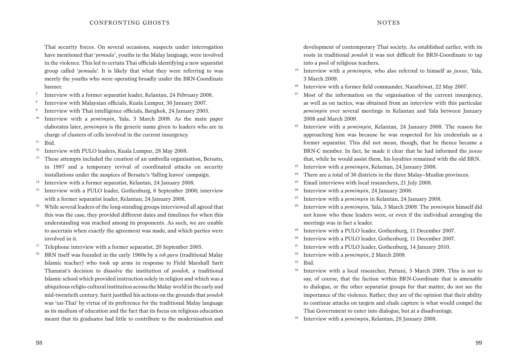Thai security forces. On several occasions, suspects under interrogation have mentioned that '*pemuda*', youths in the Malay language, were involved in the violence. This led to certain Thai officials identifying a new separatist group called '*pemuda*'. It is likely that what they were referring to was merely the youths who were operating broadly under the BRN-Coordinate banner.

- <sup>7</sup> Interview with a former separatist leader, Kelantan, 24 February 2008.
- <sup>8</sup> Interview with Malaysian officials, Kuala Lumpur, 30 January 2007.
- <sup>9</sup> Interview with Thai intelligence officials, Bangkok, 24 January 2005.
- <sup>10</sup> Interview with a *pemimpin*, Yala, 3 March 2009. As the main paper elaborates later, *pemimpin* is the generic name given to leaders who are in charge of clusters of cells involved in the current insurgency.
- $11$  Ibid.
- <sup>12</sup> Interview with PULO leaders, Kuala Lumpur, 28 May 2008.
- <sup>13</sup> These attempts included the creation of an umbrella organisation, Bersatu, in 1997 and a temporary revival of coordinated attacks on security installations under the auspices of Bersatu's 'falling leaves' campaign.
- <sup>14</sup> Interview with a former separatist, Kelantan, 24 January 2008.
- <sup>15</sup> Interview with a PULO leader, Gothenburg, 6 September 2006; interview with a former separatist leader, Kelantan, 24 January 2008.
- <sup>16</sup> While several leaders of the long-standing groups interviewed all agreed that this was the case, they provided different dates and timelines for when this understanding was reached among its proponents. As such, we are unable to ascertain when exactly the agreement was made, and which parties were involved in it.
- <sup>17</sup> Telephone interview with a former separatist, 20 September 2005.
- <sup>18</sup> BRN itself was founded in the early 1960s by a *tok guru* (traditional Malay Islamic teacher) who took up arms in response to Field Marshall Sarit Thanarat's decision to dissolve the institution of *pondok*, a traditional Islamic school which provided instruction solely in religion and which was a ubiquitous religio-cultural institution across the Malay world in the early and mid-twentieth century. Sarit justified his actions on the grounds that *pondok* was 'un-Thai' by virtue of its preference for the traditional Malay language as its medium of education and the fact that its focus on religious education meant that its graduates had little to contribute to the modernisation and

development of contemporary Thai society. As established earlier, with its roots in traditional *pondok* it was not difficult for BRN-Coordinate to tap into a pool of religious teachers.

- <sup>19</sup> Interview with a *pemimpin*, who also referred to himself as *juwae*, Yala, 3 March 2009.
- <sup>20</sup> Interview with a former field commander, Narathiwat, 22 May 2007.
- Most of the information on the organisation of the current insurgency, as well as on tactics, was obtained from an interview with this particular *pemimpin* over several meetings in Kelantan and Yala between January 2008 and March 2009.
- <sup>22</sup> Interview with a *pemimpin*, Kelantan, 24 January 2008. The reason for approaching him was because he was respected for his credentials as a former separatist. This did not mean, though, that he thence became a BRN-C member. In fact, he made it clear that he had informed the *juwae* that, while he would assist them, his loyalties remained with the old BRN.
- <sup>23</sup> Interview with a *pemimpin*, Kelantan, 24 January 2008.
- <sup>24</sup> There are a total of 36 districts in the three Malay–Muslim provinces.
- <sup>25</sup> Email interviews with local researchers, 21 July 2008.
- <sup>26</sup> Interview with a *pemimpin*, 24 January 2008.
- <sup>27</sup> Interview with a *pemimpin* in Kelantan, 24 January 2008.
- <sup>28</sup> Interview with a *pemimpin*, Yala, 3 March 2009. The *pemimpin* himself did not know who these leaders were, or even if the individual arranging the meetings was in fact a leader.
- <sup>29</sup> Interview with a PULO leader, Gothenburg, 11 December 2007.
- <sup>30</sup> Interview with a PULO leader, Gothenburg, 11 December 2007.
- <sup>31</sup> Interview with a PULO leader, Gothenburg, 14 January 2010.
- <sup>32</sup> Interview with a *pemimpin*, 2 March 2009.
- <sup>33</sup> Ibid.
- <sup>34</sup> Interview with a local researcher, Pattani, 5 March 2009. This is not to say, of course, that the faction within BRN-Coordinate that is amenable to dialogue, or the other separatist groups for that matter, do not see the importance of the violence. Rather, they are of the opinion that their ability to continue attacks on targets and elude capture is what would compel the Thai Government to enter into dialogue, but at a disadvantage.
- <sup>35</sup> Interview with a *pemimpin*, Kelantan, 28 January 2008.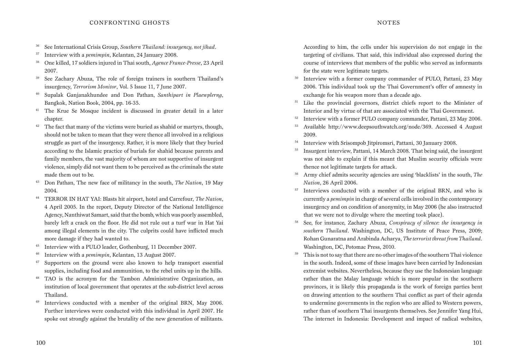#### CONFRONTING GHOSTS

- <sup>36</sup> See International Crisis Group, *Southern Thailand: insurgency, not jihad*.
- <sup>37</sup> Interview with a *pemimpin*, Kelantan, 24 January 2008.
- <sup>38</sup> One killed, 17 soldiers injured in Thai south, *Agence France-Presse*, 23 April 2007.
- <sup>39</sup> See Zachary Abuza, The role of foreign trainers in southern Thailand's insurgency, *Terrorism Monitor*, Vol. 5 Issue 11, 7 June 2007.
- <sup>40</sup> Supalak Ganjanakhundee and Don Pathan, *Santhipart in Plaewplerng*, Bangkok, Nation Book, 2004, pp. 16-35.
- <sup>41</sup> The Krue Se Mosque incident is discussed in greater detail in a later chapter.
- <sup>42</sup> The fact that many of the victims were buried as shahid or martyrs, though, should not be taken to mean that they were thence all involved in a religious struggle as part of the insurgency. Rather, it is more likely that they buried according to the Islamic practice of burials for shahid because parents and family members, the vast majority of whom are not supportive of insurgent violence, simply did not want them to be perceived as the criminals the state made them out to be.
- <sup>43</sup> Don Pathan, The new face of militancy in the south, *The Nation*, 19 May 2004.
- <sup>44</sup> TERROR IN HAT YAI: Blasts hit airport, hotel and Carrefour, *The Nation*, 4 April 2005. In the report, Deputy Director of the National Intelligence Agency, Nanthiwat Samart, said that the bomb, which was poorly assembled, barely left a crack on the floor. He did not rule out a turf war in Hat Yai among illegal elements in the city. The culprits could have inflicted much more damage if they had wanted to.
- <sup>45</sup> Interview with a PULO leader, Gothenburg, 11 December 2007.
- <sup>46</sup> Interview with a *pemimpin*, Kelantan, 13 August 2007.

100

- <sup>47</sup> Supporters on the ground were also known to help transport essential supplies, including food and ammunition, to the rebel units up in the hills.
- <sup>48</sup> TAO is the acronym for the Tambon Administrative Organization, an institution of local government that operates at the sub-district level across Thailand.
- <sup>49</sup> Interviews conducted with a member of the original BRN, May 2006. Further interviews were conducted with this individual in April 2007. He spoke out strongly against the brutality of the new generation of militants.

According to him, the cells under his supervision do not engage in the targeting of civilians. That said, this individual also expressed during the course of interviews that members of the public who served as informants for the state were legitimate targets.

- <sup>50</sup> Interview with a former company commander of PULO, Pattani, 23 May 2006. This individual took up the Thai Government's offer of amnesty in exchange for his weapon more than a decade ago.
- <sup>51</sup> Like the provincial governors, district chiefs report to the Minister of Interior and by virtue of that are associated with the Thai Government.
- <sup>52</sup> Interview with a former PULO company commander, Pattani, 23 May 2006.
- <sup>53</sup> Available http://www.deepsouthwatch.org/node/369. Accessed 4 August 2009.
- <sup>54</sup> Interview with Srisompob Iitpiromsri, Pattani, 30 January 2008.
- <sup>55</sup> Insurgent interview, Pattani, 14 March 2008. That being said, the insurgent was not able to explain if this meant that Muslim security officials were thence not legitimate targets for attack.
- <sup>56</sup> Army chief admits security agencies are using 'blacklists' in the south, *The Nation*, 26 April 2006.
- <sup>57</sup> Interviews conducted with a member of the original BRN, and who is currently a *pemimpin* in charge of several cells involved in the contemporary insurgency and on condition of anonymity, in May 2006 (he also instructed that we were not to divulge where the meeting took place).
- <sup>58</sup> See, for instance, Zachary Abuza, *Conspiracy of silence: the insurgency in southern Thailand*. Washington, DC, US Institute of Peace Press, 2009; Rohan Gunaratna and Arabinda Acharya, *The terrorist threat from Thailand*. Washington, DC, Potomac Press, 2010.
- <sup>59</sup> This is not to say that there are no other images of the southern Thai violence in the south. Indeed, some of these images have been carried by Indonesian extremist websites. Nevertheless, because they use the Indonesian language rather than the Malay language which is more popular in the southern provinces, it is likely this propaganda is the work of foreign parties bent on drawing attention to the southern Thai conflict as part of their agenda to undermine governments in the region who are allied to Western powers, rather than of southern Thai insurgents themselves. See Jennifer Yang Hui, The internet in Indonesia: Development and impact of radical websites,

#### **NOTES**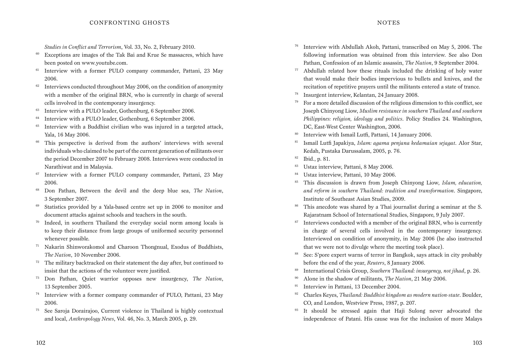*Studies in Conflict and Terrorism*, Vol. 33, No. 2, February 2010.

- $60$  Exceptions are images of the Tak Bai and Krue Se massacres, which have been posted on www.youtube.com.
- $61$  Interview with a former PULO company commander, Pattani, 23 May 2006.
- $62$  Interviews conducted throughout May 2006, on the condition of anonymity with a member of the original BRN, who is currently in charge of several cells involved in the contemporary insurgency.
- <sup>63</sup> Interview with a PULO leader, Gothenburg, 6 September 2006.
- <sup>64</sup> Interview with a PULO leader, Gothenburg, 6 September 2006.
- $65$  Interview with a Buddhist civilian who was injured in a targeted attack, Yala, 16 May 2006.
- <sup>66</sup> This perspective is derived from the authors' interviews with several individuals who claimed to be part of the current generation of militants over the period December 2007 to February 2008. Interviews were conducted in Narathiwat and in Malaysia.
- <sup>67</sup> Interview with a former PULO company commander, Pattani, 23 May 2006.
- <sup>68</sup> Don Pathan, Between the devil and the deep blue sea, *The Nation*, 3 September 2007.
- <sup>69</sup> Statistics provided by a Yala-based centre set up in 2006 to monitor and document attacks against schools and teachers in the south.
- <sup>70</sup> Indeed, in southern Thailand the everyday social norm among locals is to keep their distance from large groups of uniformed security personnel whenever possible.
- <sup>71</sup> Nakarin Shinworakomol and Charoon Thongnual, Exodus of Buddhists, *The Nation*, 10 November 2006.
- $72$  The military backtracked on their statement the day after, but continued to insist that the actions of the volunteer were justified.
- <sup>73</sup> Don Pathan, Quiet warrior opposes new insurgency, *The Nation*, 13 September 2005.
- <sup>74</sup> Interview with a former company commander of PULO, Pattani, 23 May 2006.
- <sup>75</sup> See Saroja Dorairajoo, Current violence in Thailand is highly contextual and local, *Anthropology News*, Vol. 46, No. 3, March 2005, p. 29.
- <sup>76</sup> Interview with Abdullah Akoh, Pattani, transcribed on May 5, 2006. The following information was obtained from this interview. See also Don Pathan, Confession of an Islamic assassin, *The Nation*, 9 September 2004.
- $77$  Abdullah related how these rituals included the drinking of holy water that would make their bodies impervious to bullets and knives, and the recitation of repetitive prayers until the militants entered a state of trance.
- <sup>78</sup> Insurgent interview, Kelantan, 24 January 2008.
- <sup>79</sup> For a more detailed discussion of the religious dimension to this conflict, see Joseph Chinyong Liow, *Muslim resistance in southern Thailand and southern Philippines: religion, ideology and politics*. Policy Studies 24. Washington, DC, East-West Center Washington, 2006.
- <sup>80</sup> Interview with Ismail Lutfi, Pattani, 14 January 2006.
- <sup>81</sup> Ismail Lutfi Japakiya, *Islam: agama penjana kedamaian sejagat*. Alor Star, Kedah, Pustaka Darussalam, 2005, p. 76.
- <sup>82</sup> Ibid., p. 81.
- <sup>83</sup> Ustaz interview, Pattani, 8 May 2006.
- <sup>84</sup> Ustaz interview, Pattani, 10 May 2006.
- <sup>85</sup> This discussion is drawn from Joseph Chinyong Liow, *Islam, education, and reform in southern Thailand: tradition and transformation*. Singapore, Institute of Southeast Asian Studies, 2009.
- <sup>86</sup> This anecdote was shared by a Thai journalist during a seminar at the S. Rajaratnam School of International Studies, Singapore, 9 July 2007.
- $87$  Interviews conducted with a member of the original BRN, who is currently in charge of several cells involved in the contemporary insurgency. Interviewed on condition of anonymity, in May 2006 (he also instructed that we were not to divulge where the meeting took place).
- <sup>88</sup> See: S'pore expert warns of terror in Bangkok, says attack in city probably before the end of the year, *Reuters*, 8 January 2006.
- <sup>89</sup> International Crisis Group, *Southern Thailand: insurgency, not jihad*, p. 26.
- <sup>90</sup> Alone in the shadow of militants, *The Nation*, 21 May 2006.
- <sup>91</sup> Interview in Pattani, 13 December 2004.
- <sup>92</sup> Charles Keyes, *Thailand: Buddhist kingdom as modern nation-state*. Boulder, CO, and London, Westview Press, 1987, p. 207.
- <sup>93</sup> It should be stressed again that Haji Sulong never advocated the independence of Patani. His cause was for the inclusion of more Malays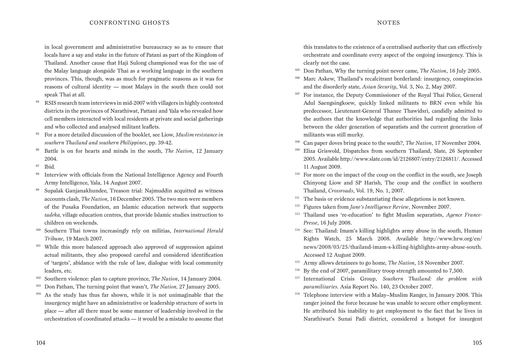in local government and administrative bureaucracy so as to ensure that locals have a say and stake in the future of Patani as part of the Kingdom of Thailand. Another cause that Haji Sulong championed was for the use of the Malay language alongside Thai as a working language in the southern provinces. This, though, was as much for pragmatic reasons as it was for reasons of cultural identity — most Malays in the south then could not speak Thai at all.

- $94$  RSIS research team interviews in mid-2007 with villagers in highly contested districts in the provinces of Narathiwat, Pattani and Yala who revealed how cell members interacted with local residents at private and social gatherings and who collected and analysed militant leaflets.
- <sup>95</sup> For a more detailed discussion of the booklet, see Liow, *Muslim resistance in southern Thailand and southern Philippines*, pp. 39-42.
- <sup>96</sup> Battle is on for hearts and minds in the south, *The Nation*, 12 January 2004.
- $97$  Ibid.
- <sup>98</sup> Interview with officials from the National Intelligence Agency and Fourth Army Intelligence, Yala, 14 August 2007.
- <sup>99</sup> Supalak Ganjanakhundee, Treason trial: Najmuddin acquitted as witness accounts clash, *The Nation*, 16 December 2005. The two men were members of the Pusaka Foundation, an Islamic education network that supports *tadeka,* village education centres, that provide Islamic studies instruction to children on weekends.
- <sup>100</sup> Southern Thai towns increasingly rely on militias, *International Herald Tribune*, 19 March 2007.
- $101$  While this more balanced approach also approved of suppression against actual militants, they also proposed careful and considered identification of 'targets', abidance with the rule of law, dialogue with local community leaders, etc.
- <sup>102</sup> Southern violence: plan to capture province, *The Nation*, 14 January 2004.
- <sup>103</sup> Don Pathan, The turning point that wasn't, *The Nation,* 27 January 2005.
- $104$  As the study has thus far shown, while it is not unimaginable that the insurgency might have an administrative or leadership structure of sorts in place — after all there must be some manner of leadership involved in the orchestration of coordinated attacks — it would be a mistake to assume that

this translates to the existence of a centralised authority that can effectively orchestrate and coordinate every aspect of the ongoing insurgency. This is clearly not the case.

- <sup>105</sup> Don Pathan, Why the turning point never came, *The Nation*, 16 July 2005.
- <sup>106</sup> Marc Askew, Thailand's recalcitrant borderland: insurgency, conspiracies and the disorderly state, *Asian Security*, Vol. 3, No. 2, May 2007.
- <sup>107</sup> For instance, the Deputy Commissioner of the Royal Thai Police, General Adul Saengsingkoew, quickly linked militants to BRN even while his predecessor, Lieutenant-General Thanee Thawidsri, candidly admitted to the authors that the knowledge that authorities had regarding the links between the older generation of separatists and the current generation of militants was still murky.
- <sup>108</sup> Can paper doves bring peace to the south?, *The Nation*, 17 November 2004.
- <sup>109</sup> Eliza Griswold, Dispatches from southern Thailand, Slate, 26 September 2005. Available http://www.slate.com/id/2126807/entry/2126811/. Accessed 11 August 2009.
- <sup>110</sup> For more on the impact of the coup on the conflict in the south, see Joseph Chinyong Liow and SP Harish, The coup and the conflict in southern Thailand, *Crossroads*, Vol. 19, No. 1, 2007.
- $111$  The basis or evidence substantiating these allegations is not known.
- <sup>112</sup> Figures taken from *Jane's Intelligence Review*, November 2007.
- <sup>113</sup> Thailand uses 're-education' to fight Muslim separatists, *Agence France-Presse*, 16 July 2008.
- <sup>114</sup> See: Thailand: Imam's killing highlights army abuse in the south, Human Rights Watch, 25 March 2008. Available http://www.hrw.org/en/ news/2008/03/25/thailand-imam-s-killing-highlights-army-abuse-south. Accessed 12 August 2009.
- <sup>115</sup> Army allows detainees to go home, *The Nation*, 18 November 2007.
- <sup>116</sup> By the end of 2007, paramilitary troop strength amounted to 7,500.
- <sup>117</sup> International Crisis Group, *Southern Thailand: the problem with paramilitaries*. Asia Report No. 140, 23 October 2007.
- <sup>118</sup> Telephone interview with a Malay–Muslim Ranger, in January 2008. This ranger joined the force because he was unable to secure other employment. He attributed his inability to get employment to the fact that he lives in Narathiwat's Sunai Padi district, considered a hotspot for insurgent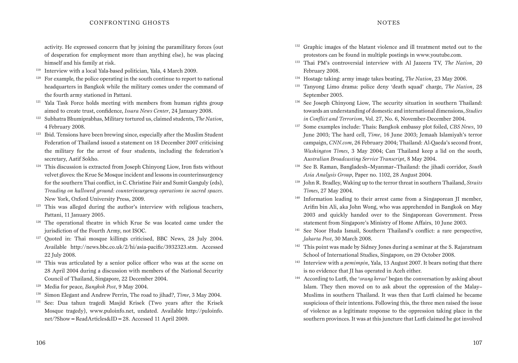#### CONFRONTING GHOSTS

activity. He expressed concern that by joining the paramilitary forces (out of desperation for employment more than anything else), he was placing himself and his family at risk.

- <sup>119</sup> Interview with a local Yala-based politician, Yala, 4 March 2009.
- $120$  For example, the police operating in the south continue to report to national headquarters in Bangkok while the military comes under the command of the fourth army stationed in Pattani.
- <sup>121</sup> Yala Task Force holds meeting with members from human rights group aimed to create trust, confidence, *Issara News Center*, 24 January 2008.
- <sup>122</sup> Subhatra Bhumiprabhas, Military tortured us, claimed students, *The Nation*, 4 February 2008.
- $123$  Ibid. Tensions have been brewing since, especially after the Muslim Student Federation of Thailand issued a statement on 18 December 2007 criticising the military for the arrest of four students, including the federation's secretary, Aatif Sokho.
- <sup>124</sup> This discussion is extracted from Joseph Chinyong Liow, Iron fists without velvet gloves: the Krue Se Mosque incident and lessons in counterinsurgency for the southern Thai conflict, in C. Christine Fair and Sumit Ganguly (eds), *Treading on hallowed ground: counterinsurgency operations in sacred spaces*. New York, Oxford University Press, 2009.
- $125$  This was alleged during the author's interview with religious teachers. Pattani, 11 January 2005.
- $126$  The operational theatre in which Krue Se was located came under the jurisdiction of the Fourth Army, not ISOC.
- <sup>127</sup> Quoted in: Thai mosque killings criticised, BBC News, 28 July 2004. Available http://news.bbc.co.uk/2/hi/asia-pacific/3932323.stm. Accessed 22 July 2008.
- <sup>128</sup> This was articulated by a senior police officer who was at the scene on 28 April 2004 during a discussion with members of the National Security Council of Thailand, Singapore, 22 December 2004.
- <sup>129</sup> Media for peace, *Bangkok Post*, 9 May 2004.
- <sup>130</sup> Simon Elegant and Andrew Perrin, The road to jihad?, *Time*, 3 May 2004.
- <sup>131</sup> See: Dua tahun tragedi Masjid Krisek (Two years after the Krisek Mosque tragedy), www.puloinfo.net, undated. Available http://puloinfo. net/?Show=ReadArticles&ID=28. Accessed 11 April 2009.
- <sup>132</sup> Graphic images of the blatant violence and ill treatment meted out to the protestors can be found in multiple postings in www.youtube.com.
- <sup>133</sup> Thai PM's controversial interview with Al Jazeera TV, *The Nation*, 20 February 2008.
- <sup>134</sup> Hostage taking: army image takes beating, *The Nation*, 23 May 2006.
- <sup>135</sup> Tanyong Limo drama: police deny 'death squad' charge, *The Nation*, 28 September 2005.
- <sup>136</sup> See Joseph Chinyong Liow, The security situation in southern Thailand: towards an understanding of domestic and international dimensions, *Studies in Conflict and Terrorism*, Vol. 27, No. 6, November-December 2004.
- <sup>137</sup> Some examples include: Thais: Bangkok embassy plot foiled, *CBS News*, 10 June 2003; The hard cell, *Time*, 16 June 2003; Jemaah Islamiyah's terror campaign, *CNN.com*, 26 February 2004; Thailand: Al-Qaeda's second front, *Washington Times*, 3 May 2004; Can Thailand keep a lid on the south, A*ustralian Broadcasting Service Transcript*, 8 May 2004.
- <sup>138</sup> See B. Raman, Bangladesh–Myanmar–Thailand: the jihadi corridor, *South Asia Analysis Group*, Paper no. 1102, 28 August 2004.
- <sup>139</sup> John R. Bradley, Waking up to the terror threat in southern Thailand, *Straits Times*, 27 May 2004.
- <sup>140</sup> Information leading to their arrest came from a Singaporean II member, Arifin bin Ali, aka John Wong, who was apprehended in Bangkok on May 2003 and quickly handed over to the Singaporean Government. Press statement from Singapore's Ministry of Home Affairs, 10 June 2003.
- <sup>141</sup> See Noor Huda Ismail, Southern Thailand's conflict: a rare perspective, *Jakarta Post*, 30 March 2008.
- <sup>142</sup> This point was made by Sidney Jones during a seminar at the S. Rajaratnam School of International Studies, Singapore, on 29 October 2008.
- <sup>143</sup> Interview with a *pemimpin*, Yala, 13 August 2007. It bears noting that there is no evidence that JI has operated in Aceh either.
- <sup>144</sup> According to Lutfi, the '*orang keras*' began the conversation by asking about Islam. They then moved on to ask about the oppression of the Malay– Muslims in southern Thailand. It was then that Lutfi claimed he became suspicious of their intentions. Following this, the three men raised the issue of violence as a legitimate response to the oppression taking place in the southern provinces. It was at this juncture that Lutfi claimed he got involved

#### **NOTES**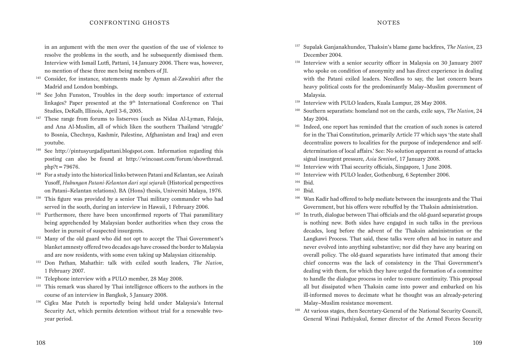in an argument with the men over the question of the use of violence to resolve the problems in the south, and he subsequently dismissed them. Interview with Ismail Lutfi, Pattani, 14 January 2006. There was, however, no mention of these three men being members of JI.

- <sup>145</sup> Consider, for instance, statements made by Ayman al-Zawahiri after the Madrid and London bombings.
- <sup>146</sup> See John Funston, Troubles in the deep south: importance of external linkages? Paper presented at the 9<sup>th</sup> International Conference on Thai Studies, DeKalb, Illinois, April 3-6, 2005.
- <sup>147</sup> These range from forums to listserves (such as Nidaa Al-Lyman, Faloja, and Ana Al-Muslim, all of which liken the southern Thailand 'struggle' to Bosnia, Chechnya, Kashmir, Palestine, Afghanistan and Iraq) and even youtube.
- <sup>148</sup> See http://pintusyurgadipattani.blogspot.com. Information regarding this posting can also be found at http://wincoast.com/forum/showthread.  $php?t = 79676.$
- <sup>149</sup> For a study into the historical links between Patani and Kelantan, see Azizah Yusoff, *Hubungan Patani-Kelantan dari segi sejarah* (Historical perspectives on Patani–Kelantan relations). BA (Hons) thesis, Universiti Malaya, 1976.
- <sup>150</sup> This figure was provided by a senior Thai military commander who had served in the south, during an interview in Hawaii, 1 February 2006.
- <sup>151</sup> Furthermore, there have been unconfirmed reports of Thai paramilitary being apprehended by Malaysian border authorities when they cross the border in pursuit of suspected insurgents.
- <sup>152</sup> Many of the old guard who did not opt to accept the Thai Government's blanket amnesty offered two decades ago have crossed the border to Malaysia and are now residents, with some even taking up Malaysian citizenship.
- <sup>153</sup> Don Pathan*,* Mahathir: talk with exiled south leaders, *The Nation*, 1 February 2007.
- <sup>154</sup> Telephone interview with a PULO member, 28 May 2008.
- <sup>155</sup> This remark was shared by Thai intelligence officers to the authors in the course of an interview in Bangkok, 5 January 2008.
- <sup>156</sup> Cigku Mae Puteh is reportedly being held under Malaysia's Internal Security Act, which permits detention without trial for a renewable twoyear period.
- <sup>157</sup> Supalak Ganjanakhundee, Thaksin's blame game backfires, *The Nation*, 23 December 2004.
- <sup>158</sup> Interview with a senior security officer in Malaysia on 30 January 2007 who spoke on condition of anonymity and has direct experience in dealing with the Patani exiled leaders. Needless to say, the last concern bears heavy political costs for the predominantly Malay–Muslim government of Malaysia.
- <sup>159</sup> Interview with PULO leaders, Kuala Lumpur, 28 May 2008.
- <sup>160</sup> Southern separatists: homeland not on the cards, exile says, *The Nation*, 24 May 2004.
- <sup>161</sup> Indeed, one report has reminded that the creation of such zones is catered for in the Thai Constitution, primarily Article 77 which says 'the state shall decentralize powers to localities for the purpose of independence and selfdetermination of local affairs.' See: No solution apparent as round of attacks signal insurgent pressure, *Asia Sentinel*, 17 January 2008.
- <sup>162</sup> Interview with Thai security officials, Singapore, 1 June 2008.
- <sup>163</sup> Interview with PULO leader, Gothenburg, 6 September 2006.

- $165$  Ibid.
- <sup>166</sup> Wan Kadir had offered to help mediate between the insurgents and the Thai Government, but his offers were rebuffed by the Thaksin administration.
- <sup>167</sup> In truth, dialogue between Thai officials and the old-guard separatist groups is nothing new. Both sides have engaged in such talks in the previous decades, long before the advent of the Thaksin administration or the Langkawi Process. That said, these talks were often ad hoc in nature and never evolved into anything substantive; nor did they have any bearing on overall policy. The old-guard separatists have intimated that among their chief concerns was the lack of consistency in the Thai Government's dealing with them, for which they have urged the formation of a committee to handle the dialogue process in order to ensure continuity. This proposal all but dissipated when Thaksin came into power and embarked on his ill-informed moves to decimate what he thought was an already-petering Malay–Muslim resistance movement.
- <sup>168</sup> At various stages, then Secretary-General of the National Security Council, General Winai Pathiyakul, former director of the Armed Forces Security

108

<sup>164</sup> Ibid.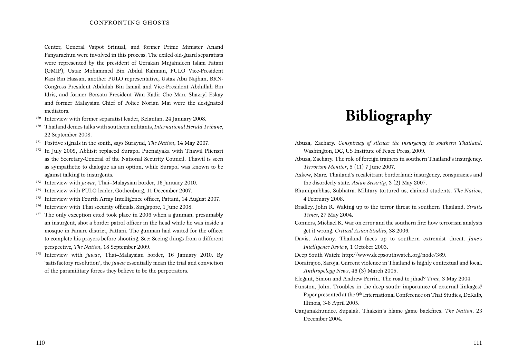#### CONFRONTING GHOSTS

Center, General Vaipot Srinual, and former Prime Minister Anand Panyarachun were involved in this process. The exiled old-guard separatists were represented by the president of Gerakan Mujahideen Islam Patani (GMIP), Ustaz Mohammed Bin Abdul Rahman, PULO Vice-President Razi Bin Hassan, another PULO representative, Ustaz Abu Najhan, BRN-Congress President Abdulah Bin Ismail and Vice-President Abdullah Bin Idris, and former Bersatu President Wan Kadir Che Man. Shazryl Eskay and former Malaysian Chief of Police Norian Mai were the designated mediators.

- <sup>169</sup> Interview with former separatist leader, Kelantan, 24 January 2008.
- <sup>170</sup> Thailand denies talks with southern militants, *International Herald Tribune*, 22 September 2008.
- <sup>171</sup> Positive signals in the south, says Surayud, *The Nation*, 14 May 2007.
- <sup>172</sup> In July 2009, Abhisit replaced Surapol Puenaiyaka with Thawil Pliensri as the Secretary-General of the National Security Council. Thawil is seen as sympathetic to dialogue as an option, while Surapol was known to be against talking to insurgents.
- <sup>173</sup> Interview with *juwae*, Thai–Malaysian border, 16 January 2010.
- <sup>174</sup> Interview with PULO leader, Gothenburg, 11 December 2007.
- <sup>175</sup> Interview with Fourth Army Intelligence officer, Pattani, 14 August 2007.
- <sup>176</sup> Interview with Thai security officials, Singapore, 1 June 2008.
- $177$  The only exception cited took place in 2006 when a gunman, presumably an insurgent, shot a border patrol officer in the head while he was inside a mosque in Panare district, Pattani. The gunman had waited for the officer to complete his prayers before shooting. See: Seeing things from a different perspective, *The Nation*, 18 September 2009.
- <sup>178</sup> Interview with *juwae*, Thai–Malaysian border, 16 January 2010. By 'satisfactory resolution', the *juwae* essentially mean the trial and conviction of the paramilitary forces they believe to be the perpetrators.

# **Bibliography**

- Abuza, Zachary. *Conspiracy of silence: the insurgency in southern Thailand*. Washington, DC, US Institute of Peace Press, 2009.
- Abuza, Zachary. The role of foreign trainers in southern Thailand's insurgency. *Terrorism Monitor*, 5 (11) 7 June 2007.
- Askew, Marc. Thailand's recalcitrant borderland: insurgency, conspiracies and the disorderly state. *Asian Security*, 3 (2) May 2007.
- Bhumiprabhas, Subhatra. Military tortured us, claimed students. *The Nation*, 4 February 2008.
- Bradley, John R. Waking up to the terror threat in southern Thailand. *Straits Times*, 27 May 2004.
- Conners, Michael K. War on error and the southern fire: how terrorism analysts get it wrong. *Critical Asian Studies*, 38 2006.
- Davis, Anthony. Thailand faces up to southern extremist threat. *Jane's Intelligence Review*, 1 October 2003.
- Deep South Watch: http://www.deepsouthwatch.org/node/369.
- Dorairajoo, Saroja. Current violence in Thailand is highly contextual and local. *Anthropology News*, 46 (3) March 2005.
- Elegant, Simon and Andrew Perrin. The road to jihad? *Time*, 3 May 2004.
- Funston, John. Troubles in the deep south: importance of external linkages? Paper presented at the 9<sup>th</sup> International Conference on Thai Studies, DeKalb, Illinois, 3-6 April 2005.
- Ganjanakhundee, Supalak. Thaksin's blame game backfires. *The Nation*, 23 December 2004.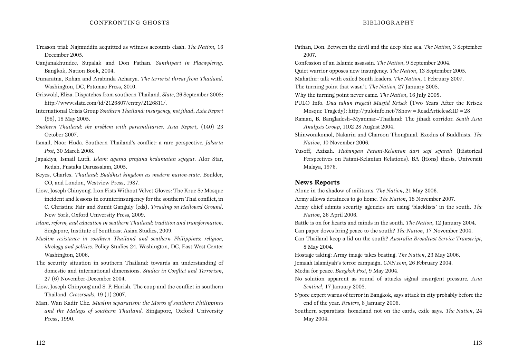- Treason trial: Najmuddin acquitted as witness accounts clash. *The Nation*, 16 December 2005.
- Ganjanakhundee, Supalak and Don Pathan. *Santhipart in Plaewplerng*. Bangkok, Nation Book, 2004.
- Gunaratna, Rohan and Arabinda Acharya. *The terrorist threat from Thailand*. Washington, DC, Potomac Press, 2010.
- Griswold, Eliza. Dispatches from southern Thailand. *Slate*, 26 September 2005: http://www.slate.com/id/2126807/entry/2126811/.
- International Crisis Group *Southern Thailand: insurgency, not jihad*, *Asia Report* (98), 18 May 2005.
- *Southern Thailand: the problem with paramilitaries*. *Asia Report*, (140) 23 October 2007.
- Ismail, Noor Huda. Southern Thailand's conflict: a rare perspective. *Jakarta Post*, 30 March 2008.
- Japakiya, Ismail Lutfi. *Islam: agama penjana kedamaian sejagat*. Alor Star, Kedah, Pustaka Darussalam, 2005.
- Keyes, Charles. *Thailand: Buddhist kingdom as modern nation-state*. Boulder, CO, and London, Westview Press, 1987.
- Liow, Joseph Chinyong. Iron Fists Without Velvet Gloves: The Krue Se Mosque incident and lessons in counterinsurgency for the southern Thai conflict, in C. Christine Fair and Sumit Ganguly (eds), *Treading on Hallowed Ground*. New York, Oxford University Press, 2009.
- *Islam, reform, and education in southern Thailand: tradition and transformation*. Singapore, Institute of Southeast Asian Studies, 2009.
- *Muslim resistance in southern Thailand and southern Philippines: religion, ideology and politics*. Policy Studies 24. Washington, DC, East-West Center Washington, 2006.
- The security situation in southern Thailand: towards an understanding of domestic and international dimensions. *Studies in Conflict and Terrorism*, 27 (6) November-December 2004.
- Liow, Joseph Chinyong and S. P. Harish. The coup and the conflict in southern Thailand. *Crossroads*, 19 (1) 2007.
- Man, Wan Kadir Che. *Muslim separatism: the Moros of southern Philippines and the Malays of southern Thailand.* Singapore, Oxford University Press, 1990.

Pathan, Don. Between the devil and the deep blue sea. *The Nation*, 3 September 2007.

- Confession of an Islamic assassin. *The Nation*, 9 September 2004.
- Quiet warrior opposes new insurgency. *The Nation*, 13 September 2005.

Mahathir: talk with exiled South leaders. *The Nation*, 1 February 2007.

- The turning point that wasn't. *The Nation,* 27 January 2005.
- Why the turning point never came. *The Nation*, 16 July 2005.

PULO Info. *Dua tahun tragedi Masjid Krisek* (Two Years After the Krisek Mosque Tragedy): http://puloinfo.net/?Show=ReadArticles&ID=28

- Raman, B. Bangladesh–Myanmar–Thailand: The jihadi corridor. *South Asia Analysis Group*, 1102 28 August 2004.
- Shinworakomol, Nakarin and Charoon Thongnual. Exodus of Buddhists. *The Nation*, 10 November 2006.
- Yusoff, Azizah. *Hubungan Patani-Kelantan dari segi sejarah* (Historical Perspectives on Patani-Kelantan Relations). BA (Hons) thesis, Universiti Malaya, 1976.

#### **News Reports**

Alone in the shadow of militants. *The Nation*, 21 May 2006.

Army allows detainees to go home. *The Nation*, 18 November 2007.

Army chief admits security agencies are using 'blacklists' in the south. *The Nation*, 26 April 2006.

Battle is on for hearts and minds in the south. *The Nation*, 12 January 2004. Can paper doves bring peace to the south? *The Nation*, 17 November 2004. Can Thailand keep a lid on the south? *Australia Broadcast Service Transcript*, 8 May 2004.

- Hostage taking: Army image takes beating. *The Nation*, 23 May 2006. Jemaah Islamiyah's terror campaign. *CNN.com*, 26 February 2004. Media for peace. *Bangkok Post*, 9 May 2004.
- No solution apparent as round of attacks signal insurgent pressure. *Asia Sentinel*, 17 January 2008.
- S'pore expert warns of terror in Bangkok, says attack in city probably before the end of the year. *Reuters*, 8 January 2006.
- Southern separatists: homeland not on the cards, exile says. *The Nation*, 24 May 2004.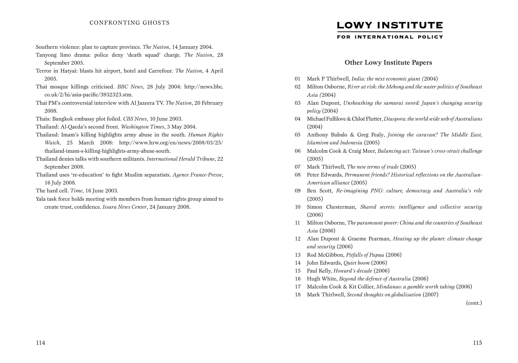- Southern violence: plan to capture province. *The Nation*, 14 January 2004.
- Tanyong limo drama: police deny 'death squad' charge. *The Nation*, 28 September 2005.
- Terror in Hatyai: blasts hit airport, hotel and Carrefour. *The Nation*, 4 April 2005.
- Thai mosque killings criticised. *BBC News*, 28 July 2004: http://news.bbc. co.uk/2/hi/asia-pacific/3932323.stm.
- Thai PM's controversial interview with Al Jazeera TV. *The Nation*, 20 February 2008.
- Thais: Bangkok embassy plot foiled. *CBS News*, 10 June 2003.
- Thailand: Al-Qaeda's second front. *Washington Times*, 3 May 2004.
- Thailand: Imam's killing highlights army abuse in the south. *Human Rights Watch*, 25 March 2008: http://www.hrw.org/en/news/2008/03/25/ thailand-imam-s-killing-highlights-army-abuse-south.
- Thailand denies talks with southern militants. *International Herald Tribune*, 22 September 2008.
- Thailand uses 're-education' to fight Muslim separatists. *Agence France-Presse*, 16 July 2008.
- The hard cell. *Time*, 16 June 2003.
- Yala task force holds meeting with members from human rights group aimed to create trust, confidence. *Issara News Center*, 24 January 2008.

### **LOWY INSTITUTE**

FOR INTERNATIONAL POLICY

#### Other Lowy Institute Papers

- 01 Mark P Thirlwell, *India: the next economic giant (*2004)
- 02 Milton Osborne, *River at risk: the Mekong and the water politics of Southeast Asia (*2004)
- 03 Alan Dupont, *Unsheathing the samurai sword: Japan's changing security policy* (2004)
- 04 Michael Fullilove & Chloë Flutter, *Diaspora: the world wide web of Australians*  (2004)
- 05 Anthony Bubalo & Greg Fealy, *Joining the caravan? The Middle East, Islamism and Indonesia* (2005)
- 06 Malcolm Cook & Craig Meer, *Balancing act: Taiwan's cross-strait challenge* (2005)
- 07 Mark Thirlwell, *The new terms of trade* (2005)
- 08 Peter Edwards, *Permanent friends? Historical reflections on the Australian-American alliance* (2005)
- 09 Ben Scott, *Re-imagining PNG: culture, democracy and Australia's role*  (2005)
- 10 Simon Chesterman, *Shared secrets: intelligence and collective security*  (2006)
- 11 Milton Osborne, *The paramount power: China and the countries of Southeast Asia* (2006)
- 12 Alan Dupont & Graeme Pearman, *Heating up the planet: climate change and security* (2006)
- 13 Rod McGibbon, *Pitfalls of Papua* (2006)
- 14 John Edwards, *Quiet boom* (2006)
- 15 Paul Kelly, *Howard's decade* (2006)
- 16 Hugh White, *Beyond the defence of Australia* (2006)
- 17 Malcolm Cook & Kit Collier, *Mindanao: a gamble worth taking* (2006)
- 18 Mark Thirlwell, *Second thoughts on globalisation* (2007)

(cont.)